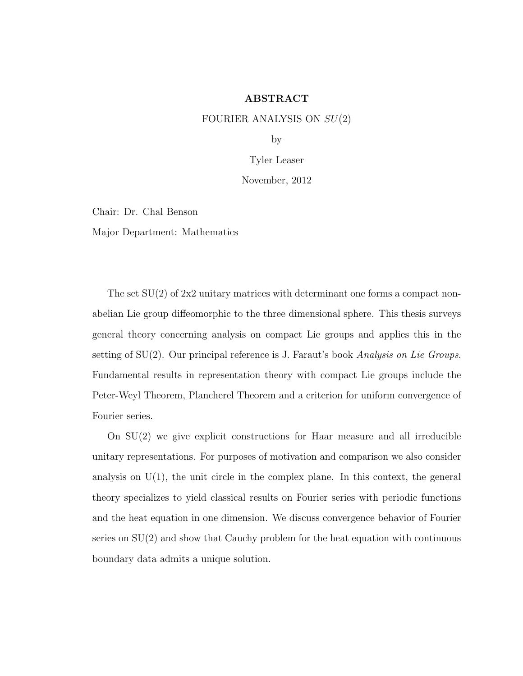## ABSTRACT

## FOURIER ANALYSIS ON  $SU(2)$

by

Tyler Leaser

#### November, 2012

Chair: Dr. Chal Benson

Major Department: Mathematics

The set  $SU(2)$  of 2x2 unitary matrices with determinant one forms a compact nonabelian Lie group diffeomorphic to the three dimensional sphere. This thesis surveys general theory concerning analysis on compact Lie groups and applies this in the setting of  $SU(2)$ . Our principal reference is J. Faraut's book Analysis on Lie Groups. Fundamental results in representation theory with compact Lie groups include the Peter-Weyl Theorem, Plancherel Theorem and a criterion for uniform convergence of Fourier series.

On SU(2) we give explicit constructions for Haar measure and all irreducible unitary representations. For purposes of motivation and comparison we also consider analysis on  $U(1)$ , the unit circle in the complex plane. In this context, the general theory specializes to yield classical results on Fourier series with periodic functions and the heat equation in one dimension. We discuss convergence behavior of Fourier series on  $SU(2)$  and show that Cauchy problem for the heat equation with continuous boundary data admits a unique solution.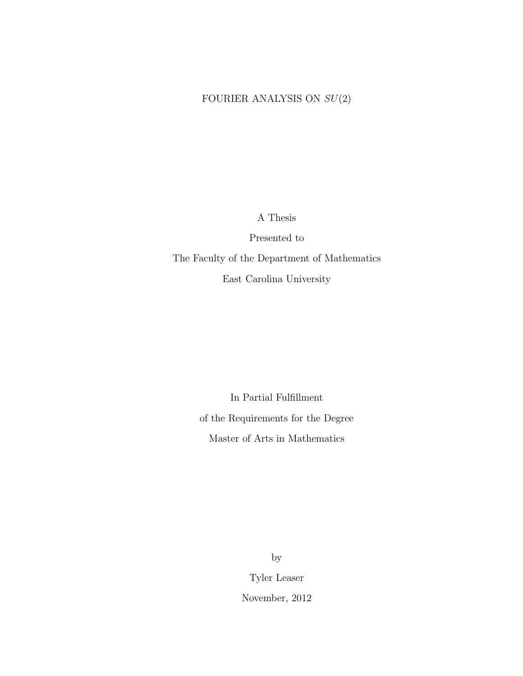# FOURIER ANALYSIS ON  $SU(2)$

A Thesis

Presented to The Faculty of the Department of Mathematics East Carolina University

> In Partial Fulfillment of the Requirements for the Degree Master of Arts in Mathematics

> > by

Tyler Leaser November, 2012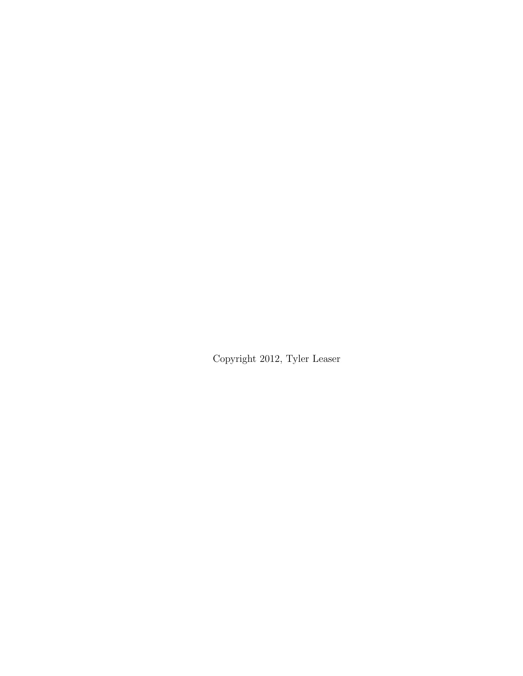Copyright 2012, Tyler Leaser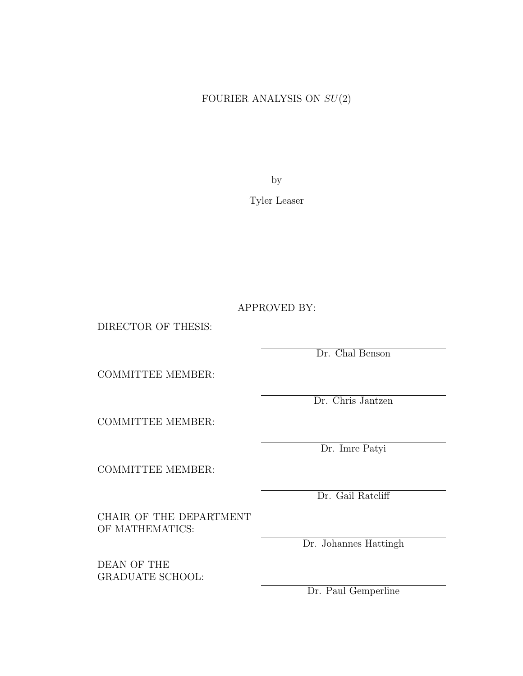# FOURIER ANALYSIS ON  $SU(2)$

by

Tyler Leaser

APPROVED BY:

DIRECTOR OF THESIS:

Dr. Chal Benson

COMMITTEE MEMBER:

Dr. Chris Jantzen

COMMITTEE MEMBER:

COMMITTEE MEMBER:

Dr. Gail Ratcliff

Dr. Imre Patyi

CHAIR OF THE DEPARTMENT OF MATHEMATICS:

DEAN OF THE GRADUATE SCHOOL: Dr. Johannes Hattingh

Dr. Paul Gemperline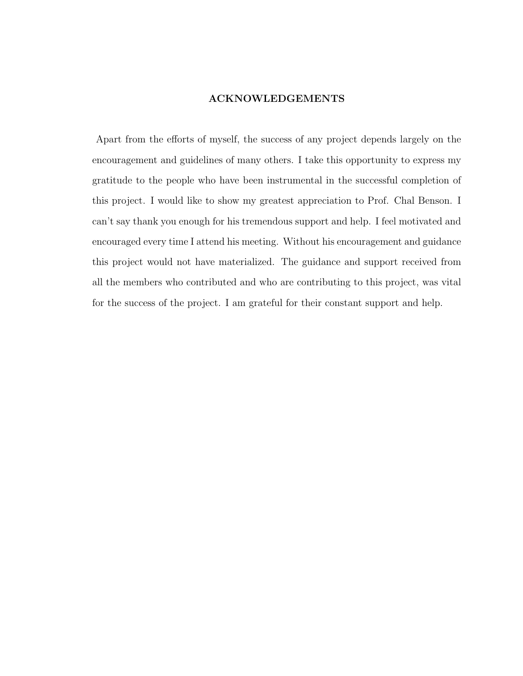# ACKNOWLEDGEMENTS

Apart from the efforts of myself, the success of any project depends largely on the encouragement and guidelines of many others. I take this opportunity to express my gratitude to the people who have been instrumental in the successful completion of this project. I would like to show my greatest appreciation to Prof. Chal Benson. I can't say thank you enough for his tremendous support and help. I feel motivated and encouraged every time I attend his meeting. Without his encouragement and guidance this project would not have materialized. The guidance and support received from all the members who contributed and who are contributing to this project, was vital for the success of the project. I am grateful for their constant support and help.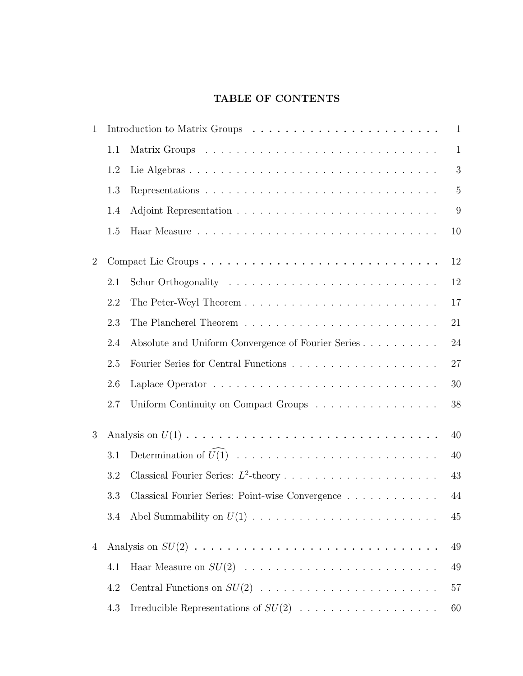# TABLE OF CONTENTS

| 1              | $\mathbf{1}$ |                                                    |                |  |  |
|----------------|--------------|----------------------------------------------------|----------------|--|--|
|                | 1.1          |                                                    | $\mathbf{1}$   |  |  |
|                | 1.2          |                                                    | 3              |  |  |
|                | 1.3          |                                                    | $\overline{5}$ |  |  |
|                | 1.4          |                                                    | 9              |  |  |
|                | 1.5          |                                                    | 10             |  |  |
| $\overline{2}$ |              |                                                    | 12             |  |  |
|                | 2.1          |                                                    | 12             |  |  |
|                | 2.2          |                                                    | 17             |  |  |
|                | 2.3          |                                                    | 21             |  |  |
|                | 2.4          | Absolute and Uniform Convergence of Fourier Series | 24             |  |  |
|                | 2.5          |                                                    | 27             |  |  |
|                | 2.6          |                                                    | 30             |  |  |
|                | 2.7          | Uniform Continuity on Compact Groups               | 38             |  |  |
| 3              | 40           |                                                    |                |  |  |
|                | 3.1          |                                                    | 40             |  |  |
|                | 3.2          |                                                    | 43             |  |  |
|                | 3.3          | Classical Fourier Series: Point-wise Convergence   | 44             |  |  |
|                | 3.4          |                                                    | 45             |  |  |
| 4              | 49           |                                                    |                |  |  |
|                | 4.1          |                                                    | 49             |  |  |
|                | 4.2          |                                                    | 57             |  |  |
|                | 4.3          | Irreducible Representations of $SU(2)$             | 60             |  |  |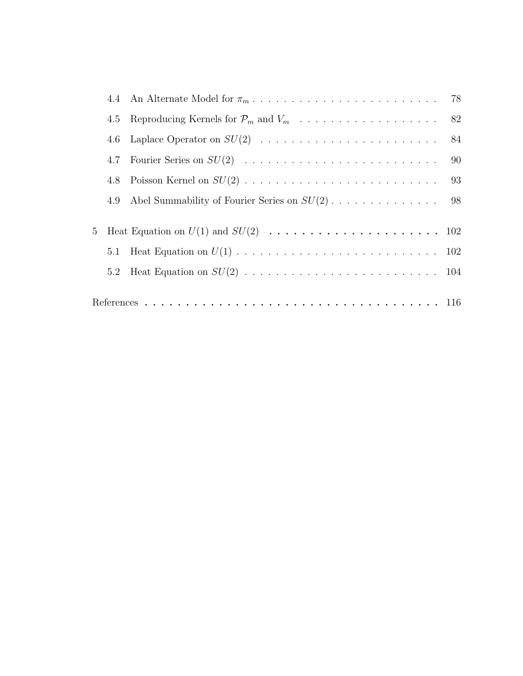|   |     | 84 |
|---|-----|----|
|   |     |    |
|   |     |    |
|   |     |    |
| 5 |     |    |
|   |     |    |
|   | 5.2 |    |
|   |     |    |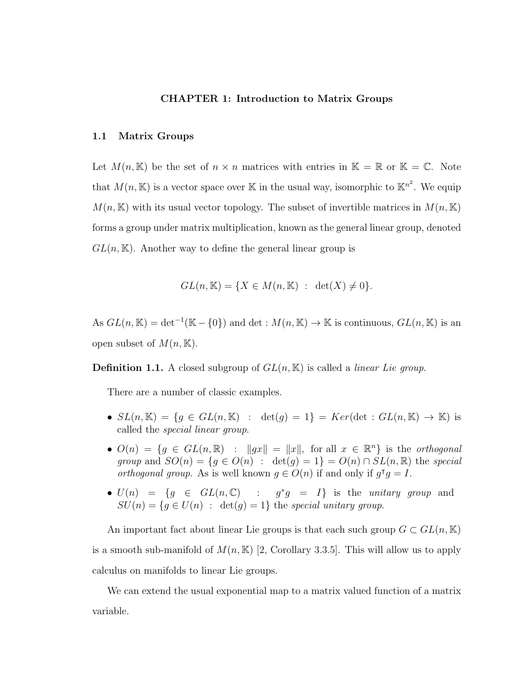#### CHAPTER 1: Introduction to Matrix Groups

#### 1.1 Matrix Groups

Let  $M(n, K)$  be the set of  $n \times n$  matrices with entries in  $K = \mathbb{R}$  or  $K = \mathbb{C}$ . Note that  $M(n, \mathbb{K})$  is a vector space over  $\mathbb{K}$  in the usual way, isomorphic to  $\mathbb{K}^{n^2}$ . We equip  $M(n, \mathbb{K})$  with its usual vector topology. The subset of invertible matrices in  $M(n, \mathbb{K})$ forms a group under matrix multiplication, known as the general linear group, denoted  $GL(n,\mathbb{K})$ . Another way to define the general linear group is

$$
GL(n, \mathbb{K}) = \{ X \in M(n, \mathbb{K}) : \det(X) \neq 0 \}.
$$

As  $GL(n,\mathbb{K}) = det^{-1}(\mathbb{K}-\{0\})$  and  $det: M(n,\mathbb{K}) \to \mathbb{K}$  is continuous,  $GL(n,\mathbb{K})$  is an open subset of  $M(n, \mathbb{K})$ .

**Definition 1.1.** A closed subgroup of  $GL(n, \mathbb{K})$  is called a *linear Lie group*.

There are a number of classic examples.

- $SL(n, \mathbb{K}) = \{g \in GL(n, \mathbb{K}) : \det(g) = 1\} = Ker(\det : GL(n, \mathbb{K}) \to \mathbb{K})$  is called the special linear group.
- $O(n) = \{g \in GL(n, \mathbb{R}) : ||gx|| = ||x||$ , for all  $x \in \mathbb{R}^n\}$  is the *orthogonal* group and  $SO(n) = \{g \in O(n) : \det(g) = 1\} = O(n) \cap SL(n, \mathbb{R})$  the special *orthogonal group.* As is well known  $g \in O(n)$  if and only if  $g^T g = I$ .
- $U(n) = \{g \in GL(n, \mathbb{C}) : g^*g = I\}$  is the unitary group and  $SU(n) = \{g \in U(n) : \det(g) = 1\}$  the special unitary group.

An important fact about linear Lie groups is that each such group  $G \subset GL(n, \mathbb{K})$ is a smooth sub-manifold of  $M(n, K)$  [2, Corollary 3.3.5]. This will allow us to apply calculus on manifolds to linear Lie groups.

We can extend the usual exponential map to a matrix valued function of a matrix variable.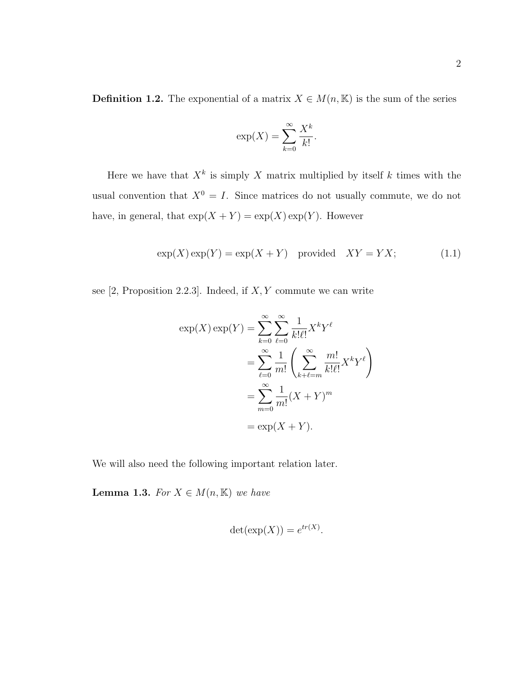**Definition 1.2.** The exponential of a matrix  $X \in M(n, \mathbb{K})$  is the sum of the series

$$
\exp(X) = \sum_{k=0}^{\infty} \frac{X^k}{k!}.
$$

Here we have that  $X^k$  is simply X matrix multiplied by itself k times with the usual convention that  $X^0 = I$ . Since matrices do not usually commute, we do not have, in general, that  $exp(X + Y) = exp(X) exp(Y)$ . However

$$
\exp(X)\exp(Y) = \exp(X+Y) \quad \text{provided} \quad XY = YX; \tag{1.1}
$$

see  $[2,$  Proposition 2.2.3]. Indeed, if  $X, Y$  commute we can write

$$
\exp(X)\exp(Y) = \sum_{k=0}^{\infty} \sum_{\ell=0}^{\infty} \frac{1}{k!\ell!} X^k Y^{\ell}
$$

$$
= \sum_{\ell=0}^{\infty} \frac{1}{m!} \left( \sum_{k+\ell=m}^{\infty} \frac{m!}{k!\ell!} X^k Y^{\ell} \right)
$$

$$
= \sum_{m=0}^{\infty} \frac{1}{m!} (X+Y)^m
$$

$$
= \exp(X+Y).
$$

We will also need the following important relation later.

**Lemma 1.3.** For  $X \in M(n, \mathbb{K})$  we have

$$
\det(\exp(X)) = e^{tr(X)}.
$$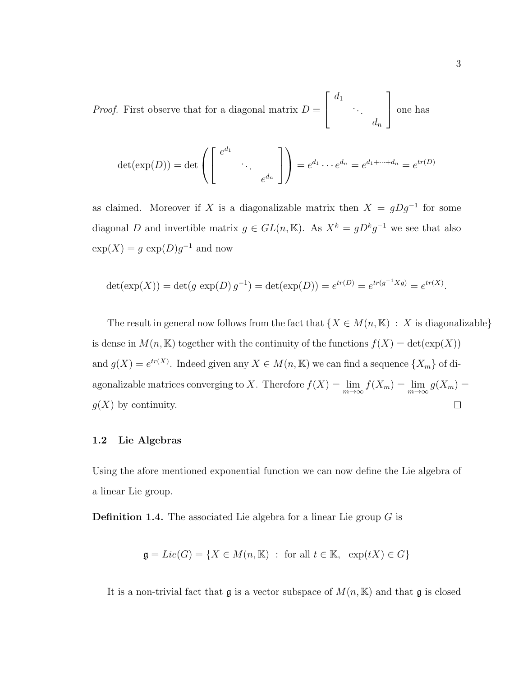*Proof.* First observe that for a diagonal matrix  $D =$  $\sqrt{ }$  $\vert$  $d_1$ . . .  $d_n$ 1 one has

$$
\det(\exp(D)) = \det\left(\begin{bmatrix} e^{d_1} & & \\ & \ddots & \\ & & e^{d_n} \end{bmatrix}\right) = e^{d_1} \cdots e^{d_n} = e^{d_1 + \cdots + d_n} = e^{tr(D)}
$$

as claimed. Moreover if X is a diagonalizable matrix then  $X = gDg^{-1}$  for some diagonal D and invertible matrix  $g \in GL(n, \mathbb{K})$ . As  $X^k = gD^kg^{-1}$  we see that also  $\exp(X) = g \exp(D)g^{-1}$  and now

$$
\det(\exp(X)) = \det(g \exp(D) g^{-1}) = \det(\exp(D)) = e^{tr(D)} = e^{tr(g^{-1}Xg)} = e^{tr(X)}.
$$

The result in general now follows from the fact that  $\{X \in M(n, \mathbb{K}) : X$  is diagonalizable} is dense in  $M(n, \mathbb{K})$  together with the continuity of the functions  $f(X) = det(exp(X))$ and  $g(X) = e^{tr(X)}$ . Indeed given any  $X \in M(n, \mathbb{K})$  we can find a sequence  $\{X_m\}$  of diagonalizable matrices converging to X. Therefore  $f(X) = \lim_{m \to \infty} f(X_m) = \lim_{m \to \infty} g(X_m) =$  $g(X)$  by continuity.  $\Box$ 

#### 1.2 Lie Algebras

Using the afore mentioned exponential function we can now define the Lie algebra of a linear Lie group.

**Definition 1.4.** The associated Lie algebra for a linear Lie group  $G$  is

$$
\mathfrak{g} = Lie(G) = \{ X \in M(n, \mathbb{K}) : \text{ for all } t \in \mathbb{K}, \text{ } \exp(tX) \in G \}
$$

It is a non-trivial fact that  $\frak g$  is a vector subspace of  $M(n, \mathbb{K})$  and that  $\frak g$  is closed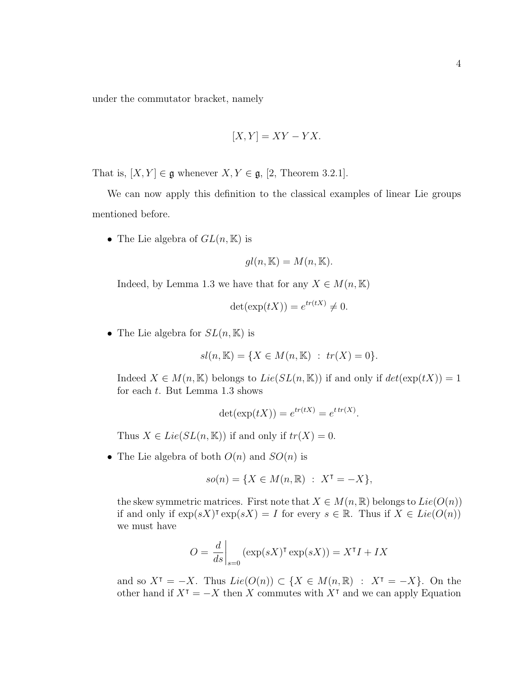under the commutator bracket, namely

$$
[X, Y] = XY - YX.
$$

That is,  $[X, Y] \in \mathfrak{g}$  whenever  $X, Y \in \mathfrak{g}$ , [2, Theorem 3.2.1].

We can now apply this definition to the classical examples of linear Lie groups mentioned before.

• The Lie algebra of  $GL(n,\mathbb{K})$  is

$$
gl(n, \mathbb{K}) = M(n, \mathbb{K}).
$$

Indeed, by Lemma 1.3 we have that for any  $X \in M(n, \mathbb{K})$ 

$$
\det(\exp(tX)) = e^{tr(tX)} \neq 0.
$$

• The Lie algebra for  $SL(n, \mathbb{K})$  is

$$
sl(n, \mathbb{K}) = \{ X \in M(n, \mathbb{K}) : tr(X) = 0 \}.
$$

Indeed  $X \in M(n, \mathbb{K})$  belongs to  $Lie(SL(n, \mathbb{K}))$  if and only if  $det(exp(tX)) = 1$ for each t. But Lemma 1.3 shows

$$
\det(\exp(tX)) = e^{tr(tX)} = e^{tr(X)}.
$$

Thus  $X \in Lie(SL(n, \mathbb{K}))$  if and only if  $tr(X) = 0$ .

• The Lie algebra of both  $O(n)$  and  $SO(n)$  is

$$
so(n) = \{ X \in M(n, \mathbb{R}) \ : \ X^{\intercal} = -X \},
$$

the skew symmetric matrices. First note that  $X \in M(n, \mathbb{R})$  belongs to  $Lie(O(n))$ if and only if  $\exp(sX)^{\intercal} \exp(sX) = I$  for every  $s \in \mathbb{R}$ . Thus if  $X \in Lie(O(n))$ we must have

$$
O = \left. \frac{d}{ds} \right|_{s=0} (\exp(sX)^{\intercal} \exp(sX)) = X^{\intercal} I + IX
$$

and so  $X^{\dagger} = -X$ . Thus  $Lie(O(n)) \subset \{X \in M(n, \mathbb{R}) : X^{\dagger} = -X\}$ . On the other hand if  $X^{\intercal} = -X$  then X commutes with  $X^{\intercal}$  and we can apply Equation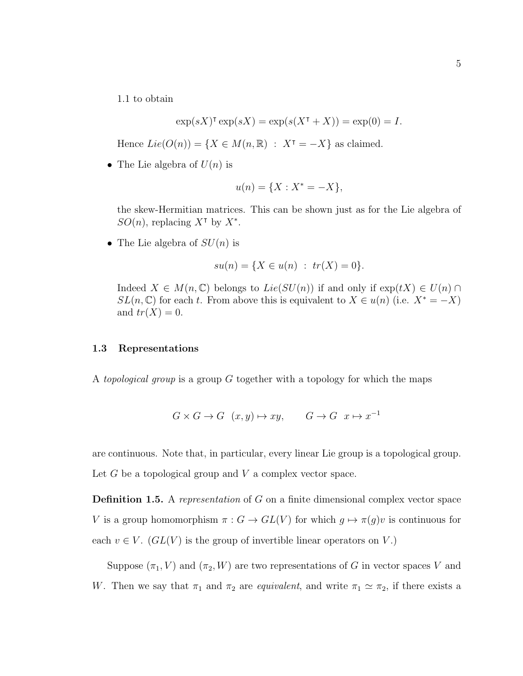1.1 to obtain

$$
\exp(sX)^{\mathsf{T}}\exp(sX) = \exp(s(X^{\mathsf{T}} + X)) = \exp(0) = I.
$$

Hence  $Lie(O(n)) = \{ X \in M(n, \mathbb{R}) : X^{\intercal} = -X \}$  as claimed.

• The Lie algebra of  $U(n)$  is

$$
u(n) = \{X : X^* = -X\},\
$$

the skew-Hermitian matrices. This can be shown just as for the Lie algebra of SO(n), replacing  $X^{\dagger}$  by  $X^*$ .

• The Lie algebra of  $SU(n)$  is

$$
su(n) = \{ X \in u(n) : tr(X) = 0 \}.
$$

Indeed  $X \in M(n, \mathbb{C})$  belongs to  $Lie(SU(n))$  if and only if  $exp(tX) \in U(n) \cap$  $SL(n,\mathbb{C})$  for each t. From above this is equivalent to  $X \in u(n)$  (i.e.  $X^* = -X$ ) and  $tr(X) = 0$ .

#### 1.3 Representations

A topological group is a group  $G$  together with a topology for which the maps

$$
G \times G \to G \quad (x, y) \mapsto xy, \qquad G \to G \quad x \mapsto x^{-1}
$$

are continuous. Note that, in particular, every linear Lie group is a topological group. Let  $G$  be a topological group and  $V$  a complex vector space.

Definition 1.5. A representation of G on a finite dimensional complex vector space V is a group homomorphism  $\pi : G \to GL(V)$  for which  $g \mapsto \pi(g)v$  is continuous for each  $v \in V$ .  $(GL(V)$  is the group of invertible linear operators on V.)

Suppose  $(\pi_1, V)$  and  $(\pi_2, W)$  are two representations of G in vector spaces V and W. Then we say that  $\pi_1$  and  $\pi_2$  are *equivalent*, and write  $\pi_1 \simeq \pi_2$ , if there exists a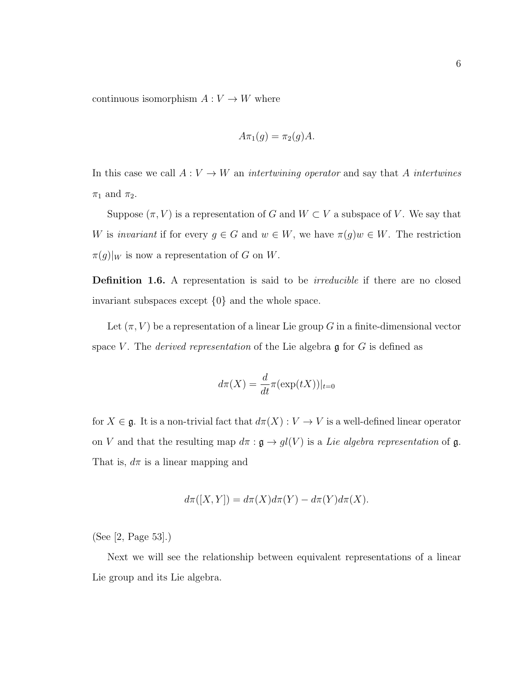continuous isomorphism  $A: V \to W$  where

$$
A\pi_1(g) = \pi_2(g)A.
$$

In this case we call  $A: V \to W$  an *intertwining operator* and say that A *intertwines*  $\pi_1$  and  $\pi_2$ .

Suppose  $(\pi, V)$  is a representation of G and  $W \subset V$  a subspace of V. We say that W is invariant if for every  $g \in G$  and  $w \in W$ , we have  $\pi(g)w \in W$ . The restriction  $\pi(g)|_W$  is now a representation of G on W.

Definition 1.6. A representation is said to be *irreducible* if there are no closed invariant subspaces except {0} and the whole space.

Let  $(\pi, V)$  be a representation of a linear Lie group G in a finite-dimensional vector space V. The *derived representation* of the Lie algebra  $\mathfrak g$  for G is defined as

$$
d\pi(X) = \frac{d}{dt}\pi(\exp(tX))|_{t=0}
$$

for  $X \in \mathfrak{g}$ . It is a non-trivial fact that  $d\pi(X) : V \to V$  is a well-defined linear operator on V and that the resulting map  $d\pi$ :  $\mathfrak{g} \to gl(V)$  is a Lie algebra representation of  $\mathfrak{g}$ . That is,  $d\pi$  is a linear mapping and

$$
d\pi([X,Y]) = d\pi(X)d\pi(Y) - d\pi(Y)d\pi(X).
$$

(See [2, Page 53].)

Next we will see the relationship between equivalent representations of a linear Lie group and its Lie algebra.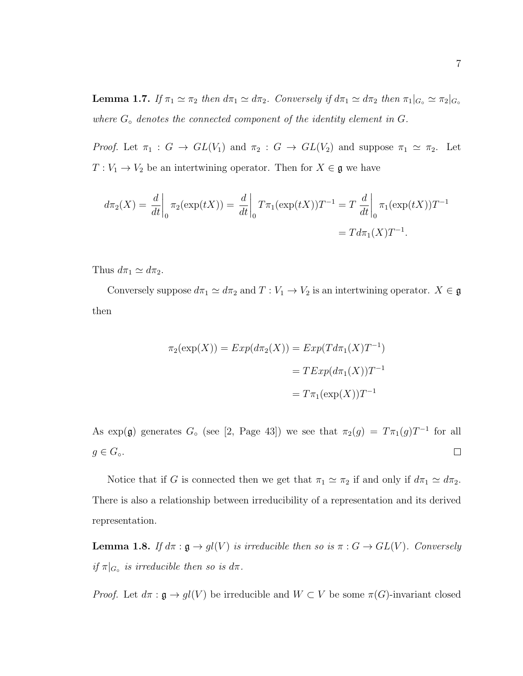**Lemma 1.7.** If  $\pi_1 \simeq \pi_2$  then  $d\pi_1 \simeq d\pi_2$ . Conversely if  $d\pi_1 \simeq d\pi_2$  then  $\pi_1|_{G_{\circ}} \simeq \pi_2|_{G_{\circ}}$ where  $G_{\circ}$  denotes the connected component of the identity element in  $G$ .

*Proof.* Let  $\pi_1 : G \to GL(V_1)$  and  $\pi_2 : G \to GL(V_2)$  and suppose  $\pi_1 \simeq \pi_2$ . Let  $T: V_1 \to V_2$  be an intertwining operator. Then for  $X \in \mathfrak{g}$  we have

$$
d\pi_2(X) = \frac{d}{dt}\bigg|_0 \pi_2(\exp(tX)) = \frac{d}{dt}\bigg|_0 T\pi_1(\exp(tX))T^{-1} = T\frac{d}{dt}\bigg|_0 \pi_1(\exp(tX))T^{-1}
$$

$$
= Td\pi_1(X)T^{-1}.
$$

Thus  $d\pi_1 \simeq d\pi_2$ .

Conversely suppose  $d\pi_1 \simeq d\pi_2$  and  $T : V_1 \to V_2$  is an intertwining operator.  $X \in \mathfrak{g}$ then

$$
\pi_2(\exp(X)) = Exp(d\pi_2(X)) = Exp(Td\pi_1(X)T^{-1})
$$

$$
= TExp(d\pi_1(X))T^{-1}
$$

$$
= T\pi_1(\exp(X))T^{-1}
$$

As exp( $\mathfrak{g}$ ) generates  $G_{\circ}$  (see [2, Page 43]) we see that  $\pi_2(g) = T\pi_1(g)T^{-1}$  for all  $g \in G_{\circ}$ .  $\Box$ 

Notice that if G is connected then we get that  $\pi_1 \simeq \pi_2$  if and only if  $d\pi_1 \simeq d\pi_2$ . There is also a relationship between irreducibility of a representation and its derived representation.

**Lemma 1.8.** If  $d\pi : \mathfrak{g} \to gl(V)$  is irreducible then so is  $\pi : G \to GL(V)$ . Conversely if  $\pi|_{G_{\circ}}$  is irreducible then so is  $d\pi$ .

*Proof.* Let  $d\pi : \mathfrak{g} \to gl(V)$  be irreducible and  $W \subset V$  be some  $\pi(G)$ -invariant closed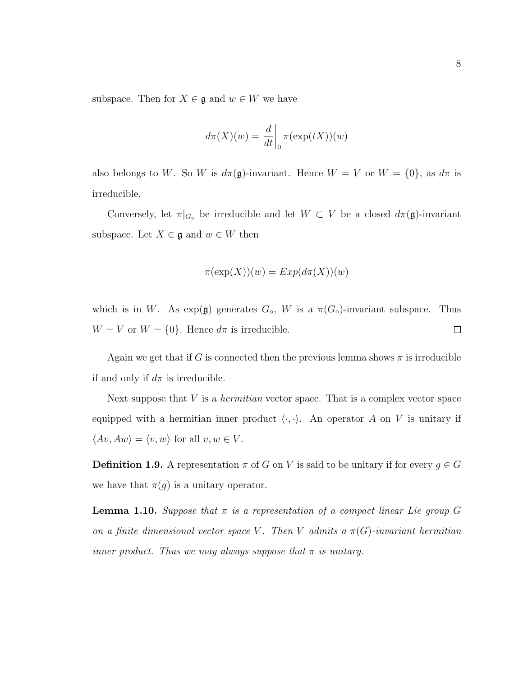subspace. Then for  $X \in \mathfrak{g}$  and  $w \in W$  we have

$$
d\pi(X)(w) = \frac{d}{dt}\bigg|_0 \pi(\exp(tX))(w)
$$

also belongs to W. So W is  $d\pi(\mathfrak{g})$ -invariant. Hence  $W = V$  or  $W = \{0\}$ , as  $d\pi$  is irreducible.

Conversely, let  $\pi|_{G_{\circ}}$  be irreducible and let  $W \subset V$  be a closed  $d\pi(\mathfrak{g})$ -invariant subspace. Let  $X \in \mathfrak{g}$  and  $w \in W$  then

$$
\pi(\exp(X))(w) = Exp(d\pi(X))(w)
$$

which is in W. As  $\exp(\mathfrak{g})$  generates  $G_{\circ}$ , W is a  $\pi(G_{\circ})$ -invariant subspace. Thus  $W = V$  or  $W = \{0\}$ . Hence  $d\pi$  is irreducible.  $\Box$ 

Again we get that if G is connected then the previous lemma shows  $\pi$  is irreducible if and only if  $d\pi$  is irreducible.

Next suppose that  $V$  is a *hermitian* vector space. That is a complex vector space equipped with a hermitian inner product  $\langle \cdot, \cdot \rangle$ . An operator A on V is unitary if  $\langle Av, Aw \rangle = \langle v, w \rangle$  for all  $v, w \in V$ .

**Definition 1.9.** A representation  $\pi$  of G on V is said to be unitary if for every  $g \in G$ we have that  $\pi(g)$  is a unitary operator.

**Lemma 1.10.** Suppose that  $\pi$  is a representation of a compact linear Lie group G on a finite dimensional vector space V. Then V admits a  $\pi(G)$ -invariant hermitian inner product. Thus we may always suppose that  $\pi$  is unitary.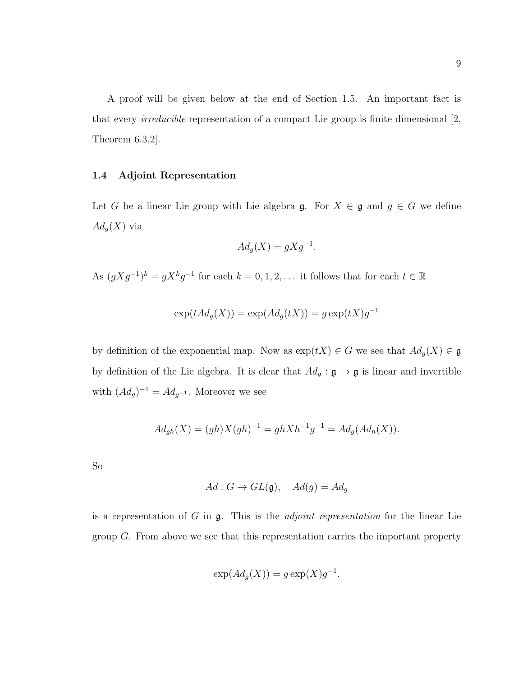A proof will be given below at the end of Section 1.5. An important fact is that every irreducible representation of a compact Lie group is finite dimensional [2, Theorem 6.3.2].

#### 1.4 Adjoint Representation

Let G be a linear Lie group with Lie algebra  $\mathfrak{g}$ . For  $X \in \mathfrak{g}$  and  $g \in G$  we define  $Ad_g(X)$  via

$$
Ad_g(X) = gXg^{-1}.
$$

As  $(gXg^{-1})^k = gX^kg^{-1}$  for each  $k = 0, 1, 2, \ldots$  it follows that for each  $t \in \mathbb{R}$ 

$$
\exp(tAd_g(X)) = \exp(Ad_g(tX)) = g \exp(tX)g^{-1}
$$

by definition of the exponential map. Now as  $\exp(tX) \in G$  we see that  $Ad_g(X) \in \mathfrak{g}$ by definition of the Lie algebra. It is clear that  $Ad_g : \mathfrak{g} \to \mathfrak{g}$  is linear and invertible with  $(Ad<sub>g</sub>)^{-1} = Ad<sub>g^{-1}</sub>$ . Moreover we see

$$
Ad_{gh}(X) = (gh)X(gh)^{-1} = ghXh^{-1}g^{-1} = Ad_g(Ad_h(X)).
$$

So

$$
Ad: G \to GL(\mathfrak{g}), \quad Ad(g) = Ad_g
$$

is a representation of  $G$  in  $\mathfrak{g}$ . This is the *adjoint representation* for the linear Lie group  $G$ . From above we see that this representation carries the important property

$$
\exp(Ad_g(X)) = g \exp(X)g^{-1}.
$$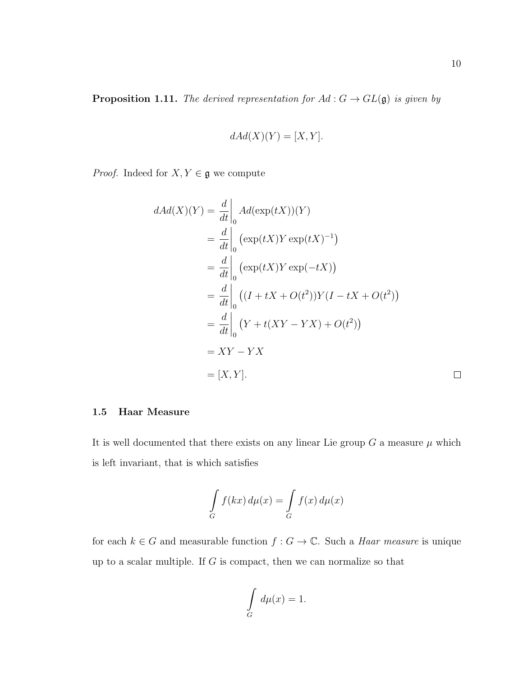$$
dAd(X)(Y) = [X, Y].
$$

*Proof.* Indeed for  $X, Y \in \mathfrak{g}$  we compute

$$
dAd(X)(Y) = \frac{d}{dt}\Big|_{0} Ad(\exp(tX))(Y)
$$
  
= 
$$
\frac{d}{dt}\Big|_{0} (\exp(tX)Y \exp(tX)^{-1})
$$
  
= 
$$
\frac{d}{dt}\Big|_{0} (\exp(tX)Y \exp(-tX))
$$
  
= 
$$
\frac{d}{dt}\Big|_{0} ((I + tX + O(t^2))Y(I - tX + O(t^2))
$$
  
= 
$$
\frac{d}{dt}\Big|_{0} (Y + t(XY - YX) + O(t^2))
$$
  
= 
$$
XY - YX
$$
  
= 
$$
[X, Y].
$$

#### 1.5 Haar Measure

It is well documented that there exists on any linear Lie group  $G$  a measure  $\mu$  which is left invariant, that is which satisfies

$$
\int_{G} f(kx) d\mu(x) = \int_{G} f(x) d\mu(x)
$$

for each  $k \in G$  and measurable function  $f : G \to \mathbb{C}$ . Such a *Haar measure* is unique up to a scalar multiple. If  $G$  is compact, then we can normalize so that

$$
\int\limits_G d\mu(x) = 1.
$$

 $\Box$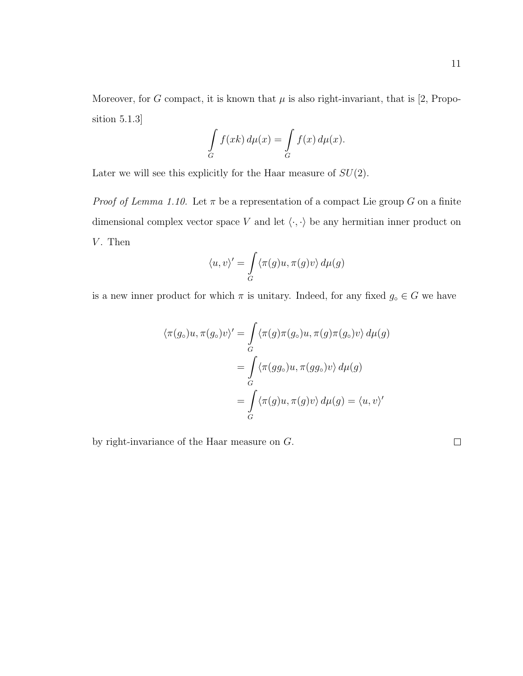$$
\int_{G} f(xk) d\mu(x) = \int_{G} f(x) d\mu(x).
$$

Later we will see this explicitly for the Haar measure of  $SU(2)$ .

*Proof of Lemma 1.10.* Let  $\pi$  be a representation of a compact Lie group G on a finite dimensional complex vector space  $V$  and let  $\langle\cdot,\cdot\rangle$  be any hermitian inner product on  $V$ . Then

$$
\langle u, v \rangle' = \int_G \langle \pi(g)u, \pi(g)v \rangle d\mu(g)
$$

is a new inner product for which  $\pi$  is unitary. Indeed, for any fixed  $g_\circ \in G$  we have

$$
\langle \pi(g_{\circ})u, \pi(g_{\circ})v \rangle' = \int_{G} \langle \pi(g)\pi(g_{\circ})u, \pi(g)\pi(g_{\circ})v \rangle d\mu(g)
$$

$$
= \int_{G} \langle \pi(gg_{\circ})u, \pi(gg_{\circ})v \rangle d\mu(g)
$$

$$
= \int_{G} \langle \pi(g)u, \pi(g)v \rangle d\mu(g) = \langle u, v \rangle'
$$

by right-invariance of the Haar measure on G.

 $\hfill \square$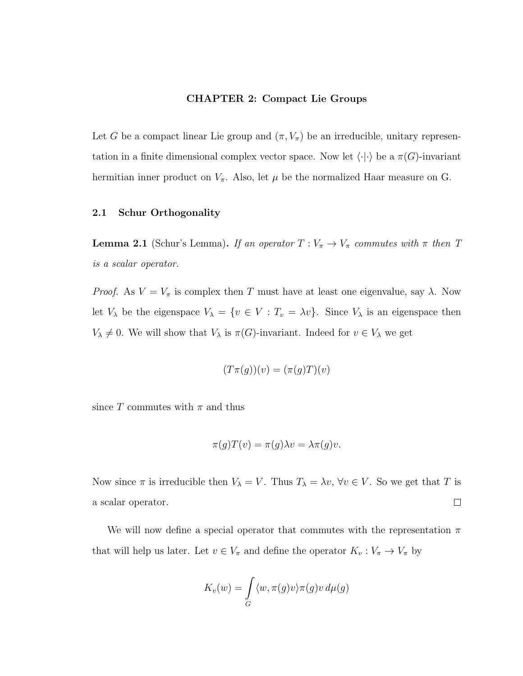#### CHAPTER 2: Compact Lie Groups

Let G be a compact linear Lie group and  $(\pi, V_{\pi})$  be an irreducible, unitary representation in a finite dimensional complex vector space. Now let  $\langle \cdot | \cdot \rangle$  be a  $\pi(G)$ -invariant hermitian inner product on  $V_{\pi}$ . Also, let  $\mu$  be the normalized Haar measure on G.

## 2.1 Schur Orthogonality

**Lemma 2.1** (Schur's Lemma). If an operator  $T: V_{\pi} \to V_{\pi}$  commutes with  $\pi$  then  $T$ is a scalar operator.

*Proof.* As  $V = V_{\pi}$  is complex then T must have at least one eigenvalue, say  $\lambda$ . Now let  $V_{\lambda}$  be the eigenspace  $V_{\lambda} = \{v \in V : T_v = \lambda v\}$ . Since  $V_{\lambda}$  is an eigenspace then  $V_{\lambda} \neq 0$ . We will show that  $V_{\lambda}$  is  $\pi(G)$ -invariant. Indeed for  $v \in V_{\lambda}$  we get

$$
(T\pi(g))(v) = (\pi(g)T)(v)
$$

since T commutes with  $\pi$  and thus

$$
\pi(g)T(v) = \pi(g)\lambda v = \lambda \pi(g)v.
$$

Now since  $\pi$  is irreducible then  $V_{\lambda} = V$ . Thus  $T_{\lambda} = \lambda v$ ,  $\forall v \in V$ . So we get that T is  $\Box$ a scalar operator.

We will now define a special operator that commutes with the representation  $\pi$ that will help us later. Let  $v \in V_{\pi}$  and define the operator  $K_v : V_{\pi} \to V_{\pi}$  by

$$
K_v(w) = \int_G \langle w, \pi(g)v \rangle \pi(g)v \, d\mu(g)
$$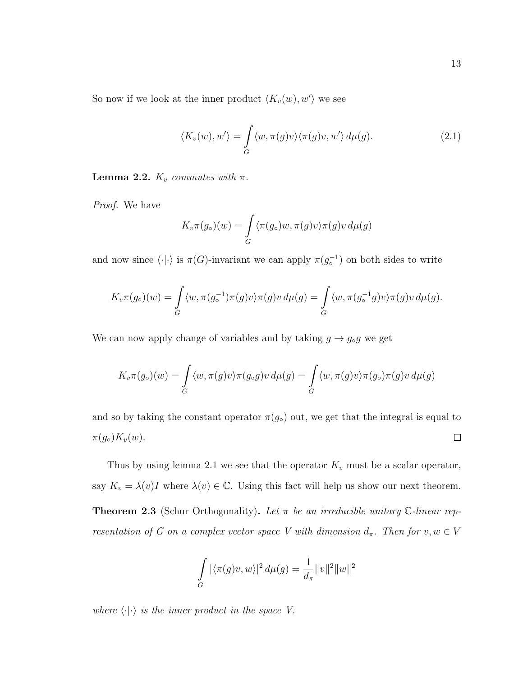So now if we look at the inner product  $\langle K_v(w), w' \rangle$  we see

$$
\langle K_v(w), w' \rangle = \int_G \langle w, \pi(g)v \rangle \langle \pi(g)v, w' \rangle d\mu(g). \tag{2.1}
$$

**Lemma 2.2.**  $K_v$  commutes with  $\pi$ .

Proof. We have

$$
K_v \pi(g_\circ)(w) = \int_G \langle \pi(g_\circ)w, \pi(g)v \rangle \pi(g)v \, d\mu(g)
$$

and now since  $\langle \cdot | \cdot \rangle$  is  $\pi(G)$ -invariant we can apply  $\pi(g_{\circ}^{-1})$  on both sides to write

$$
K_v \pi(g_\circ)(w) = \int_G \langle w, \pi(g_\circ^{-1}) \pi(g)v \rangle \pi(g)v \, d\mu(g) = \int_G \langle w, \pi(g_\circ^{-1}g)v \rangle \pi(g)v \, d\mu(g).
$$

We can now apply change of variables and by taking  $g \to g_{\circ}g$  we get

$$
K_v \pi(g_\circ)(w) = \int_G \langle w, \pi(g)v \rangle \pi(g_\circ g)v \, d\mu(g) = \int_G \langle w, \pi(g)v \rangle \pi(g_\circ) \pi(g)v \, d\mu(g)
$$

and so by taking the constant operator  $\pi(g_0)$  out, we get that the integral is equal to  $\pi(g_\circ)K_v(w).$  $\Box$ 

Thus by using lemma 2.1 we see that the operator  $K_v$  must be a scalar operator, say  $K_v = \lambda(v)I$  where  $\lambda(v) \in \mathbb{C}$ . Using this fact will help us show our next theorem. **Theorem 2.3** (Schur Orthogonality). Let  $\pi$  be an irreducible unitary C-linear representation of G on a complex vector space V with dimension  $d_{\pi}$ . Then for  $v, w \in V$ 

$$
\int_{G} |\langle \pi(g)v, w \rangle|^2 d\mu(g) = \frac{1}{d_{\pi}} ||v||^2 ||w||^2
$$

where  $\langle \cdot | \cdot \rangle$  is the inner product in the space V.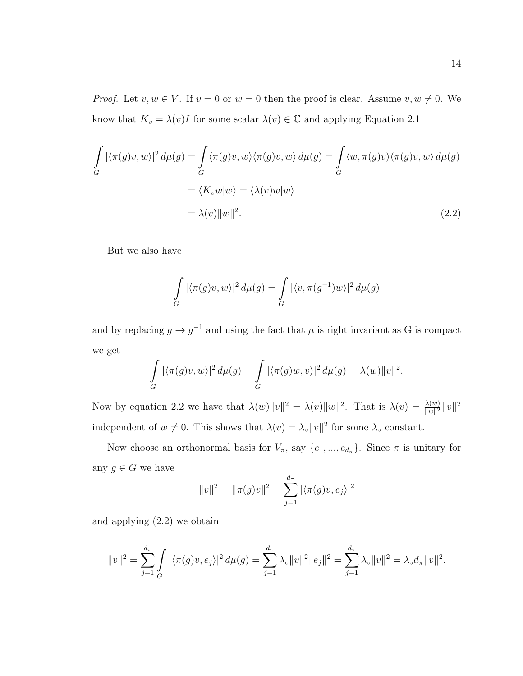*Proof.* Let  $v, w \in V$ . If  $v = 0$  or  $w = 0$  then the proof is clear. Assume  $v, w \neq 0$ . We know that  $K_v = \lambda(v)I$  for some scalar  $\lambda(v) \in \mathbb{C}$  and applying Equation 2.1

$$
\int_{G} |\langle \pi(g)v, w \rangle|^{2} d\mu(g) = \int_{G} \langle \pi(g)v, w \rangle \overline{\langle \pi(g)v, w \rangle} d\mu(g) = \int_{G} \langle w, \pi(g)v \rangle \langle \pi(g)v, w \rangle d\mu(g)
$$

$$
= \langle K_{v}w|w \rangle = \langle \lambda(v)w|w \rangle
$$

$$
= \lambda(v) ||w||^{2}.
$$
(2.2)

But we also have

$$
\int\limits_G |\langle \pi(g)v, w\rangle|^2 d\mu(g) = \int\limits_G |\langle v, \pi(g^{-1})w\rangle|^2 d\mu(g)
$$

and by replacing  $g \to g^{-1}$  and using the fact that  $\mu$  is right invariant as G is compact we get

$$
\int_G |\langle \pi(g)v, w \rangle|^2 d\mu(g) = \int_G |\langle \pi(g)w, v \rangle|^2 d\mu(g) = \lambda(w) ||v||^2.
$$

Now by equation 2.2 we have that  $\lambda(w) \|v\|^2 = \lambda(v) \|w\|^2$ . That is  $\lambda(v) = \frac{\lambda(w)}{\|w\|^2} \|v\|^2$ independent of  $w \neq 0$ . This shows that  $\lambda(v) = \lambda_{\circ} ||v||^2$  for some  $\lambda_{\circ}$  constant.

Now choose an orthonormal basis for  $V_{\pi}$ , say  $\{e_1, ..., e_{d_{\pi}}\}$ . Since  $\pi$  is unitary for any  $g \in G$  we have

$$
||v||^2 = ||\pi(g)v||^2 = \sum_{j=1}^{d_{\pi}} |\langle \pi(g)v, e_j \rangle|^2
$$

and applying (2.2) we obtain

$$
||v||^2 = \sum_{j=1}^{d_{\pi}} \int \left| \langle \pi(g)v, e_j \rangle \right|^2 d\mu(g) = \sum_{j=1}^{d_{\pi}} \lambda_{\circ} ||v||^2 ||e_j||^2 = \sum_{j=1}^{d_{\pi}} \lambda_{\circ} ||v||^2 = \lambda_{\circ} d_{\pi} ||v||^2.
$$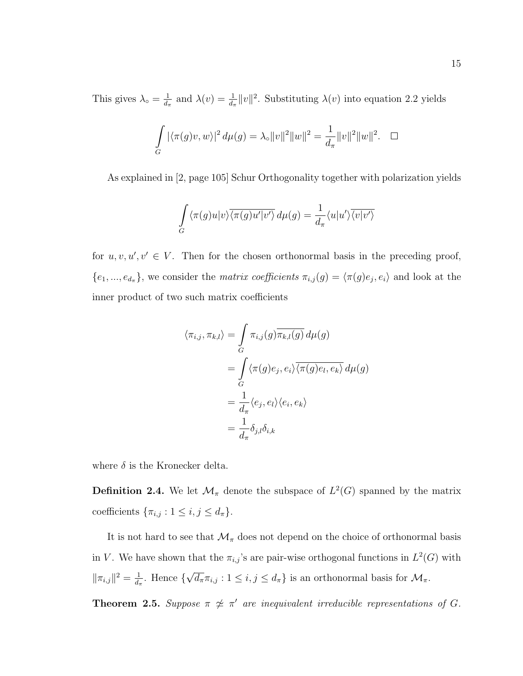This gives  $\lambda_{\circ} = \frac{1}{d_{\circ}}$  $\frac{1}{d_{\pi}}$  and  $\lambda(v) = \frac{1}{d_{\pi}} ||v||^2$ . Substituting  $\lambda(v)$  into equation 2.2 yields

$$
\int_{G} |\langle \pi(g)v, w \rangle|^2 d\mu(g) = \lambda_{\circ} ||v||^2 ||w||^2 = \frac{1}{d_{\pi}} ||v||^2 ||w||^2. \quad \Box
$$

As explained in [2, page 105] Schur Orthogonality together with polarization yields

$$
\int_{G} \langle \pi(g)u|v \rangle \overline{\langle \pi(g)u'|v' \rangle} d\mu(g) = \frac{1}{d_{\pi}} \langle u|u' \rangle \overline{\langle v|v' \rangle}
$$

for  $u, v, u', v' \in V$ . Then for the chosen orthonormal basis in the preceding proof,  $\{e_1, ..., e_{d_{\pi}}\}\$ , we consider the *matrix coefficients*  $\pi_{i,j}(g) = \langle \pi(g)e_j, e_i \rangle$  and look at the inner product of two such matrix coefficients

$$
\langle \pi_{i,j}, \pi_{k,l} \rangle = \int_{G} \pi_{i,j}(g) \overline{\pi_{k,l}(g)} d\mu(g)
$$
  
= 
$$
\int_{G} \langle \pi(g)e_j, e_i \rangle \overline{\langle \pi(g)e_l, e_k \rangle} d\mu(g)
$$
  
= 
$$
\frac{1}{d_{\pi}} \langle e_j, e_l \rangle \langle e_i, e_k \rangle
$$
  
= 
$$
\frac{1}{d_{\pi}} \delta_{j,l} \delta_{i,k}
$$

where  $\delta$  is the Kronecker delta.

**Definition 2.4.** We let  $\mathcal{M}_{\pi}$  denote the subspace of  $L^2(G)$  spanned by the matrix coefficients  $\{\pi_{i,j} : 1 \leq i, j \leq d_{\pi}\}.$ 

It is not hard to see that  $\mathcal{M}_{\pi}$  does not depend on the choice of orthonormal basis in V. We have shown that the  $\pi_{i,j}$ 's are pair-wise orthogonal functions in  $L^2(G)$  with  $\|\pi_{i,j}\|^2 = \frac{1}{d_i}$  $\frac{1}{d_{\pi}}$ . Hence { √  $\overline{d_{\pi}}\pi_{i,j}$ :  $1 \leq i,j \leq d_{\pi}$  is an orthonormal basis for  $\mathcal{M}_{\pi}$ .

**Theorem 2.5.** Suppose  $\pi \nsim \pi'$  are inequivalent irreducible representations of G.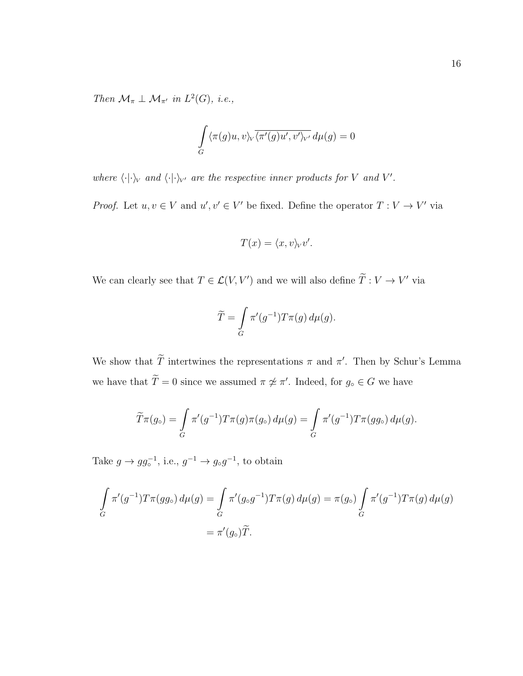Then  $\mathcal{M}_{\pi} \perp \mathcal{M}_{\pi'}$  in  $L^2(G)$ , i.e.,

$$
\int\limits_G \langle \pi(g)u, v \rangle_V \overline{\langle \pi'(g)u', v' \rangle_{V'}} d\mu(g) = 0
$$

where  $\langle \cdot | \cdot \rangle_V$  and  $\langle \cdot | \cdot \rangle_{V'}$  are the respective inner products for V and V'.

*Proof.* Let  $u, v \in V$  and  $u', v' \in V'$  be fixed. Define the operator  $T: V \to V'$  via

$$
T(x) = \langle x, v \rangle_V v'.
$$

We can clearly see that  $T \in \mathcal{L}(V, V')$  and we will also define  $\tilde{T}: V \to V'$  via

$$
\widetilde{T} = \int\limits_G \pi'(g^{-1}) T \pi(g) \, d\mu(g).
$$

We show that  $\tilde{T}$  intertwines the representations  $\pi$  and  $\pi'$ . Then by Schur's Lemma we have that  $\tilde{T} = 0$  since we assumed  $\pi \not\approx \pi'$ . Indeed, for  $g_{\circ} \in G$  we have

$$
\widetilde{T}\pi(g_{\circ}) = \int\limits_{G} \pi'(g^{-1})T\pi(g)\pi(g_{\circ}) d\mu(g) = \int\limits_{G} \pi'(g^{-1})T\pi(gg_{\circ}) d\mu(g).
$$

Take  $g \to gg_{\circ}^{-1}$ , i.e.,  $g^{-1} \to g_{\circ}g^{-1}$ , to obtain

$$
\int_{G} \pi'(g^{-1}) T \pi(gg_{\circ}) d\mu(g) = \int_{G} \pi'(g_{\circ}g^{-1}) T \pi(g) d\mu(g) = \pi(g_{\circ}) \int_{G} \pi'(g^{-1}) T \pi(g) d\mu(g)
$$

$$
= \pi'(g_{\circ}) \widetilde{T}.
$$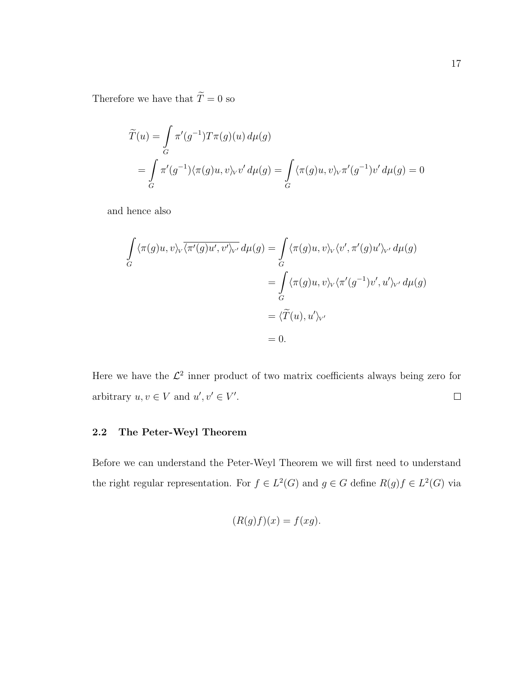Therefore we have that  $\widetilde{T}=0$  so

$$
\widetilde{T}(u) = \int_{G} \pi'(g^{-1}) T \pi(g)(u) d\mu(g)
$$
\n
$$
= \int_{G} \pi'(g^{-1}) \langle \pi(g)u, v \rangle_{V} v' d\mu(g) = \int_{G} \langle \pi(g)u, v \rangle_{V} \pi'(g^{-1}) v' d\mu(g) = 0
$$

and hence also

$$
\int_{G} \langle \pi(g)u, v \rangle_{V} \overline{\langle \pi'(g)u', v' \rangle_{V'}} d\mu(g) = \int_{G} \langle \pi(g)u, v \rangle_{V} \langle v', \pi'(g)u' \rangle_{V'} d\mu(g)
$$
\n
$$
= \int_{G} \langle \pi(g)u, v \rangle_{V} \langle \pi'(g^{-1})v', u' \rangle_{V'} d\mu(g)
$$
\n
$$
= \langle \widetilde{T}(u), u' \rangle_{V'}
$$
\n
$$
= 0.
$$

Here we have the  $\mathcal{L}^2$  inner product of two matrix coefficients always being zero for arbitrary  $u, v \in V$  and  $u', v' \in V'$ .  $\Box$ 

# 2.2 The Peter-Weyl Theorem

Before we can understand the Peter-Weyl Theorem we will first need to understand the right regular representation. For  $f \in L^2(G)$  and  $g \in G$  define  $R(g)f \in L^2(G)$  via

$$
(R(g)f)(x) = f(xg).
$$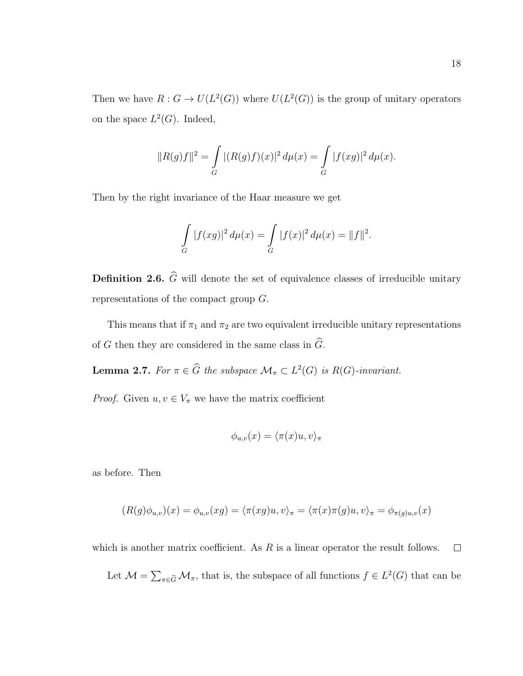Then we have  $R: G \to U(L^2(G))$  where  $U(L^2(G))$  is the group of unitary operators on the space  $L^2(G)$ . Indeed,

$$
||R(g)f||^{2} = \int_{G} |(R(g)f)(x)|^{2} d\mu(x) = \int_{G} |f(xg)|^{2} d\mu(x).
$$

Then by the right invariance of the Haar measure we get

$$
\int_{G} |f(xg)|^2 d\mu(x) = \int_{G} |f(x)|^2 d\mu(x) = ||f||^2.
$$

**Definition 2.6.**  $\widehat{G}$  will denote the set of equivalence classes of irreducible unitary representations of the compact group G.

This means that if  $\pi_1$  and  $\pi_2$  are two equivalent irreducible unitary representations of G then they are considered in the same class in  $\widehat{G}$ .

**Lemma 2.7.** For  $\pi \in \widehat{G}$  the subspace  $\mathcal{M}_{\pi} \subset L^2(G)$  is  $R(G)$ -invariant.

*Proof.* Given  $u, v \in V_\pi$  we have the matrix coefficient

$$
\phi_{u,v}(x) = \langle \pi(x)u, v \rangle_{\pi}
$$

as before. Then

$$
(R(g)\phi_{u,v})(x) = \phi_{u,v}(x) = \langle \pi(x)u, v \rangle_{\pi} = \langle \pi(x)\pi(y)u, v \rangle_{\pi} = \phi_{\pi(y)u,v}(x)
$$

which is another matrix coefficient. As  $R$  is a linear operator the result follows.  $\Box$ 

Let  $\mathcal{M} = \sum_{\pi \in \widehat{G}} \mathcal{M}_{\pi}$ , that is, the subspace of all functions  $f \in L^2(G)$  that can be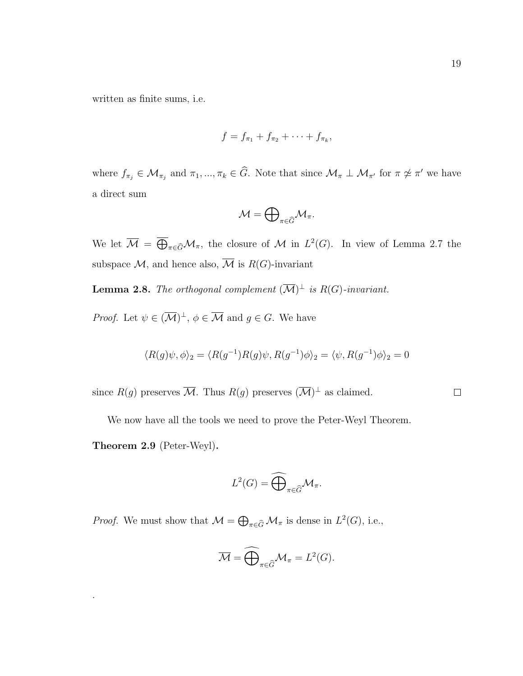written as finite sums, i.e.

$$
f = f_{\pi_1} + f_{\pi_2} + \cdots + f_{\pi_k},
$$

where  $f_{\pi_j} \in \mathcal{M}_{\pi_j}$  and  $\pi_1, ..., \pi_k \in \widehat{G}$ . Note that since  $\mathcal{M}_{\pi} \perp \mathcal{M}_{\pi'}$  for  $\pi \not\approx \pi'$  we have a direct sum

$$
\mathcal{M}=\bigoplus\nolimits_{\pi\in\widehat{G}}\mathcal{M}_\pi.
$$

We let  $\overline{\mathcal{M}} = \overline{\bigoplus}_{\pi \in \widehat{G}} \mathcal{M}_{\pi}$ , the closure of  $\mathcal{M}$  in  $L^2(G)$ . In view of Lemma 2.7 the subspace  $\mathcal{M}$ , and hence also,  $\mathcal{M}$  is  $R(G)$ -invariant

**Lemma 2.8.** The orthogonal complement  $(\overline{\mathcal{M}})^{\perp}$  is  $R(G)$ -invariant.

*Proof.* Let  $\psi \in (\overline{\mathcal{M}})^{\perp}$ ,  $\phi \in \overline{\mathcal{M}}$  and  $g \in G$ . We have

$$
\langle R(g)\psi, \phi \rangle_2 = \langle R(g^{-1})R(g)\psi, R(g^{-1})\phi \rangle_2 = \langle \psi, R(g^{-1})\phi \rangle_2 = 0
$$

since  $R(g)$  preserves  $\overline{\mathcal{M}}$ . Thus  $R(g)$  preserves  $(\overline{\mathcal{M}})^{\perp}$  as claimed.

 $\Box$ 

We now have all the tools we need to prove the Peter-Weyl Theorem.

Theorem 2.9 (Peter-Weyl).

.

$$
L^2(G) = \widehat{\bigoplus}_{\pi \in \widehat{G}} \mathcal{M}_{\pi}.
$$

*Proof.* We must show that  $\mathcal{M} = \bigoplus_{\pi \in \widehat{G}} \mathcal{M}_{\pi}$  is dense in  $L^2(G)$ , i.e.,

$$
\overline{\mathcal{M}} = \widehat{\bigoplus}_{\pi \in \widehat{G}} \mathcal{M}_{\pi} = L^2(G).
$$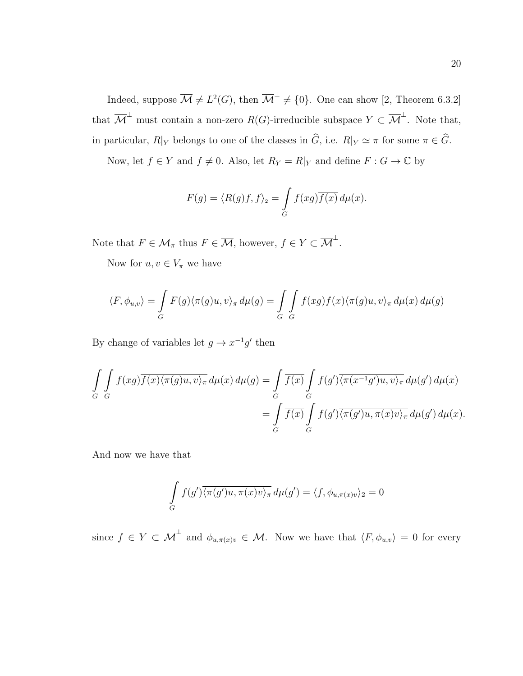Indeed, suppose  $\overline{\mathcal{M}} \neq L^2(G)$ , then  $\overline{\mathcal{M}}^{\perp} \neq \{0\}$ . One can show [2, Theorem 6.3.2] that  $\overline{\mathcal{M}}^{\perp}$  must contain a non-zero  $R(G)$ -irreducible subspace  $Y \subset \overline{\mathcal{M}}^{\perp}$ . Note that, in particular,  $R|_Y$  belongs to one of the classes in  $\widehat{G}$ , i.e.  $R|_Y \simeq \pi$  for some  $\pi \in \widehat{G}$ .

Now, let  $f \in Y$  and  $f \neq 0$ . Also, let  $R_Y = R|_Y$  and define  $F : G \to \mathbb{C}$  by

$$
F(g) = \langle R(g)f, f \rangle_2 = \int_G f(xg) \overline{f(x)} \, d\mu(x).
$$

Note that  $F \in \mathcal{M}_{\pi}$  thus  $F \in \overline{\mathcal{M}}$ , however,  $f \in Y \subset \overline{\mathcal{M}}^{\perp}$ .

Now for  $u, v \in V_{\pi}$  we have

$$
\langle F, \phi_{u,v} \rangle = \int_G F(g) \overline{\langle \pi(g)u, v \rangle_{\pi}} d\mu(g) = \int_G \int_G f(xg) \overline{f(x) \langle \pi(g)u, v \rangle_{\pi}} d\mu(x) d\mu(g)
$$

By change of variables let  $g \to x^{-1}g'$  then

$$
\int_{G} \int_{G} f(xg) \overline{f(x)} \langle \pi(g)u, v \rangle_{\pi} d\mu(x) d\mu(g) = \int_{G} \overline{f(x)} \int_{G} f(g') \overline{\langle \pi(x^{-1}g')u, v \rangle_{\pi}} d\mu(g') d\mu(x)
$$

$$
= \int_{G} \overline{f(x)} \int_{G} f(g') \overline{\langle \pi(g')u, \pi(x)v \rangle_{\pi}} d\mu(g') d\mu(x).
$$

And now we have that

$$
\int_{G} f(g') \overline{\langle \pi(g')u, \pi(x)v \rangle_{\pi}} d\mu(g') = \langle f, \phi_{u, \pi(x)v} \rangle_{2} = 0
$$

since  $f \in Y \subset \overline{\mathcal{M}}^{\perp}$  and  $\phi_{u,\pi(x)v} \in \overline{\mathcal{M}}$ . Now we have that  $\langle F, \phi_{u,v} \rangle = 0$  for every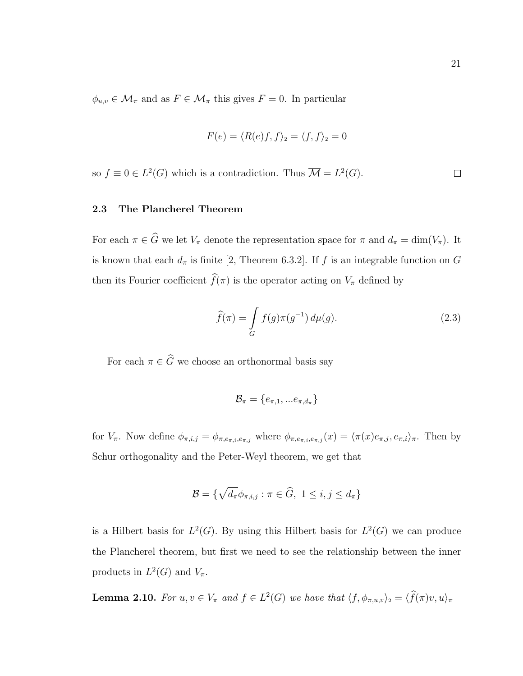$\phi_{u,v} \in \mathcal{M}_{\pi}$  and as  $F \in \mathcal{M}_{\pi}$  this gives  $F = 0$ . In particular

$$
F(e) = \langle R(e)f, f \rangle_2 = \langle f, f \rangle_2 = 0
$$

so  $f \equiv 0 \in L^2(G)$  which is a contradiction. Thus  $\overline{\mathcal{M}} = L^2(G)$ .  $\Box$ 

#### 2.3 The Plancherel Theorem

For each  $\pi \in \widehat{G}$  we let  $V_{\pi}$  denote the representation space for  $\pi$  and  $d_{\pi} = \dim(V_{\pi})$ . It is known that each  $d_{\pi}$  is finite [2, Theorem 6.3.2]. If f is an integrable function on G then its Fourier coefficient  $\widehat{f}(\pi)$  is the operator acting on  $V_{\pi}$  defined by

$$
\widehat{f}(\pi) = \int\limits_G f(g)\pi(g^{-1}) d\mu(g). \tag{2.3}
$$

For each  $\pi \in \widehat{G}$  we choose an orthonormal basis say

$$
\mathcal{B}_{\pi} = \{e_{\pi,1},...e_{\pi,d_{\pi}}\}
$$

for  $V_{\pi}$ . Now define  $\phi_{\pi,i,j} = \phi_{\pi,e_{\pi,i},e_{\pi,j}}$  where  $\phi_{\pi,e_{\pi,i},e_{\pi,j}}(x) = \langle \pi(x)e_{\pi,j}, e_{\pi,i} \rangle_{\pi}$ . Then by Schur orthogonality and the Peter-Weyl theorem, we get that

$$
\mathcal{B} = \{ \sqrt{d_{\pi}} \phi_{\pi, i, j} : \pi \in \widehat{G}, 1 \le i, j \le d_{\pi} \}
$$

is a Hilbert basis for  $L^2(G)$ . By using this Hilbert basis for  $L^2(G)$  we can produce the Plancherel theorem, but first we need to see the relationship between the inner products in  $L^2(G)$  and  $V_{\pi}$ .

**Lemma 2.10.** For  $u, v \in V_{\pi}$  and  $f \in L^2(G)$  we have that  $\langle f, \phi_{\pi,u,v} \rangle_2 = \langle f(\pi)v, u \rangle_{\pi}$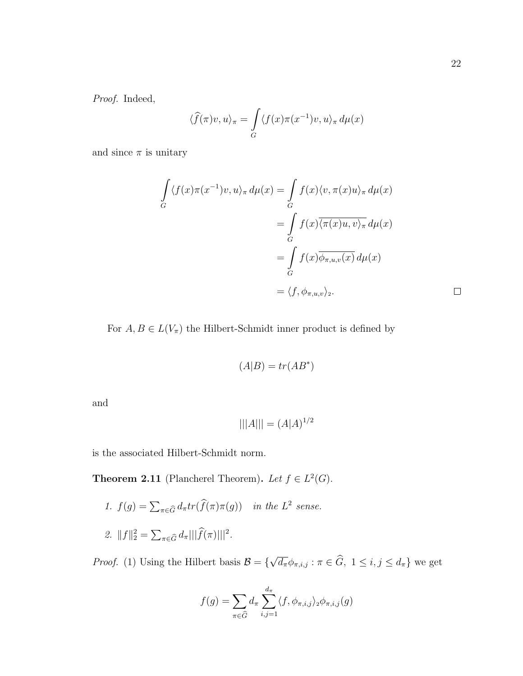Proof. Indeed,

$$
\langle \widehat{f}(\pi)v, u \rangle_{\pi} = \int_{G} \langle f(x)\pi(x^{-1})v, u \rangle_{\pi} d\mu(x)
$$

and since  $\pi$  is unitary

$$
\int_{G} \langle f(x)\pi(x^{-1})v, u\rangle_{\pi} d\mu(x) = \int_{G} f(x)\langle v, \pi(x)u\rangle_{\pi} d\mu(x)
$$
\n
$$
= \int_{G} f(x)\overline{\langle \pi(x)u, v\rangle_{\pi}} d\mu(x)
$$
\n
$$
= \int_{G} f(x)\overline{\phi_{\pi, u, v}(x)} d\mu(x)
$$
\n
$$
= \langle f, \phi_{\pi, u, v}\rangle_{2}.
$$

For  $A, B \in L(V_{\pi})$  the Hilbert-Schmidt inner product is defined by

$$
(A|B) = tr(AB^*)
$$

and

$$
|||A||| = (A|A)^{1/2}
$$

is the associated Hilbert-Schmidt norm.

**Theorem 2.11** (Plancherel Theorem). Let  $f \in L^2(G)$ .

\n- 1. 
$$
f(g) = \sum_{\pi \in \widehat{G}} d_{\pi} tr(\widehat{f}(\pi) \pi(g))
$$
 in the  $L^2$  sense.
\n- 2.  $||f||_2^2 = \sum_{\pi \in \widehat{G}} d_{\pi} |||\widehat{f}(\pi)|||^2$ .
\n

*Proof.* (1) Using the Hilbert basis  $\mathcal{B} = \{$ √  $\overline{d_{\pi}}\phi_{\pi,i,j} : \pi \in G, \ 1 \leq i,j \leq d_{\pi}$  we get

$$
f(g) = \sum_{\pi \in \widehat{G}} d_{\pi} \sum_{i,j=1}^{d_{\pi}} \langle f, \phi_{\pi,i,j} \rangle_2 \phi_{\pi,i,j}(g)
$$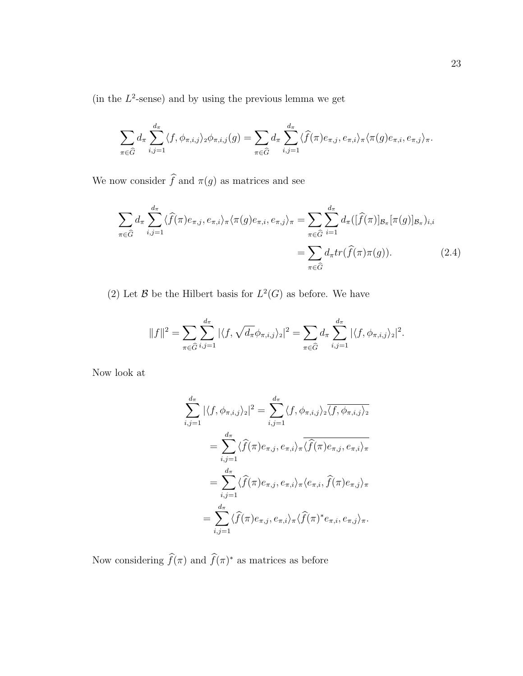(in the  $L^2$ -sense) and by using the previous lemma we get

$$
\sum_{\pi \in \widehat{G}} d_{\pi} \sum_{i,j=1}^{d_{\pi}} \langle f, \phi_{\pi,i,j} \rangle_2 \phi_{\pi,i,j}(g) = \sum_{\pi \in \widehat{G}} d_{\pi} \sum_{i,j=1}^{d_{\pi}} \langle \widehat{f}(\pi) e_{\pi,j}, e_{\pi,i} \rangle_{\pi} \langle \pi(g) e_{\pi,i}, e_{\pi,j} \rangle_{\pi}.
$$

We now consider  $\widehat{f}$  and  $\pi(g)$  as matrices and see

$$
\sum_{\pi \in \widehat{G}} d_{\pi} \sum_{i,j=1}^{d_{\pi}} \langle \widehat{f}(\pi) e_{\pi,j}, e_{\pi,i} \rangle_{\pi} \langle \pi(g) e_{\pi,i}, e_{\pi,j} \rangle_{\pi} = \sum_{\pi \in \widehat{G}} \sum_{i=1}^{d_{\pi}} d_{\pi}([\widehat{f}(\pi)]_{\mathcal{B}_{\pi}}[\pi(g)]_{\mathcal{B}_{\pi}})_{i,i}
$$

$$
= \sum_{\pi \in \widehat{G}} d_{\pi} tr(\widehat{f}(\pi)\pi(g)). \tag{2.4}
$$

(2) Let B be the Hilbert basis for  $L^2(G)$  as before. We have

$$
||f||^2 = \sum_{\pi \in \widehat{G}} \sum_{i,j=1}^{d_{\pi}} |\langle f, \sqrt{d_{\pi}} \phi_{\pi,i,j} \rangle_2|^2 = \sum_{\pi \in \widehat{G}} d_{\pi} \sum_{i,j=1}^{d_{\pi}} |\langle f, \phi_{\pi,i,j} \rangle_2|^2.
$$

Now look at

$$
\sum_{i,j=1}^{d_{\pi}} |\langle f, \phi_{\pi,i,j} \rangle_{2}|^{2} = \sum_{i,j=1}^{d_{\pi}} \langle f, \phi_{\pi,i,j} \rangle_{2} \overline{\langle f, \phi_{\pi,i,j} \rangle_{2}}
$$

$$
= \sum_{i,j=1}^{d_{\pi}} \langle \widehat{f}(\pi) e_{\pi,j}, e_{\pi,i} \rangle_{\pi} \overline{\langle f(\pi) e_{\pi,j}, e_{\pi,i} \rangle_{\pi}}
$$

$$
= \sum_{i,j=1}^{d_{\pi}} \langle \widehat{f}(\pi) e_{\pi,j}, e_{\pi,i} \rangle_{\pi} \langle e_{\pi,i}, \widehat{f}(\pi) e_{\pi,j} \rangle_{\pi}
$$

$$
= \sum_{i,j=1}^{d_{\pi}} \langle \widehat{f}(\pi) e_{\pi,j}, e_{\pi,i} \rangle_{\pi} \langle \widehat{f}(\pi)^{*} e_{\pi,i}, e_{\pi,j} \rangle_{\pi}.
$$

Now considering  $\hat{f}(\pi)$  and  $\hat{f}(\pi)^*$  as matrices as before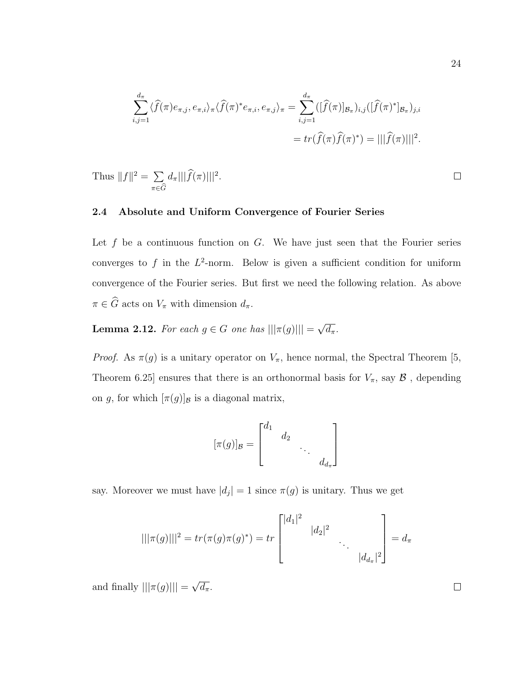$$
\sum_{i,j=1}^{d_{\pi}} \langle \widehat{f}(\pi) e_{\pi,j}, e_{\pi,i} \rangle_{\pi} \langle \widehat{f}(\pi)^{*} e_{\pi,i}, e_{\pi,j} \rangle_{\pi} = \sum_{i,j=1}^{d_{\pi}} ([\widehat{f}(\pi)]_{\mathcal{B}_{\pi}})_{i,j} ([\widehat{f}(\pi)^{*}]_{\mathcal{B}_{\pi}})_{j,i}
$$

$$
= tr(\widehat{f}(\pi)\widehat{f}(\pi)^{*}) = |||\widehat{f}(\pi)|||^{2}.
$$

Thus 
$$
||f||^2 = \sum_{\pi \in \widehat{G}} d_{\pi} |||\widehat{f}(\pi)|||^2
$$
.

### 2.4 Absolute and Uniform Convergence of Fourier Series

Let  $f$  be a continuous function on  $G$ . We have just seen that the Fourier series converges to f in the  $L^2$ -norm. Below is given a sufficient condition for uniform convergence of the Fourier series. But first we need the following relation. As above  $\pi \in \widehat{G}$  acts on  $V_{\pi}$  with dimension  $d_{\pi}.$ 

**Lemma 2.12.** For each  $g \in G$  one has  $|||\pi(g)|||$  = √  $\overline{d_\pi}$ .

*Proof.* As  $\pi(g)$  is a unitary operator on  $V_{\pi}$ , hence normal, the Spectral Theorem [5, Theorem 6.25] ensures that there is an orthonormal basis for  $V_{\pi}$ , say  $\mathcal{B}$ , depending on g, for which  $[\pi(g)]_{\mathcal{B}}$  is a diagonal matrix,

$$
[\pi(g)]_{\mathcal{B}} = \begin{bmatrix} d_1 & & & \\ & d_2 & & \\ & & \ddots & \\ & & & d_{d_{\pi}} \end{bmatrix}
$$

say. Moreover we must have  $|d_j|=1$  since  $\pi(g)$  is unitary. Thus we get

$$
|||\pi(g)|||^2 = tr(\pi(g)\pi(g)^*) = tr\begin{bmatrix} |d_1|^2 & & & \\ & |d_2|^2 & & \\ & & \ddots & \\ & & & |d_{d_\pi}|^2 \end{bmatrix} = d_\pi
$$

and finally  $|||\pi(g)|||$  = √  $\overline{d_{\pi}}$ . 24

 $\Box$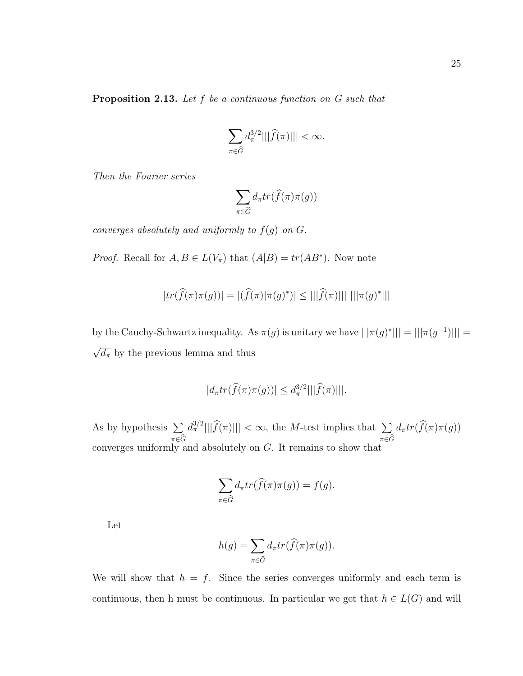$$
\sum_{\pi \in \widehat{G}} d_{\pi}^{3/2} |||\widehat{f}(\pi)||| < \infty.
$$

Then the Fourier series

$$
\sum_{\pi \in \widehat{G}} d_{\pi} tr(\widehat{f}(\pi) \pi(g))
$$

converges absolutely and uniformly to  $f(g)$  on  $G$ .

*Proof.* Recall for  $A, B \in L(V_\pi)$  that  $(A|B) = tr(AB^*)$ . Now note

$$
|tr(\widehat{f}(\pi)\pi(g))| = |(\widehat{f}(\pi)|\pi(g)^*)| \le |||\widehat{f}(\pi)|||| \, |||\pi(g)^*|||
$$

by the Cauchy-Schwartz inequality. As  $\pi(g)$  is unitary we have  $|||\pi(g)^*||| = |||\pi(g^{-1})||| =$ √  $\overline{d_{\pi}}$  by the previous lemma and thus

$$
|d_{\pi}tr(\widehat{f}(\pi)\pi(g))| \leq d_{\pi}^{3/2}|||\widehat{f}(\pi)|||.
$$

As by hypothesis  $\Sigma$  $\pi{\in}G$  $\frac{d^{3/2}_{\pi}|||\widehat{f}(\pi)|||}{\sum_{\pi}$  <  $\infty$ , the *M*-test implies that  $\sum_{\pi}$  $\pi{\in}G$  $d_{\pi}tr(f(\pi)\pi(g))$ converges uniformly and absolutely on G. It remains to show that

$$
\sum_{\pi \in \widehat{G}} d_{\pi} tr(\widehat{f}(\pi) \pi(g)) = f(g).
$$

Let

$$
h(g) = \sum_{\pi \in \widehat{G}} d_{\pi} tr(\widehat{f}(\pi) \pi(g)).
$$

We will show that  $h = f$ . Since the series converges uniformly and each term is continuous, then h must be continuous. In particular we get that  $h \in L(G)$  and will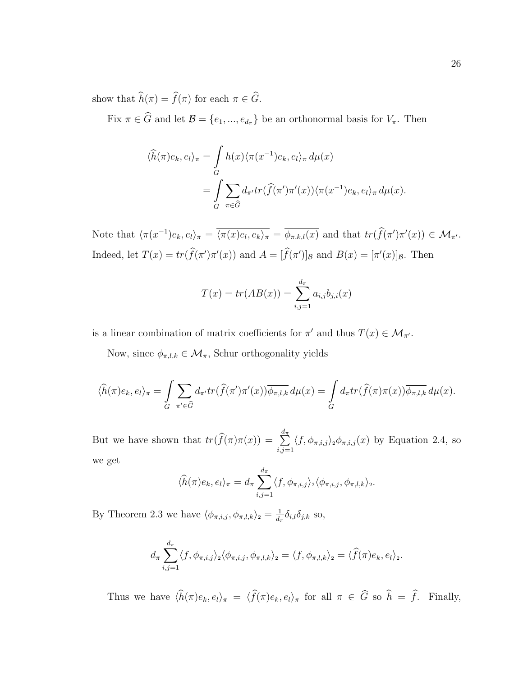show that  $\widehat{h}(\pi) = \widehat{f}(\pi)$  for each  $\pi \in \widehat{G}$ .

Fix  $\pi \in \widehat{G}$  and let  $\mathcal{B} = \{e_1, ..., e_{d_{\pi}}\}$  be an orthonormal basis for  $V_{\pi}$ . Then

$$
\langle \hat{h}(\pi)e_k, e_l \rangle_{\pi} = \int_{G} h(x) \langle \pi(x^{-1})e_k, e_l \rangle_{\pi} d\mu(x)
$$

$$
= \int_{G} \sum_{\pi \in \widehat{G}} d_{\pi'} tr(\hat{f}(\pi')\pi'(x)) \langle \pi(x^{-1})e_k, e_l \rangle_{\pi} d\mu(x).
$$

Note that  $\langle \pi(x^{-1})e_k, e_l \rangle_{\pi} = \overline{\langle \pi(x)e_l, e_k \rangle_{\pi}} = \overline{\phi_{\pi,k,l}(x)}$  and that  $tr(\widehat{f}(\pi')\pi'(x)) \in \mathcal{M}_{\pi'}$ . Indeed, let  $T(x) = tr(\hat{f}(\pi')\pi'(x))$  and  $A = [\hat{f}(\pi')]_B$  and  $B(x) = [\pi'(x)]_B$ . Then

$$
T(x) = tr(AB(x)) = \sum_{i,j=1}^{d_{\pi}} a_{i,j} b_{j,i}(x)
$$

is a linear combination of matrix coefficients for  $\pi'$  and thus  $T(x) \in \mathcal{M}_{\pi'}$ .

Now, since  $\phi_{\pi,l,k} \in \mathcal{M}_{\pi}$ , Schur orthogonality yields

$$
\langle \widehat{h}(\pi)e_k, e_l \rangle_{\pi} = \int_{G} \sum_{\pi' \in \widehat{G}} d_{\pi'} tr(\widehat{f}(\pi')\pi'(x)) \overline{\phi_{\pi,l,k}} d\mu(x) = \int_{G} d_{\pi} tr(\widehat{f}(\pi)\pi(x)) \overline{\phi_{\pi,l,k}} d\mu(x).
$$

But we have shown that  $tr(\widehat{f}(\pi)\pi(x)) = \sum_{i,j=1}^{d_{\pi}}$  $_{i,j=1}$  $\langle f, \phi_{\pi,i,j} \rangle_2 \phi_{\pi,i,j}(x)$  by Equation 2.4, so we get

$$
\langle \widehat{h}(\pi) e_k, e_l \rangle_{\pi} = d_{\pi} \sum_{i,j=1}^{d_{\pi}} \langle f, \phi_{\pi,i,j} \rangle_2 \langle \phi_{\pi,i,j}, \phi_{\pi,l,k} \rangle_2.
$$

By Theorem 2.3 we have  $\langle \phi_{\pi,i,j}, \phi_{\pi,l,k} \rangle_2 = \frac{1}{d}$  $\frac{1}{d_{\pi}}\delta_{i,l}\delta_{j,k}$  so,

$$
d_{\pi} \sum_{i,j=1}^{d_{\pi}} \langle f, \phi_{\pi,i,j} \rangle_2 \langle \phi_{\pi,i,j}, \phi_{\pi,l,k} \rangle_2 = \langle f, \phi_{\pi,l,k} \rangle_2 = \langle \widehat{f}(\pi) e_k, e_l \rangle_2.
$$

Thus we have  $\langle \hat{h}(\pi)e_k, e_l \rangle_{\pi} = \langle \hat{f}(\pi)e_k, e_l \rangle_{\pi}$  for all  $\pi \in \widehat{G}$  so  $\widehat{h} = \widehat{f}$ . Finally,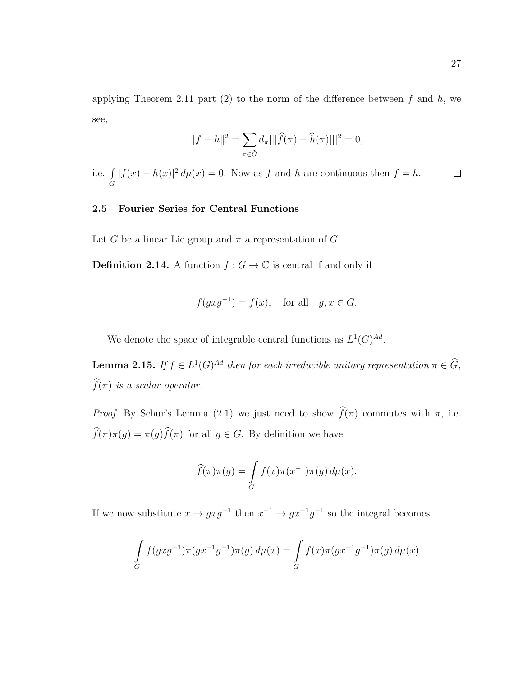applying Theorem 2.11 part  $(2)$  to the norm of the difference between f and h, we see,

$$
||f - h||^2 = \sum_{\pi \in \widehat{G}} d_{\pi} |||\widehat{f}(\pi) - \widehat{h}(\pi)||^2 = 0,
$$

i.e.  $\int$  $|f(x) - h(x)|^2 d\mu(x) = 0$ . Now as f and h are continuous then  $f = h$ .  $\Box$ G

## 2.5 Fourier Series for Central Functions

Let G be a linear Lie group and  $\pi$  a representation of G.

**Definition 2.14.** A function  $f : G \to \mathbb{C}$  is central if and only if

$$
f(gxg^{-1}) = f(x), \quad \text{for all} \quad g, x \in G.
$$

We denote the space of integrable central functions as  $L^1(G)^{Ad}$ .

**Lemma 2.15.** If  $f \in L^1(G)^{Ad}$  then for each irreducible unitary representation  $\pi \in \widehat{G}$ ,  $\widehat{f}(\pi)$  is a scalar operator.

*Proof.* By Schur's Lemma (2.1) we just need to show  $\widehat{f}(\pi)$  commutes with  $\pi$ , i.e.  $\widehat{f}(\pi)\pi(g) = \pi(g)\widehat{f}(\pi)$  for all  $g \in G$ . By definition we have

$$
\widehat{f}(\pi)\pi(g) = \int\limits_G f(x)\pi(x^{-1})\pi(g) d\mu(x).
$$

If we now substitute  $x \to gxg^{-1}$  then  $x^{-1} \to gx^{-1}g^{-1}$  so the integral becomes

$$
\int_{G} f(gxg^{-1})\pi(gx^{-1}g^{-1})\pi(g) d\mu(x) = \int_{G} f(x)\pi(gx^{-1}g^{-1})\pi(g) d\mu(x)
$$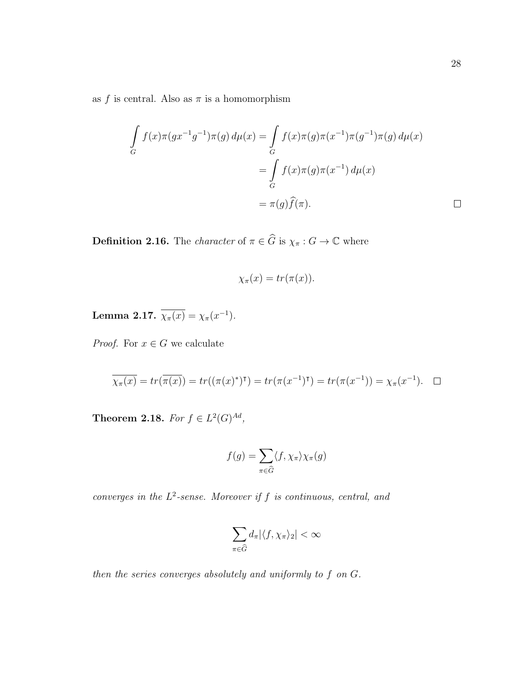as f is central. Also as  $\pi$  is a homomorphism

$$
\int_{G} f(x)\pi(gx^{-1}g^{-1})\pi(g) d\mu(x) = \int_{G} f(x)\pi(g)\pi(x^{-1})\pi(g^{-1})\pi(g) d\mu(x)
$$

$$
= \int_{G} f(x)\pi(g)\pi(x^{-1}) d\mu(x)
$$

$$
= \pi(g)\widehat{f}(\pi).
$$

**Definition 2.16.** The *character* of  $\pi \in \widehat{G}$  is  $\chi_{\pi} : G \to \mathbb{C}$  where

$$
\chi_{\pi}(x) = tr(\pi(x)).
$$

Lemma 2.17.  $\overline{\chi_{\pi}(x)} = \chi_{\pi}(x^{-1}).$ 

*Proof.* For  $x \in G$  we calculate

$$
\overline{\chi_{\pi}(x)} = tr(\overline{\pi(x)}) = tr((\pi(x)^*)^{\mathsf{T}}) = tr(\pi(x^{-1})^{\mathsf{T}}) = tr(\pi(x^{-1})) = \chi_{\pi}(x^{-1}). \quad \Box
$$

Theorem 2.18. For  $f \in L^2(G)^{Ad}$ ,

$$
f(g) = \sum_{\pi \in \widehat{G}} \langle f, \chi_{\pi} \rangle \chi_{\pi}(g)
$$

converges in the  $L^2$ -sense. Moreover if f is continuous, central, and

$$
\sum_{\pi \in \widehat{G}} d_{\pi} |\langle f, \chi_{\pi} \rangle_2| < \infty
$$

then the series converges absolutely and uniformly to f on G.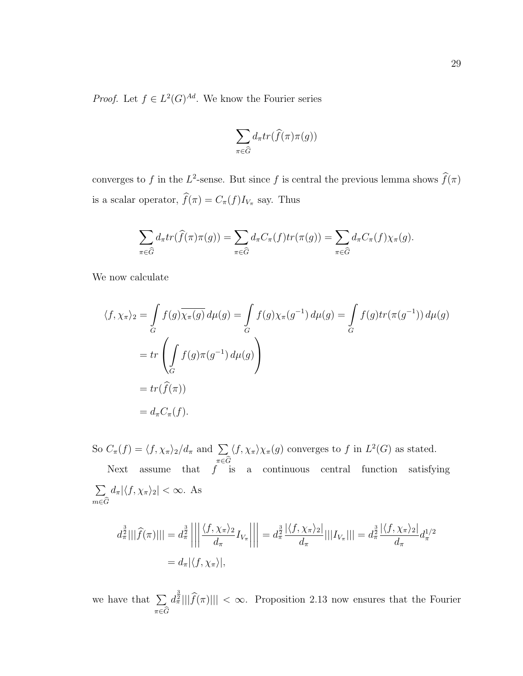*Proof.* Let  $f \in L^2(G)^{Ad}$ . We know the Fourier series

$$
\sum_{\pi \in \widehat{G}} d_{\pi} tr(\widehat{f}(\pi) \pi(g))
$$

converges to f in the  $L^2$ -sense. But since f is central the previous lemma shows  $\hat{f}(\pi)$ is a scalar operator,  $f(\pi) = C_{\pi}(f)I_{V_{\pi}}$  say. Thus

$$
\sum_{\pi \in \widehat{G}} d_{\pi} tr(\widehat{f}(\pi) \pi(g)) = \sum_{\pi \in \widehat{G}} d_{\pi} C_{\pi}(f) tr(\pi(g)) = \sum_{\pi \in \widehat{G}} d_{\pi} C_{\pi}(f) \chi_{\pi}(g).
$$

We now calculate

$$
\langle f, \chi_{\pi} \rangle_{2} = \int_{G} f(g) \overline{\chi_{\pi}(g)} d\mu(g) = \int_{G} f(g) \chi_{\pi}(g^{-1}) d\mu(g) = \int_{G} f(g) tr(\pi(g^{-1})) d\mu(g)
$$
  
=  $tr \left( \int_{G} f(g) \pi(g^{-1}) d\mu(g) \right)$   
=  $tr(\widehat{f}(\pi))$   
=  $d_{\pi} C_{\pi}(f).$ 

So  $C_{\pi}(f) = \langle f, \chi_{\pi} \rangle_2 / d_{\pi}$  and  $\sum$  $\pi \in G$  $\langle f, \chi_{\pi} \rangle \chi_{\pi}(g)$  converges to f in  $L^2(G)$  as stated. Next assume that  $f$  is a continuous central function satisfying  $\sum$  $m \in G$  $d_{\pi}|\langle f, \chi_{\pi} \rangle_2| < \infty$ . As

$$
d_{\pi}^{\frac{3}{2}}|||\widehat{f}(\pi)||| = d_{\pi}^{\frac{3}{2}}\left|\left|\left|\frac{\langle f, \chi_{\pi}\rangle_2}{d_{\pi}}I_{V_{\pi}}\right|\right|\right| = d_{\pi}^{\frac{3}{2}}\frac{|\langle f, \chi_{\pi}\rangle_2|}{d_{\pi}}|||I_{V_{\pi}}||| = d_{\pi}^{\frac{3}{2}}\frac{|\langle f, \chi_{\pi}\rangle_2|}{d_{\pi}}d_{\pi}^{1/2}
$$

$$
= d_{\pi}|\langle f, \chi_{\pi}\rangle|,
$$

we have that  $\Sigma$  $\pi \in G$  $\frac{d^{\frac{3}{2}}}{\|\hat{f}(\pi)\|} < \infty$ . Proposition 2.13 now ensures that the Fourier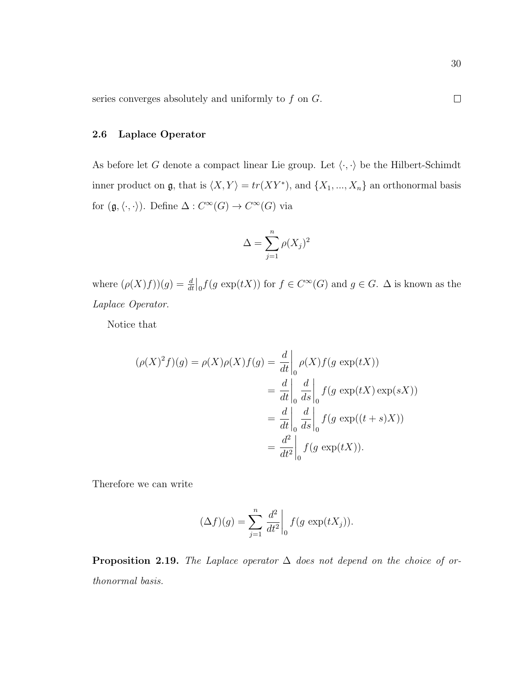series converges absolutely and uniformly to  $f$  on  $G$ .

## 2.6 Laplace Operator

As before let G denote a compact linear Lie group. Let  $\langle \cdot, \cdot \rangle$  be the Hilbert-Schimdt inner product on  $\mathfrak{g}$ , that is  $\langle X, Y \rangle = tr(XY^*)$ , and  $\{X_1, ..., X_n\}$  an orthonormal basis for  $(\mathfrak{g}, \langle \cdot, \cdot \rangle)$ . Define  $\Delta : C^{\infty}(G) \to C^{\infty}(G)$  via

$$
\Delta = \sum_{j=1}^{n} \rho(X_j)^2
$$

where  $(\rho(X)f)(g) = \frac{d}{dt}\big|_0 f(g \exp(tX))$  for  $f \in C^{\infty}(G)$  and  $g \in G$ .  $\Delta$  is known as the Laplace Operator.

Notice that

$$
(\rho(X)^2 f)(g) = \rho(X)\rho(X)f(g) = \frac{d}{dt}\Big|_{0} \rho(X)f(g \exp(tX))
$$
  

$$
= \frac{d}{dt}\Big|_{0} \frac{d}{ds}\Big|_{0} f(g \exp(tX)\exp(sX))
$$
  

$$
= \frac{d}{dt}\Big|_{0} \frac{d}{ds}\Big|_{0} f(g \exp((t+s)X))
$$
  

$$
= \frac{d^2}{dt^2}\Big|_{0} f(g \exp(tX)).
$$

Therefore we can write

$$
(\Delta f)(g) = \sum_{j=1}^{n} \frac{d^2}{dt^2} \bigg|_0 f(g \exp(tX_j)).
$$

**Proposition 2.19.** The Laplace operator  $\Delta$  does not depend on the choice of orthonormal basis.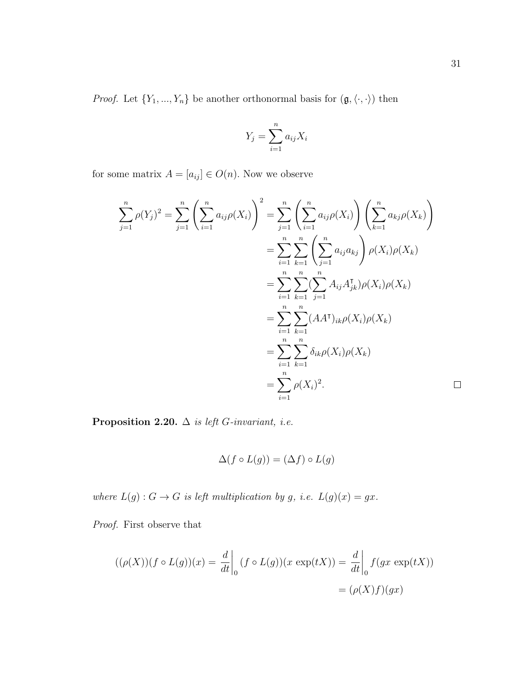*Proof.* Let  $\{Y_1, ..., Y_n\}$  be another orthonormal basis for  $(\mathfrak{g}, \langle \cdot, \cdot \rangle)$  then

$$
Y_j = \sum_{i=1}^n a_{ij} X_i
$$

for some matrix  $A = [a_{ij}] \in O(n)$ . Now we observe

$$
\sum_{j=1}^{n} \rho(Y_j)^2 = \sum_{j=1}^{n} \left( \sum_{i=1}^{n} a_{ij} \rho(X_i) \right)^2 = \sum_{j=1}^{n} \left( \sum_{i=1}^{n} a_{ij} \rho(X_i) \right) \left( \sum_{k=1}^{n} a_{kj} \rho(X_k) \right)
$$
  

$$
= \sum_{i=1}^{n} \sum_{k=1}^{n} \left( \sum_{j=1}^{n} a_{ij} a_{kj} \right) \rho(X_i) \rho(X_k)
$$
  

$$
= \sum_{i=1}^{n} \sum_{k=1}^{n} \left( \sum_{j=1}^{n} A_{ij} A_{jk}^{\mathsf{T}} \rho(X_i) \rho(X_k) \right)
$$
  

$$
= \sum_{i=1}^{n} \sum_{k=1}^{n} (A A^{\mathsf{T}})_{ik} \rho(X_i) \rho(X_k)
$$
  

$$
= \sum_{i=1}^{n} \sum_{k=1}^{n} \delta_{ik} \rho(X_i) \rho(X_k)
$$
  

$$
= \sum_{i=1}^{n} \rho(X_i)^2.
$$

Proposition 2.20.  $\Delta$  is left G-invariant, i.e.

$$
\Delta(f \circ L(g)) = (\Delta f) \circ L(g)
$$

where  $L(g) : G \to G$  is left multiplication by g, i.e.  $L(g)(x) = gx$ .

Proof. First observe that

$$
((\rho(X))(f \circ L(g))(x) = \frac{d}{dt}\Big|_{0} (f \circ L(g))(x \exp(tX)) = \frac{d}{dt}\Big|_{0} f(gx \exp(tX))
$$

$$
= (\rho(X)f)(gx)
$$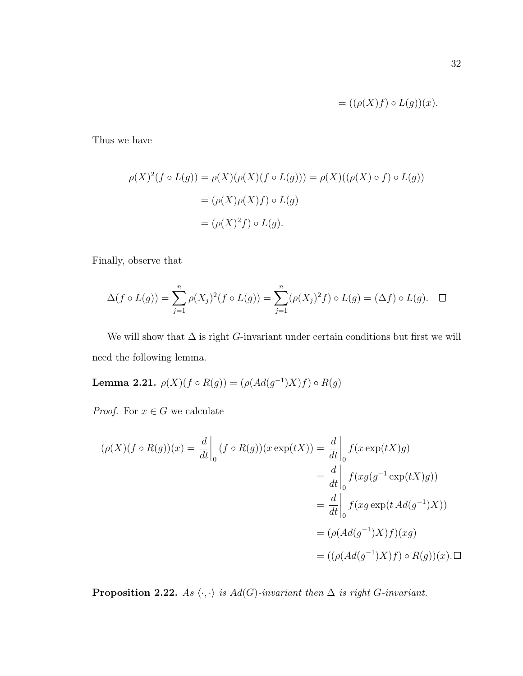$$
= ((\rho(X)f) \circ L(g))(x).
$$

Thus we have

$$
\rho(X)^2(f \circ L(g)) = \rho(X)(\rho(X)(f \circ L(g))) = \rho(X)((\rho(X) \circ f) \circ L(g))
$$

$$
= (\rho(X)\rho(X)f) \circ L(g)
$$

$$
= (\rho(X)^2 f) \circ L(g).
$$

Finally, observe that

$$
\Delta(f \circ L(g)) = \sum_{j=1}^{n} \rho(X_j)^2 (f \circ L(g)) = \sum_{j=1}^{n} (\rho(X_j)^2 f) \circ L(g) = (\Delta f) \circ L(g). \quad \Box
$$

We will show that  $\Delta$  is right G-invariant under certain conditions but first we will need the following lemma.

Lemma 2.21.  $\rho(X)(f \circ R(g)) = (\rho(Ad(g^{-1})X)f) \circ R(g)$ 

*Proof.* For  $x \in G$  we calculate

$$
(\rho(X)(f \circ R(g))(x) = \frac{d}{dt}\Big|_{0} (f \circ R(g))(x \exp(tX)) = \frac{d}{dt}\Big|_{0} f(x \exp(tX)g)
$$
  

$$
= \frac{d}{dt}\Big|_{0} f(xg(g^{-1}\exp(tX)g))
$$
  

$$
= \frac{d}{dt}\Big|_{0} f(xg \exp(tAd(g^{-1})X))
$$
  

$$
= (\rho(Ad(g^{-1})X)f)(xg)
$$
  

$$
= ((\rho(Ad(g^{-1})X)f) \circ R(g))(x) . \Box
$$

**Proposition 2.22.** As  $\langle \cdot, \cdot \rangle$  is Ad(G)-invariant then  $\Delta$  is right G-invariant.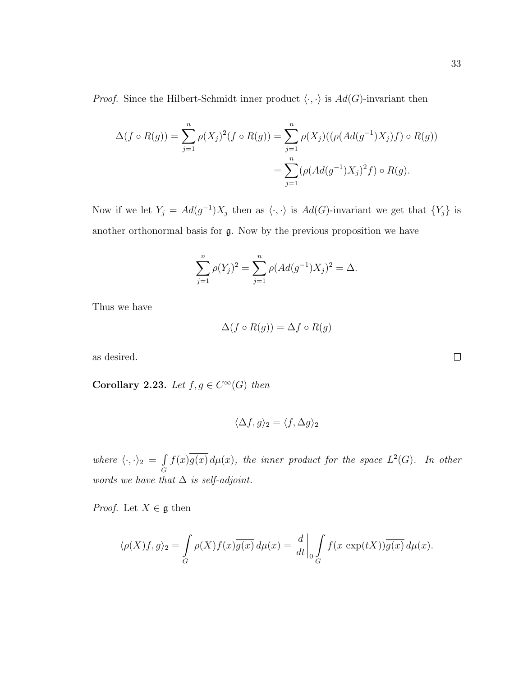*Proof.* Since the Hilbert-Schmidt inner product  $\langle \cdot, \cdot \rangle$  is  $Ad(G)$ -invariant then

$$
\Delta(f \circ R(g)) = \sum_{j=1}^{n} \rho(X_j)^2 (f \circ R(g)) = \sum_{j=1}^{n} \rho(X_j) ((\rho(Ad(g^{-1})X_j) f) \circ R(g))
$$
  
= 
$$
\sum_{j=1}^{n} (\rho(Ad(g^{-1})X_j)^2 f) \circ R(g).
$$

Now if we let  $Y_j = Ad(g^{-1})X_j$  then as  $\langle \cdot, \cdot \rangle$  is  $Ad(G)$ -invariant we get that  $\{Y_j\}$  is another orthonormal basis for g. Now by the previous proposition we have

$$
\sum_{j=1}^{n} \rho(Y_j)^2 = \sum_{j=1}^{n} \rho(Ad(g^{-1})X_j)^2 = \Delta.
$$

Thus we have

$$
\Delta(f \circ R(g)) = \Delta f \circ R(g)
$$

as desired.

Corollary 2.23. Let  $f, g \in C^{\infty}(G)$  then

$$
\langle \Delta f, g \rangle_2 = \langle f, \Delta g \rangle_2
$$

where  $\langle \cdot, \cdot \rangle_2 = \int$ G  $f(x) \overline{g(x)} d\mu(x)$ , the inner product for the space  $L^2(G)$ . In other words we have that  $\Delta$  is self-adjoint.

*Proof.* Let  $X \in \mathfrak{g}$  then

$$
\langle \rho(X)f, g \rangle_2 = \int_G \rho(X)f(x)\overline{g(x)} d\mu(x) = \frac{d}{dt}\bigg|_0 \int_G f(x \exp(tX))\overline{g(x)} d\mu(x).
$$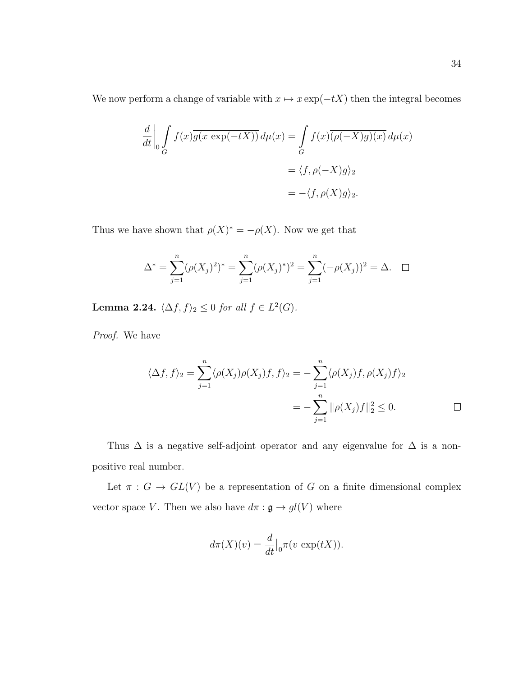We now perform a change of variable with  $x \mapsto x \exp(-tX)$  then the integral becomes

$$
\frac{d}{dt} \Big|_0 \int_G f(x) \overline{g(x \exp(-tX))} \, d\mu(x) = \int_G f(x) \overline{(\rho(-X)g)(x)} \, d\mu(x)
$$
\n
$$
= \langle f, \rho(-X)g \rangle_2
$$
\n
$$
= -\langle f, \rho(X)g \rangle_2.
$$

Thus we have shown that  $\rho(X)^* = -\rho(X)$ . Now we get that

$$
\Delta^* = \sum_{j=1}^n (\rho(X_j)^2)^* = \sum_{j=1}^n (\rho(X_j)^*)^2 = \sum_{j=1}^n (-\rho(X_j))^2 = \Delta. \quad \Box
$$

**Lemma 2.24.**  $\langle \Delta f, f \rangle_2 \leq 0$  for all  $f \in L^2(G)$ .

Proof. We have

$$
\langle \Delta f, f \rangle_2 = \sum_{j=1}^n \langle \rho(X_j)\rho(X_j)f, f \rangle_2 = -\sum_{j=1}^n \langle \rho(X_j)f, \rho(X_j)f \rangle_2
$$
  
= 
$$
-\sum_{j=1}^n \|\rho(X_j)f\|_2^2 \leq 0.
$$

Thus  $\Delta$  is a negative self-adjoint operator and any eigenvalue for  $\Delta$  is a nonpositive real number.

Let  $\pi : G \to GL(V)$  be a representation of G on a finite dimensional complex vector space V. Then we also have  $d\pi : \mathfrak{g} \to gl(V)$  where

$$
d\pi(X)(v) = \frac{d}{dt}\Big|_0 \pi(v \exp(tX)).
$$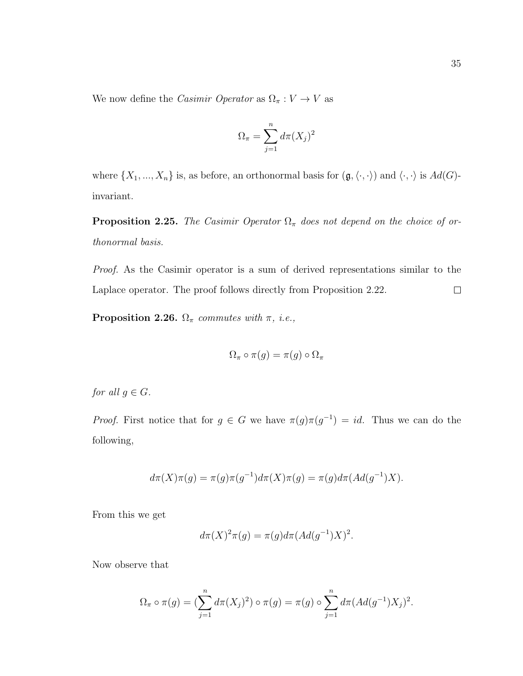We now define the *Casimir Operator* as  $\Omega_{\pi}: V \to V$  as

$$
\Omega_{\pi} = \sum_{j=1}^{n} d\pi (X_j)^2
$$

where  $\{X_1, ..., X_n\}$  is, as before, an orthonormal basis for  $(\mathfrak{g}, \langle \cdot, \cdot \rangle)$  and  $\langle \cdot, \cdot \rangle$  is  $Ad(G)$ invariant.

**Proposition 2.25.** The Casimir Operator  $\Omega_{\pi}$  does not depend on the choice of orthonormal basis.

Proof. As the Casimir operator is a sum of derived representations similar to the Laplace operator. The proof follows directly from Proposition 2.22.  $\Box$ 

**Proposition 2.26.**  $\Omega_{\pi}$  commutes with  $\pi$ , i.e.,

$$
\Omega_{\pi} \circ \pi(g) = \pi(g) \circ \Omega_{\pi}
$$

for all  $g \in G$ .

*Proof.* First notice that for  $g \in G$  we have  $\pi(g)\pi(g^{-1}) = id$ . Thus we can do the following,

$$
d\pi(X)\pi(g) = \pi(g)\pi(g^{-1})d\pi(X)\pi(g) = \pi(g)d\pi(Ad(g^{-1})X).
$$

From this we get

$$
d\pi(X)^2 \pi(g) = \pi(g) d\pi (Ad(g^{-1})X)^2.
$$

Now observe that

$$
\Omega_{\pi} \circ \pi(g) = (\sum_{j=1}^{n} d\pi(X_j)^2) \circ \pi(g) = \pi(g) \circ \sum_{j=1}^{n} d\pi (Ad(g^{-1})X_j)^2.
$$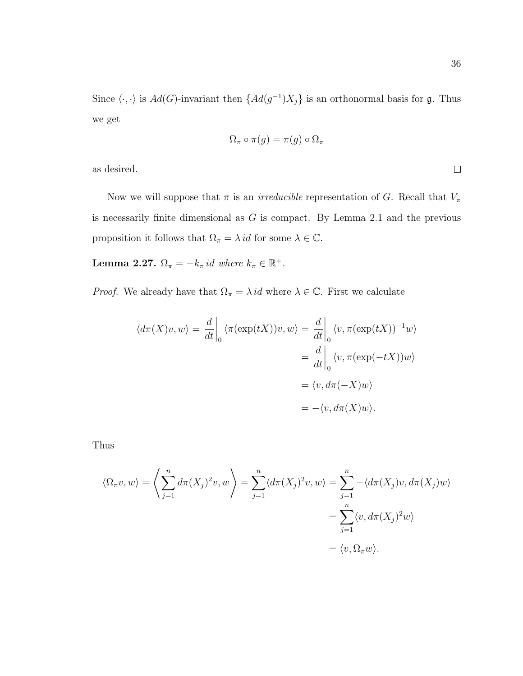Since  $\langle \cdot, \cdot \rangle$  is  $Ad(G)$ -invariant then  $\{Ad(g^{-1})X_j\}$  is an orthonormal basis for g. Thus we get

$$
\Omega_{\pi} \circ \pi(g) = \pi(g) \circ \Omega_{\pi}
$$

as desired.

Now we will suppose that  $\pi$  is an *irreducible* representation of G. Recall that  $V_{\pi}$ is necessarily finite dimensional as  $G$  is compact. By Lemma 2.1 and the previous proposition it follows that  $\Omega_{\pi} = \lambda id$  for some  $\lambda \in \mathbb{C}$ .

Lemma 2.27.  $\Omega_{\pi} = -k_{\pi} id$  where  $k_{\pi} \in \mathbb{R}^+$ .

*Proof.* We already have that  $\Omega_{\pi} = \lambda id$  where  $\lambda \in \mathbb{C}$ . First we calculate

$$
\langle d\pi(X)v, w \rangle = \frac{d}{dt} \bigg|_0 \langle \pi(\exp(tX))v, w \rangle = \frac{d}{dt} \bigg|_0 \langle v, \pi(\exp(tX))^{-1}w \rangle
$$
  

$$
= \frac{d}{dt} \bigg|_0 \langle v, \pi(\exp(-tX))w \rangle
$$
  

$$
= \langle v, d\pi(-X)w \rangle
$$
  

$$
= -\langle v, d\pi(X)w \rangle.
$$

Thus

$$
\langle \Omega_{\pi} v, w \rangle = \left\langle \sum_{j=1}^{n} d\pi (X_j)^2 v, w \right\rangle = \sum_{j=1}^{n} \langle d\pi (X_j)^2 v, w \rangle = \sum_{j=1}^{n} -\langle d\pi (X_j) v, d\pi (X_j) w \rangle
$$
  
= 
$$
\sum_{j=1}^{n} \langle v, d\pi (X_j)^2 w \rangle
$$
  
= 
$$
\langle v, \Omega_{\pi} w \rangle.
$$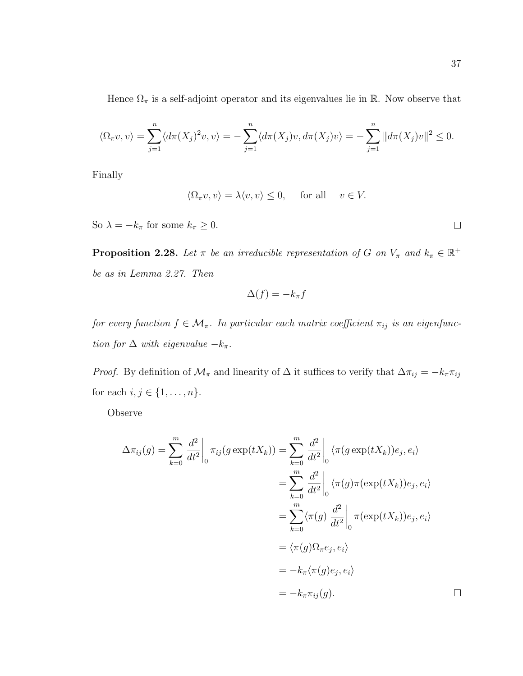Hence  $\Omega_{\pi}$  is a self-adjoint operator and its eigenvalues lie in R. Now observe that

$$
\langle \Omega_{\pi} v, v \rangle = \sum_{j=1}^{n} \langle d\pi(X_j)^2 v, v \rangle = -\sum_{j=1}^{n} \langle d\pi(X_j) v, d\pi(X_j) v \rangle = -\sum_{j=1}^{n} ||d\pi(X_j) v||^2 \le 0.
$$

Finally

$$
\langle \Omega_{\pi} v, v \rangle = \lambda \langle v, v \rangle \le 0, \quad \text{ for all } \quad v \in V.
$$

So  $\lambda = -k_{\pi}$  for some  $k_{\pi} \geq 0$ .

**Proposition 2.28.** Let  $\pi$  be an irreducible representation of G on  $V_{\pi}$  and  $k_{\pi} \in \mathbb{R}^+$ be as in Lemma 2.27. Then

$$
\Delta(f) = -k_{\pi}f
$$

for every function  $f \in \mathcal{M}_{\pi}$ . In particular each matrix coefficient  $\pi_{ij}$  is an eigenfunction for  $\Delta$  with eigenvalue  $-k_{\pi}$ .

*Proof.* By definition of  $\mathcal{M}_{\pi}$  and linearity of  $\Delta$  it suffices to verify that  $\Delta \pi_{ij} = -k_{\pi} \pi_{ij}$ for each  $i, j \in \{1, \ldots, n\}$ .

Observe

$$
\Delta \pi_{ij}(g) = \sum_{k=0}^{m} \frac{d^2}{dt^2} \Big|_0^{\pi_{ij}} (g \exp(tX_k)) = \sum_{k=0}^{m} \frac{d^2}{dt^2} \Big|_0^{\pi_{ij}} (g \exp(tX_k))e_j, e_i \rangle
$$
  
\n
$$
= \sum_{k=0}^{m} \frac{d^2}{dt^2} \Big|_0^{\pi_{ij}} (\pi(g)\pi(\exp(tX_k))e_j, e_i \rangle
$$
  
\n
$$
= \sum_{k=0}^{m} \langle \pi(g) \frac{d^2}{dt^2} \Big|_0^{\pi_{ij}} (\exp(tX_k))e_j, e_i \rangle
$$
  
\n
$$
= \langle \pi(g)\Omega_{\pi}e_j, e_i \rangle
$$
  
\n
$$
= -k_{\pi} \langle \pi(g)e_j, e_i \rangle
$$
  
\n
$$
= -k_{\pi} \pi_{ij}(g).
$$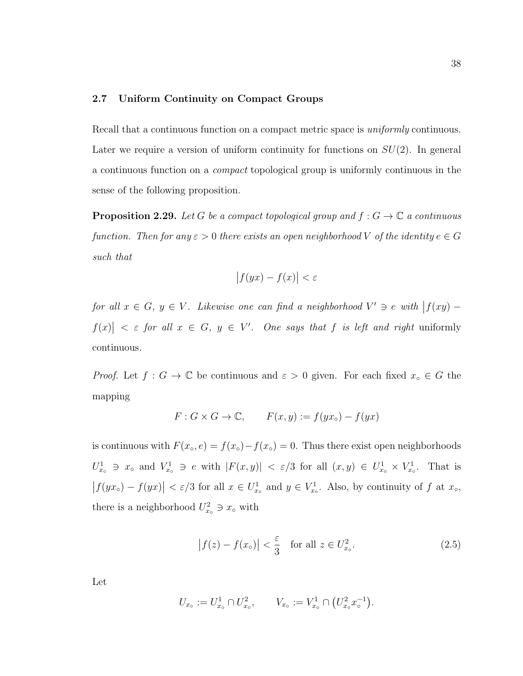#### 2.7 Uniform Continuity on Compact Groups

Recall that a continuous function on a compact metric space is *uniformly* continuous. Later we require a version of uniform continuity for functions on  $SU(2)$ . In general a continuous function on a compact topological group is uniformly continuous in the sense of the following proposition.

**Proposition 2.29.** Let G be a compact topological group and  $f : G \to \mathbb{C}$  a continuous function. Then for any  $\varepsilon > 0$  there exists an open neighborhood V of the identity  $e \in G$ such that

$$
\left|f(yx) - f(x)\right| < \varepsilon
$$

for all  $x \in G$ ,  $y \in V$ . Likewise one can find a neighborhood  $V' \ni e$  with  $|f(xy) - f(x)|$  $|f(x)| < \varepsilon$  for all  $x \in G$ ,  $y \in V'$ . One says that f is left and right uniformly continuous.

*Proof.* Let  $f : G \to \mathbb{C}$  be continuous and  $\varepsilon > 0$  given. For each fixed  $x_{\circ} \in G$  the mapping

$$
F: G \times G \to \mathbb{C}, \qquad F(x, y) := f(yx_{\circ}) - f(yx)
$$

is continuous with  $F(x<sub>o</sub>, e) = f(x<sub>o</sub>) - f(x<sub>o</sub>) = 0$ . Thus there exist open neighborhoods  $U_{x_0}^1 \ni x_0$  and  $V_{x_0}^1 \ni e$  with  $|F(x,y)| < \varepsilon/3$  for all  $(x,y) \in U_{x_0}^1 \times V_{x_0}^1$ . That is  $|f(yx<sub>o</sub>) - f(yx)| < \varepsilon/3$  for all  $x \in U_{x<sub>o</sub>}^1$  and  $y \in V_{x<sub>o</sub>}^1$ . Also, by continuity of f at  $x<sub>o</sub>$ , there is a neighborhood  $U_{x_0}^2 \ni x_{\circ}$  with

$$
\left|f(z) - f(x_\circ)\right| < \frac{\varepsilon}{3} \quad \text{for all } z \in U_{x_\circ}^2. \tag{2.5}
$$

Let

$$
U_{x_{\circ}} := U_{x_{\circ}}^1 \cap U_{x_{\circ}}^2, \qquad V_{x_{\circ}} := V_{x_{\circ}}^1 \cap (U_{x_{\circ}}^2 x_{\circ}^{-1}).
$$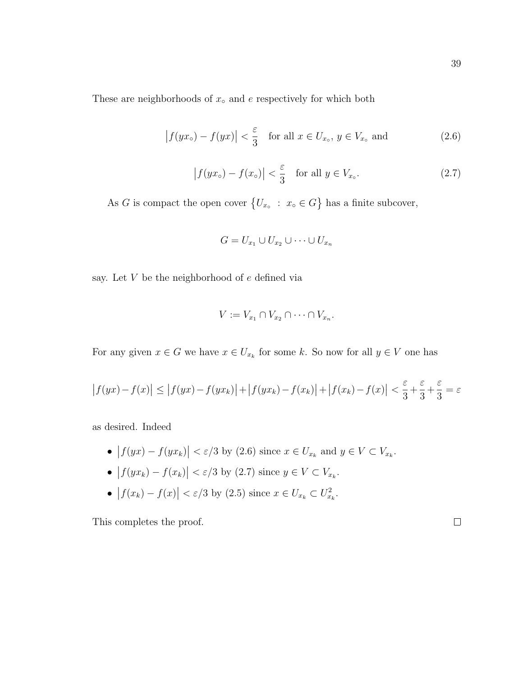These are neighborhoods of  $x<sub>∘</sub>$  and  $e$  respectively for which both

$$
\left|f(yx_{\circ}) - f(yx)\right| < \frac{\varepsilon}{3} \quad \text{for all } x \in U_{x_{\circ}}, \ y \in V_{x_{\circ}} \text{ and} \tag{2.6}
$$

$$
\left|f(yx_{\circ}) - f(x_{\circ})\right| < \frac{\varepsilon}{3} \quad \text{for all } y \in V_{x_{\circ}}.\tag{2.7}
$$

As G is compact the open cover  $\{U_{x} : x \in G\}$  has a finite subcover,

$$
G = U_{x_1} \cup U_{x_2} \cup \cdots \cup U_{x_n}
$$

say. Let V be the neighborhood of e defined via

$$
V := V_{x_1} \cap V_{x_2} \cap \cdots \cap V_{x_n}.
$$

For any given  $x \in G$  we have  $x \in U_{x_k}$  for some k. So now for all  $y \in V$  one has

$$
\left|f(yx) - f(x)\right| \le \left|f(yx) - f(yx_k)\right| + \left|f(yx_k) - f(x_k)\right| + \left|f(x_k) - f(x)\right| < \frac{\varepsilon}{3} + \frac{\varepsilon}{3} + \frac{\varepsilon}{3} = \varepsilon
$$

as desired. Indeed

- $|f(yx) f(yx_k)| < \varepsilon/3$  by (2.6) since  $x \in U_{x_k}$  and  $y \in V \subset V_{x_k}$ .
- $|f(yx_k) f(x_k)| < \varepsilon/3$  by (2.7) since  $y \in V \subset V_{x_k}$ .
- $|f(x_k) f(x)| < \varepsilon/3$  by (2.5) since  $x \in U_{x_k} \subset U_{x_k}^2$ .

This completes the proof.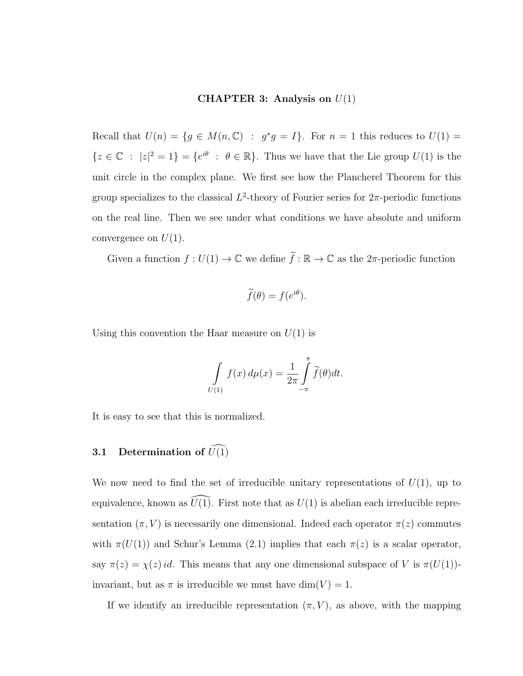### CHAPTER 3: Analysis on  $U(1)$

Recall that  $U(n) = \{ g \in M(n, \mathbb{C}) : g^*g = I \}.$  For  $n = 1$  this reduces to  $U(1) =$  $\{z \in \mathbb{C} : |z|^2 = 1\} = \{e^{i\theta} : \theta \in \mathbb{R}\}.$  Thus we have that the Lie group  $U(1)$  is the unit circle in the complex plane. We first see how the Plancherel Theorem for this group specializes to the classical  $L^2$ -theory of Fourier series for  $2π$ -periodic functions on the real line. Then we see under what conditions we have absolute and uniform convergence on  $U(1)$ .

Given a function  $f: U(1) \to \mathbb{C}$  we define  $\tilde{f}: \mathbb{R} \to \mathbb{C}$  as the  $2\pi$ -periodic function

$$
\widetilde{f}(\theta) = f(e^{i\theta}).
$$

Using this convention the Haar measure on  $U(1)$  is

$$
\int\limits_{U(1)} f(x) \, d\mu(x) = \frac{1}{2\pi} \int\limits_{-\pi}^{\pi} \widetilde{f}(\theta) dt.
$$

It is easy to see that this is normalized.

# **3.1** Determination of  $\widehat{U(1)}$

We now need to find the set of irreducible unitary representations of  $U(1)$ , up to equivalence, known as  $\widehat{U(1)}$ . First note that as  $U(1)$  is abelian each irreducible representation  $(\pi, V)$  is necessarily one dimensional. Indeed each operator  $\pi(z)$  commutes with  $\pi(U(1))$  and Schur's Lemma (2.1) implies that each  $\pi(z)$  is a scalar operator, say  $\pi(z) = \chi(z)$  id. This means that any one dimensional subspace of V is  $\pi(U(1))$ invariant, but as  $\pi$  is irreducible we must have  $\dim(V) = 1$ .

If we identify an irreducible representation  $(\pi, V)$ , as above, with the mapping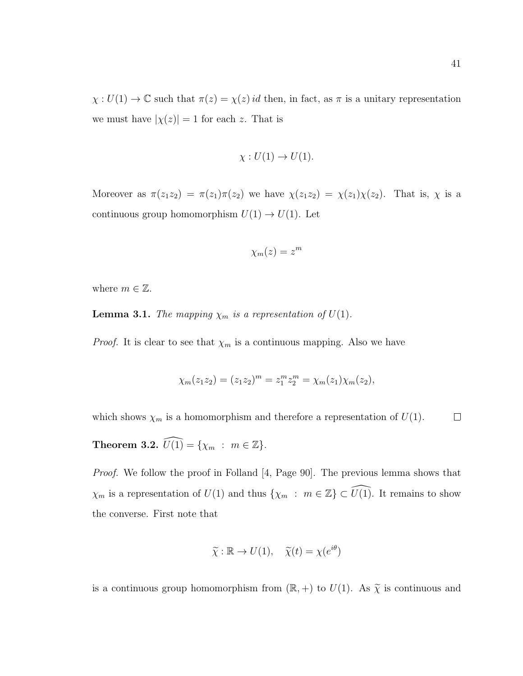$\chi: U(1) \to \mathbb{C}$  such that  $\pi(z) = \chi(z)$  *id* then, in fact, as  $\pi$  is a unitary representation we must have  $|\chi(z)| = 1$  for each z. That is

$$
\chi: U(1) \to U(1).
$$

Moreover as  $\pi(z_1z_2) = \pi(z_1)\pi(z_2)$  we have  $\chi(z_1z_2) = \chi(z_1)\chi(z_2)$ . That is,  $\chi$  is a continuous group homomorphism  $U(1) \rightarrow U(1)$ . Let

$$
\chi_m(z) = z^m
$$

where  $m \in \mathbb{Z}$ .

**Lemma 3.1.** The mapping  $\chi_m$  is a representation of  $U(1)$ .

*Proof.* It is clear to see that  $\chi_m$  is a continuous mapping. Also we have

$$
\chi_m(z_1 z_2) = (z_1 z_2)^m = z_1^m z_2^m = \chi_m(z_1) \chi_m(z_2),
$$

which shows  $\chi_m$  is a homomorphism and therefore a representation of  $U(1)$ .  $\Box$ 

**Theorem 3.2.**  $\widehat{U(1)} = \{ \chi_m : m \in \mathbb{Z} \}.$ 

*Proof.* We follow the proof in Folland [4, Page 90]. The previous lemma shows that  $\chi_m$  is a representation of  $U(1)$  and thus  $\{\chi_m : m \in \mathbb{Z}\}\subset \widehat{U(1)}$ . It remains to show the converse. First note that

$$
\widetilde{\chi} : \mathbb{R} \to U(1), \quad \widetilde{\chi}(t) = \chi(e^{i\theta})
$$

is a continuous group homomorphism from  $(\mathbb{R}, +)$  to  $U(1)$ . As  $\widetilde{\chi}$  is continuous and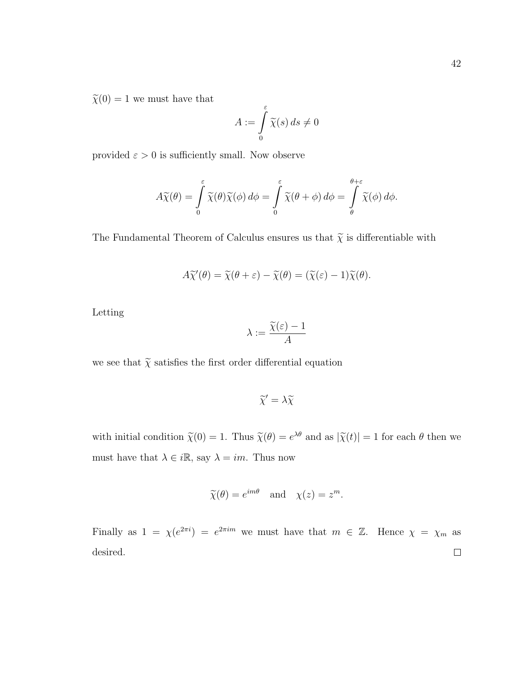$\widetilde{\chi}(0)=1$  we must have that

$$
A := \int_{0}^{\varepsilon} \widetilde{\chi}(s) \, ds \neq 0
$$

provided  $\varepsilon > 0$  is sufficiently small. Now observe

$$
A\widetilde{\chi}(\theta) = \int\limits_0^{\varepsilon} \widetilde{\chi}(\theta)\widetilde{\chi}(\phi) d\phi = \int\limits_0^{\varepsilon} \widetilde{\chi}(\theta + \phi) d\phi = \int\limits_{\theta}^{\theta + \varepsilon} \widetilde{\chi}(\phi) d\phi.
$$

The Fundamental Theorem of Calculus ensures us that  $\widetilde{\chi}$  is differentiable with

$$
A\widetilde{\chi}'(\theta) = \widetilde{\chi}(\theta + \varepsilon) - \widetilde{\chi}(\theta) = (\widetilde{\chi}(\varepsilon) - 1)\widetilde{\chi}(\theta).
$$

Letting

$$
\lambda:=\frac{\widetilde{\chi}(\varepsilon)-1}{A}
$$

we see that  $\widetilde{\chi}$  satisfies the first order differential equation

$$
\widetilde{\chi}' = \lambda \widetilde{\chi}
$$

with initial condition  $\tilde{\chi}(0) = 1$ . Thus  $\tilde{\chi}(\theta) = e^{\lambda \theta}$  and as  $|\tilde{\chi}(t)| = 1$  for each  $\theta$  then we must have that  $\lambda \in i\mathbb{R}$ , say  $\lambda = im$ . Thus now

$$
\widetilde{\chi}(\theta) = e^{im\theta}
$$
 and  $\chi(z) = z^m$ .

Finally as  $1 = \chi(e^{2\pi i}) = e^{2\pi i m}$  we must have that  $m \in \mathbb{Z}$ . Hence  $\chi = \chi_m$  as desired. $\Box$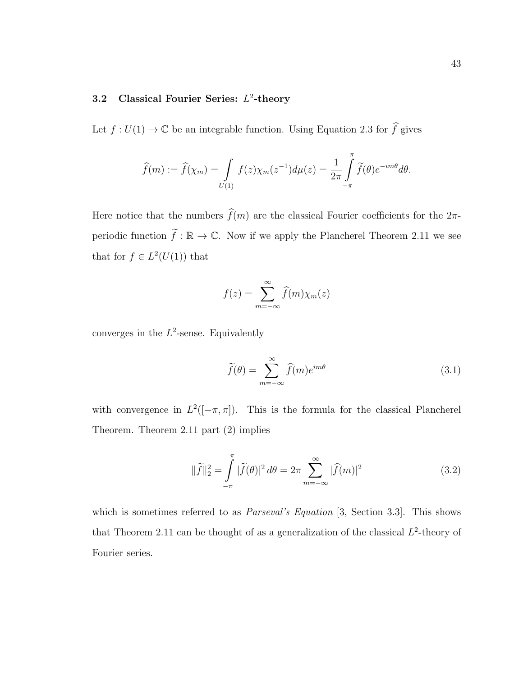## 3.2 Classical Fourier Series:  $L^2$ -theory

Let  $f: U(1) \to \mathbb{C}$  be an integrable function. Using Equation 2.3 for  $\widehat{f}$  gives

$$
\widehat{f}(m) := \widehat{f}(\chi_m) = \int\limits_{U(1)} f(z) \chi_m(z^{-1}) d\mu(z) = \frac{1}{2\pi} \int\limits_{-\pi}^{\pi} \widetilde{f}(\theta) e^{-im\theta} d\theta.
$$

Here notice that the numbers  $\widehat{f}(m)$  are the classical Fourier coefficients for the  $2\pi$ periodic function  $\tilde{f} : \mathbb{R} \to \mathbb{C}$ . Now if we apply the Plancherel Theorem 2.11 we see that for  $f \in L^2(U(1))$  that

$$
f(z) = \sum_{m = -\infty}^{\infty} \widehat{f}(m) \chi_m(z)
$$

converges in the  $L^2$ -sense. Equivalently

$$
\widetilde{f}(\theta) = \sum_{m = -\infty}^{\infty} \widehat{f}(m)e^{im\theta}
$$
\n(3.1)

with convergence in  $L^2([-\pi,\pi])$ . This is the formula for the classical Plancherel Theorem. Theorem 2.11 part (2) implies

$$
\|\widetilde{f}\|_2^2 = \int\limits_{-\pi}^{\pi} |\widetilde{f}(\theta)|^2 d\theta = 2\pi \sum\limits_{m=-\infty}^{\infty} |\widehat{f}(m)|^2
$$
\n(3.2)

which is sometimes referred to as *Parseval's Equation* [3, Section 3.3]. This shows that Theorem 2.11 can be thought of as a generalization of the classical  $L^2$ -theory of Fourier series.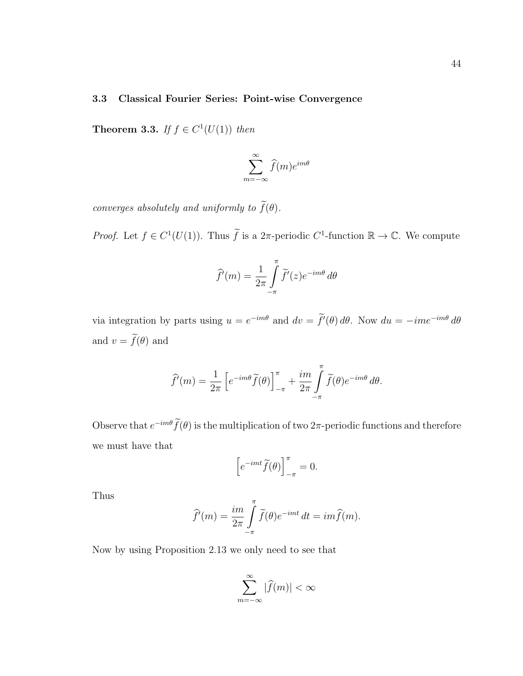### 3.3 Classical Fourier Series: Point-wise Convergence

**Theorem 3.3.** If  $f \in C^1(U(1))$  then

$$
\sum_{m=-\infty}^{\infty} \widehat{f}(m) e^{im\theta}
$$

converges absolutely and uniformly to  $\widetilde{f}(\theta)$ .

*Proof.* Let  $f \in C^1(U(1))$ . Thus  $\widetilde{f}$  is a  $2\pi$ -periodic  $C^1$ -function  $\mathbb{R} \to \mathbb{C}$ . We compute

$$
\widehat{f}'(m) = \frac{1}{2\pi} \int_{-\pi}^{\pi} \widetilde{f}'(z) e^{-im\theta} d\theta
$$

via integration by parts using  $u = e^{-im\theta}$  and  $dv = f'(\theta) d\theta$ . Now  $du = -im e^{-im\theta} d\theta$ and  $v = \widetilde{f}(\theta)$  and

$$
\widehat{f}'(m) = \frac{1}{2\pi} \left[ e^{-im\theta} \widetilde{f}(\theta) \right]_{-\pi}^{\pi} + \frac{im}{2\pi} \int_{-\pi}^{\pi} \widetilde{f}(\theta) e^{-im\theta} d\theta.
$$

Observe that  $e^{-im\theta} f(\theta)$  is the multiplication of two 2 $\pi$ -periodic functions and therefore we must have that

$$
\left[e^{-imt}\widetilde{f}(\theta)\right]_{-\pi}^{\pi} = 0.
$$

Thus

$$
\widehat{f}'(m) = \frac{im}{2\pi} \int_{-\pi}^{\pi} \widetilde{f}(\theta) e^{-imt} dt = im\widehat{f}(m).
$$

Now by using Proposition 2.13 we only need to see that

$$
\sum_{m=-\infty}^{\infty}|\widehat{f}(m)|<\infty
$$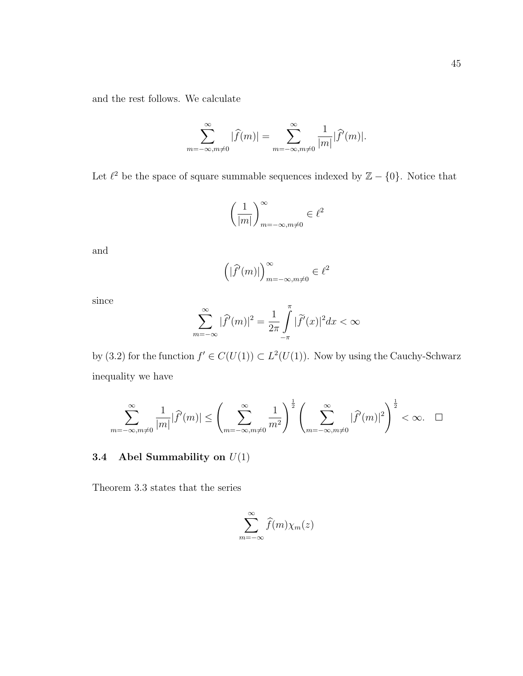and the rest follows. We calculate

$$
\sum_{m=-\infty,m\neq 0}^{\infty} |\widehat{f}(m)| = \sum_{m=-\infty,m\neq 0}^{\infty} \frac{1}{|m|} |\widehat{f}'(m)|.
$$

Let  $\ell^2$  be the space of square summable sequences indexed by  $\mathbb{Z} - \{0\}$ . Notice that

$$
\left(\frac{1}{|m|}\right)_{m=-\infty, m\neq 0}^{\infty} \in \ell^2
$$

and

$$
\left( |\widehat{f}'(m)| \right)_{m = -\infty, m \neq 0}^{\infty} \in \ell^2
$$

since

$$
\sum_{m=-\infty}^{\infty} |\widehat{f}'(m)|^2 = \frac{1}{2\pi} \int_{-\pi}^{\pi} |\widetilde{f}'(x)|^2 dx < \infty
$$

by (3.2) for the function  $f' \in C(U(1)) \subset L^2(U(1))$ . Now by using the Cauchy-Schwarz inequality we have

$$
\sum_{m=-\infty, m\neq 0}^{\infty} \frac{1}{|m|} |\widehat{f}'(m)| \le \left(\sum_{m=-\infty, m\neq 0}^{\infty} \frac{1}{m^2}\right)^{\frac{1}{2}} \left(\sum_{m=-\infty, m\neq 0}^{\infty} |\widehat{f}'(m)|^2\right)^{\frac{1}{2}} < \infty. \quad \Box
$$

# 3.4 Abel Summability on  $U(1)$

Theorem 3.3 states that the series

$$
\sum_{m=-\infty}^{\infty} \widehat{f}(m)\chi_m(z)
$$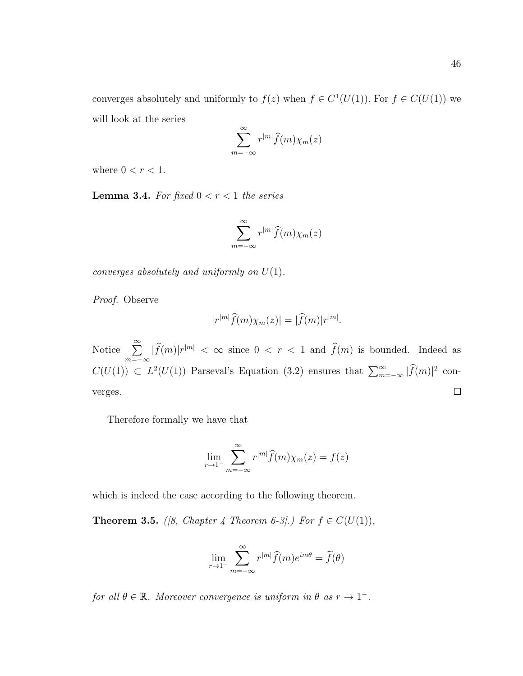converges absolutely and uniformly to  $f(z)$  when  $f \in C^1(U(1))$ . For  $f \in C(U(1))$  we will look at the series

$$
\sum_{m=-\infty}^{\infty} r^{|m|} \widehat{f}(m) \chi_m(z)
$$

where  $0 < r < 1$ .

**Lemma 3.4.** For fixed  $0 < r < 1$  the series

$$
\sum_{m=-\infty}^{\infty} r^{|m|} \widehat{f}(m) \chi_m(z)
$$

converges absolutely and uniformly on  $U(1)$ .

Proof. Observe

$$
|r^{|m|}\widehat{f}(m)\chi_m(z)| = |\widehat{f}(m)|r^{|m|}.
$$

Notice  $\sum_{n=1}^{\infty}$  $\sum_{m=-\infty} |\widehat{f}(m)|r^{|m|} < \infty$  since  $0 < r < 1$  and  $\widehat{f}(m)$  is bounded. Indeed as  $C(U(1)) \subset L^2(U(1))$  Parseval's Equation (3.2) ensures that  $\sum_{m=-\infty}^{\infty} |\widehat{f}(m)|^2$  con- $\Box$ verges.

Therefore formally we have that

$$
\lim_{r \to 1^{-}} \sum_{m=-\infty}^{\infty} r^{|m|} \widehat{f}(m) \chi_m(z) = f(z)
$$

which is indeed the case according to the following theorem.

**Theorem 3.5.** ([8, Chapter 4 Theorem 6-3].) For  $f \in C(U(1)),$ 

$$
\lim_{r \to 1^{-}} \sum_{m=-\infty}^{\infty} r^{|m|} \widehat{f}(m) e^{im\theta} = \widetilde{f}(\theta)
$$

for all  $\theta \in \mathbb{R}$ . Moreover convergence is uniform in  $\theta$  as  $r \to 1^-$ .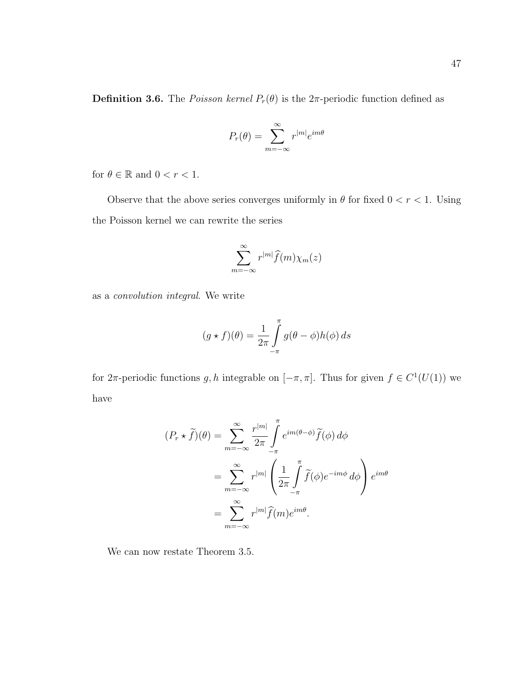$$
P_r(\theta) = \sum_{m=-\infty}^{\infty} r^{|m|} e^{im\theta}
$$

for  $\theta \in \mathbb{R}$  and  $0 < r < 1$ .

Observe that the above series converges uniformly in  $\theta$  for fixed  $0 < r < 1$ . Using the Poisson kernel we can rewrite the series

$$
\sum_{m=-\infty}^{\infty} r^{|m|} \widehat{f}(m) \chi_m(z)
$$

as a convolution integral. We write

$$
(g * f)(\theta) = \frac{1}{2\pi} \int_{-\pi}^{\pi} g(\theta - \phi) h(\phi) \, ds
$$

for  $2\pi$ -periodic functions g, h integrable on  $[-\pi, \pi]$ . Thus for given  $f \in C^1(U(1))$  we have

$$
(P_r \star \tilde{f})(\theta) = \sum_{m=-\infty}^{\infty} \frac{r^{|m|}}{2\pi} \int_{-\pi}^{\pi} e^{im(\theta-\phi)} \tilde{f}(\phi) d\phi
$$
  

$$
= \sum_{m=-\infty}^{\infty} r^{|m|} \left( \frac{1}{2\pi} \int_{-\pi}^{\pi} \tilde{f}(\phi) e^{-im\phi} d\phi \right) e^{im\theta}
$$
  

$$
= \sum_{m=-\infty}^{\infty} r^{|m|} \hat{f}(m) e^{im\theta}.
$$

We can now restate Theorem 3.5.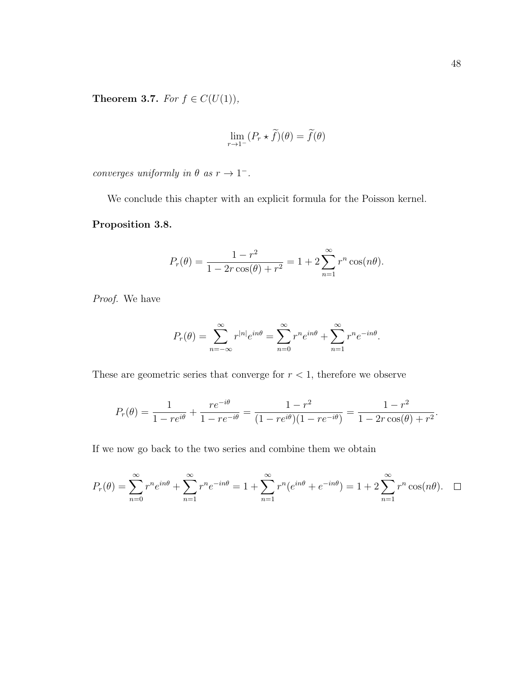Theorem 3.7. For  $f \in C(U(1)),$ 

$$
\lim_{r \to 1^-} (P_r \star \tilde{f})(\theta) = \tilde{f}(\theta)
$$

converges uniformly in  $\theta$  as  $r \to 1^-$ .

We conclude this chapter with an explicit formula for the Poisson kernel.

## Proposition 3.8.

$$
P_r(\theta) = \frac{1 - r^2}{1 - 2r\cos(\theta) + r^2} = 1 + 2\sum_{n=1}^{\infty} r^n \cos(n\theta).
$$

Proof. We have

$$
P_r(\theta) = \sum_{n=-\infty}^{\infty} r^{|n|} e^{in\theta} = \sum_{n=0}^{\infty} r^n e^{in\theta} + \sum_{n=1}^{\infty} r^n e^{-in\theta}.
$$

These are geometric series that converge for  $r < 1$ , therefore we observe

$$
P_r(\theta) = \frac{1}{1 - re^{i\theta}} + \frac{re^{-i\theta}}{1 - re^{-i\theta}} = \frac{1 - r^2}{(1 - re^{i\theta})(1 - re^{-i\theta})} = \frac{1 - r^2}{1 - 2r\cos(\theta) + r^2}.
$$

If we now go back to the two series and combine them we obtain

$$
P_r(\theta) = \sum_{n=0}^{\infty} r^n e^{in\theta} + \sum_{n=1}^{\infty} r^n e^{-in\theta} = 1 + \sum_{n=1}^{\infty} r^n (e^{in\theta} + e^{-in\theta}) = 1 + 2 \sum_{n=1}^{\infty} r^n \cos(n\theta). \quad \Box
$$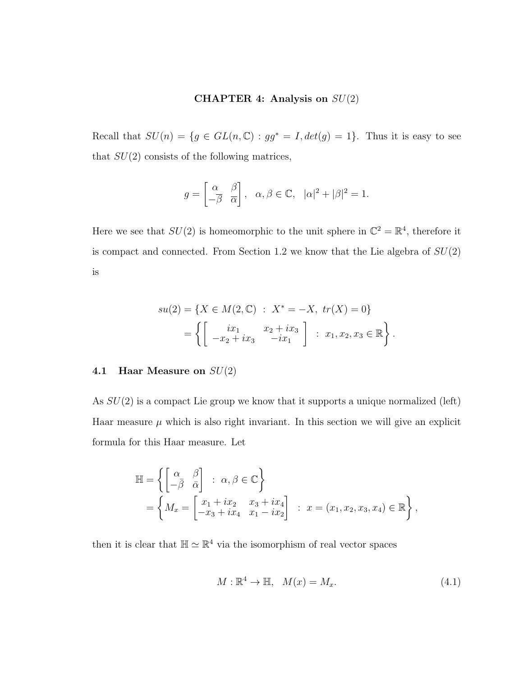### CHAPTER 4: Analysis on  $SU(2)$

Recall that  $SU(n) = \{g \in GL(n, \mathbb{C}) : gg^* = I, det(g) = 1\}$ . Thus it is easy to see that  $SU(2)$  consists of the following matrices,

$$
g = \begin{bmatrix} \alpha & \beta \\ -\overline{\beta} & \overline{\alpha} \end{bmatrix}, \ \alpha, \beta \in \mathbb{C}, \ |\alpha|^2 + |\beta|^2 = 1.
$$

Here we see that  $SU(2)$  is homeomorphic to the unit sphere in  $\mathbb{C}^2 = \mathbb{R}^4$ , therefore it is compact and connected. From Section 1.2 we know that the Lie algebra of  $SU(2)$ is

$$
su(2) = \{ X \in M(2, \mathbb{C}) : X^* = -X, \text{ tr}(X) = 0 \}
$$
  
= 
$$
\left\{ \begin{bmatrix} ix_1 & x_2 + ix_3 \\ -x_2 + ix_3 & -ix_1 \end{bmatrix} : x_1, x_2, x_3 \in \mathbb{R} \right\}.
$$

## 4.1 Haar Measure on  $SU(2)$

As  $SU(2)$  is a compact Lie group we know that it supports a unique normalized (left) Haar measure  $\mu$  which is also right invariant. In this section we will give an explicit formula for this Haar measure. Let

$$
\mathbb{H} = \left\{ \begin{bmatrix} \alpha & \beta \\ -\overline{\beta} & \overline{\alpha} \end{bmatrix} : \alpha, \beta \in \mathbb{C} \right\}
$$
  
= 
$$
\left\{ M_x = \begin{bmatrix} x_1 + ix_2 & x_3 + ix_4 \\ -x_3 + ix_4 & x_1 - ix_2 \end{bmatrix} : x = (x_1, x_2, x_3, x_4) \in \mathbb{R} \right\},
$$

then it is clear that  $\mathbb{H} \simeq \mathbb{R}^4$  via the isomorphism of real vector spaces

$$
M: \mathbb{R}^4 \to \mathbb{H}, \quad M(x) = M_x. \tag{4.1}
$$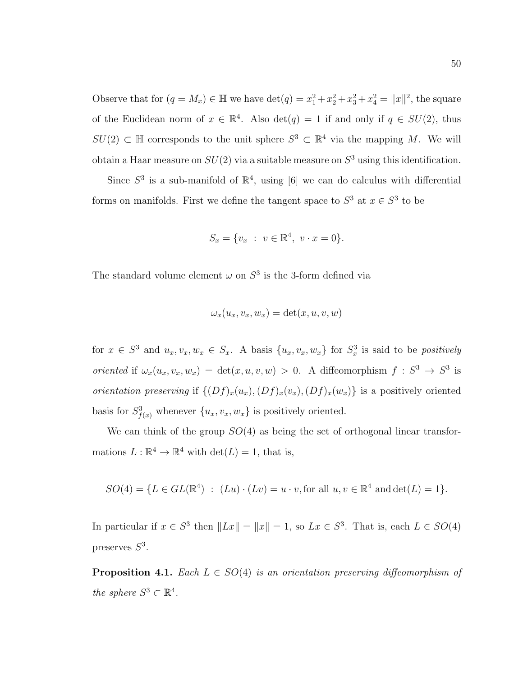Observe that for  $(q = M_x) \in \mathbb{H}$  we have  $\det(q) = x_1^2 + x_2^2 + x_3^2 + x_4^2 = ||x||^2$ , the square of the Euclidean norm of  $x \in \mathbb{R}^4$ . Also  $\det(q) = 1$  if and only if  $q \in SU(2)$ , thus  $SU(2) \subset \mathbb{H}$  corresponds to the unit sphere  $S^3 \subset \mathbb{R}^4$  via the mapping M. We will obtain a Haar measure on  $SU(2)$  via a suitable measure on  $S^3$  using this identification.

Since  $S^3$  is a sub-manifold of  $\mathbb{R}^4$ , using [6] we can do calculus with differential forms on manifolds. First we define the tangent space to  $S^3$  at  $x \in S^3$  to be

$$
S_x = \{v_x : v \in \mathbb{R}^4, v \cdot x = 0\}.
$$

The standard volume element  $\omega$  on  $S^3$  is the 3-form defined via

$$
\omega_x(u_x, v_x, w_x) = \det(x, u, v, w)
$$

for  $x \in S^3$  and  $u_x, v_x, w_x \in S_x$ . A basis  $\{u_x, v_x, w_x\}$  for  $S_x^3$  is said to be *positively* oriented if  $\omega_x(u_x, v_x, w_x) = \det(x, u, v, w) > 0$ . A diffeomorphism  $f : S^3 \to S^3$  is orientation preserving if  $\{(Df)_x(u_x), (Df)_x(v_x), (Df)_x(w_x)\}\)$  is a positively oriented basis for  $S^3_{f(x)}$  whenever  $\{u_x, v_x, w_x\}$  is positively oriented.

We can think of the group  $SO(4)$  as being the set of orthogonal linear transformations  $L : \mathbb{R}^4 \to \mathbb{R}^4$  with  $\det(L) = 1$ , that is,

$$
SO(4) = \{ L \in GL(\mathbb{R}^4) : (Lu) \cdot (Lv) = u \cdot v, \text{ for all } u, v \in \mathbb{R}^4 \text{ and } \det(L) = 1 \}.
$$

In particular if  $x \in S^3$  then  $||Lx|| = ||x|| = 1$ , so  $Lx \in S^3$ . That is, each  $L \in SO(4)$ preserves  $S^3$ .

**Proposition 4.1.** Each  $L \in SO(4)$  is an orientation preserving diffeomorphism of the sphere  $S^3 \subset \mathbb{R}^4$ .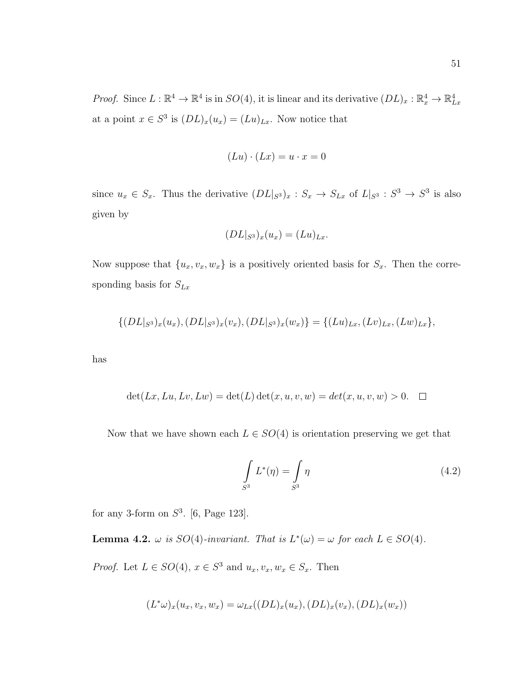*Proof.* Since  $L : \mathbb{R}^4 \to \mathbb{R}^4$  is in  $SO(4)$ , it is linear and its derivative  $(DL)_x : \mathbb{R}^4_x \to \mathbb{R}^4_{Lx}$ at a point  $x \in S^3$  is  $(DL)_x(u_x) = (Lu)_{Lx}$ . Now notice that

$$
(Lu) \cdot (Lx) = u \cdot x = 0
$$

since  $u_x \in S_x$ . Thus the derivative  $(DL|_{S^3})_x : S_x \to S_{Lx}$  of  $L|_{S^3} : S^3 \to S^3$  is also given by

$$
(DL|_{S^3})_x(u_x)=(Lu)_{Lx}.
$$

Now suppose that  $\{u_x, v_x, w_x\}$  is a positively oriented basis for  $S_x$ . Then the corresponding basis for  $S_{Lx}$ 

$$
\{(DL|_{S^3})_x(u_x), (DL|_{S^3})_x(v_x), (DL|_{S^3})_x(w_x)\} = \{(Lu)_{Lx}, (Lv)_{Lx}, (Lw)_{Lx}\},\
$$

has

$$
\det(Lx, Lu, Lv, Lw) = \det(L) \det(x, u, v, w) = \det(x, u, v, w) > 0. \quad \Box
$$

Now that we have shown each  $L \in SO(4)$  is orientation preserving we get that

$$
\int_{S^3} L^*(\eta) = \int_{S^3} \eta \tag{4.2}
$$

for any 3-form on  $S^3$ . [6, Page 123].

**Lemma 4.2.**  $\omega$  is  $SO(4)$ -invariant. That is  $L^*(\omega) = \omega$  for each  $L \in SO(4)$ .

*Proof.* Let  $L \in SO(4)$ ,  $x \in S^3$  and  $u_x, v_x, w_x \in S_x$ . Then

$$
(L^*\omega)_x(u_x,v_x,w_x)=\omega_{Lx}((DL)_x(u_x),(DL)_x(v_x),(DL)_x(w_x))
$$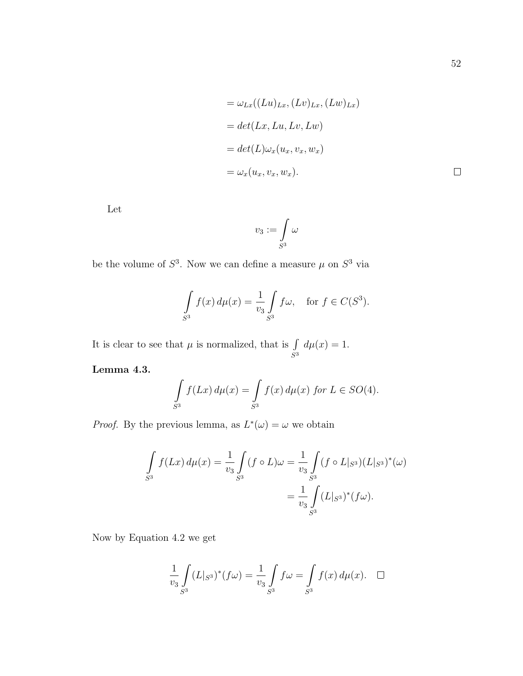$$
= \omega_{Lx}((Lu)_{Lx}, (Lv)_{Lx}, (Lw)_{Lx})
$$
  
=  $det(Lx, Lu, Lv, Lw)$   
=  $det(L)\omega_x(u_x, v_x, w_x)$   
=  $\omega_x(u_x, v_x, w_x)$ .

Let

$$
v_3:=\int\limits_{S^3}\omega
$$

be the volume of  $S^3$ . Now we can define a measure  $\mu$  on  $S^3$  via

$$
\int_{S^3} f(x) d\mu(x) = \frac{1}{v_3} \int_{S^3} f\omega, \quad \text{for } f \in C(S^3).
$$

It is clear to see that  $\mu$  is normalized, that is  $\int$  $S^3$  $d\mu(x) = 1.$ 

Lemma 4.3.

$$
\int_{S^3} f(Lx) d\mu(x) = \int_{S^3} f(x) d\mu(x) \text{ for } L \in SO(4).
$$

*Proof.* By the previous lemma, as  $L^*(\omega) = \omega$  we obtain

$$
\int_{S^3} f(Lx) d\mu(x) = \frac{1}{v_3} \int_{S^3} (f \circ L) \omega = \frac{1}{v_3} \int_{S^3} (f \circ L|_{S^3}) (L|_{S^3})^*(\omega)
$$

$$
= \frac{1}{v_3} \int_{S^3} (L|_{S^3})^*(f\omega).
$$

Now by Equation 4.2 we get

$$
\frac{1}{v_3} \int_{S^3} (L|_{S^3})^* (f\omega) = \frac{1}{v_3} \int_{S^3} f\omega = \int_{S^3} f(x) d\mu(x). \quad \Box
$$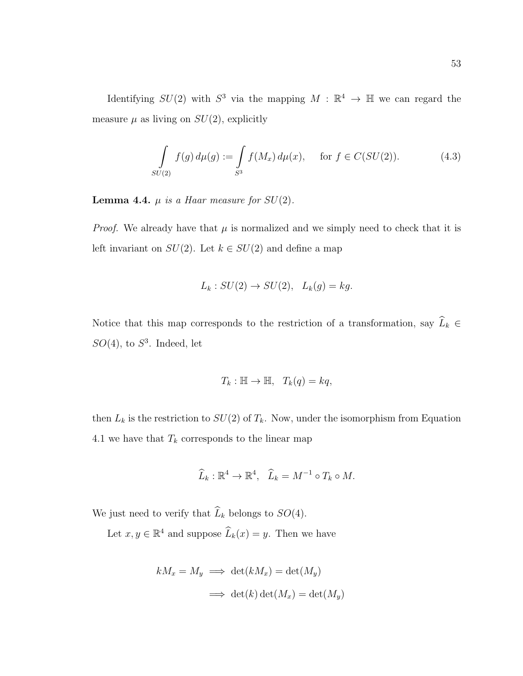Identifying  $SU(2)$  with  $S^3$  via the mapping  $M : \mathbb{R}^4 \to \mathbb{H}$  we can regard the measure  $\mu$  as living on  $SU(2)$ , explicitly

$$
\int_{SU(2)} f(g) d\mu(g) := \int_{S^3} f(M_x) d\mu(x), \quad \text{for } f \in C(SU(2)).
$$
\n(4.3)

**Lemma 4.4.**  $\mu$  is a Haar measure for  $SU(2)$ .

*Proof.* We already have that  $\mu$  is normalized and we simply need to check that it is left invariant on  $SU(2)$ . Let  $k \in SU(2)$  and define a map

$$
L_k: SU(2) \to SU(2), L_k(g) = kg.
$$

Notice that this map corresponds to the restriction of a transformation, say  $\widehat{L}_k$  ∈  $SO(4)$ , to  $S^3$ . Indeed, let

$$
T_k: \mathbb{H} \to \mathbb{H}, \quad T_k(q) = kq,
$$

then  $L_k$  is the restriction to  $SU(2)$  of  $T_k$ . Now, under the isomorphism from Equation 4.1 we have that  $T_k$  corresponds to the linear map

$$
\widehat{L}_k : \mathbb{R}^4 \to \mathbb{R}^4, \quad \widehat{L}_k = M^{-1} \circ T_k \circ M.
$$

We just need to verify that  $\widehat{L}_k$  belongs to  $SO(4)$ .

Let  $x, y \in \mathbb{R}^4$  and suppose  $\widehat{L}_k(x) = y$ . Then we have

$$
kM_x = M_y \implies \det(kM_x) = \det(M_y)
$$

$$
\implies \det(k)\det(M_x) = \det(M_y)
$$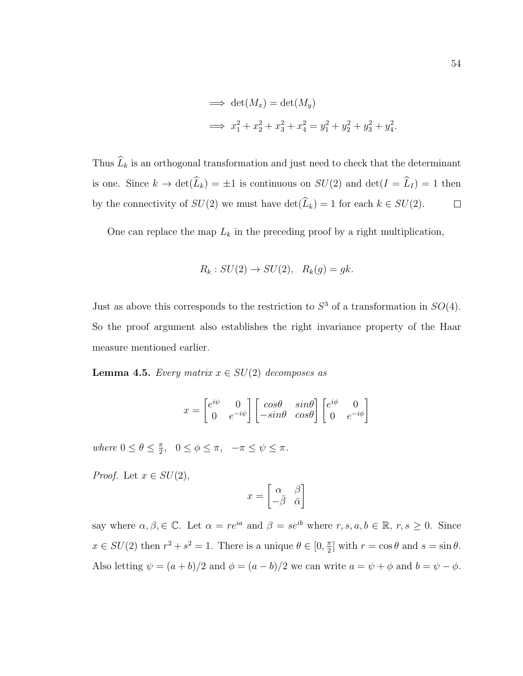$$
\implies \det(M_x) = \det(M_y) \n\implies x_1^2 + x_2^2 + x_3^2 + x_4^2 = y_1^2 + y_2^2 + y_3^2 + y_4^2.
$$

Thus  $\widehat{L}_k$  is an orthogonal transformation and just need to check that the determinant is one. Since  $k \to \det(\widehat{L}_k) = \pm 1$  is continuous on  $SU(2)$  and  $\det(I = \widehat{L}_I) = 1$  then by the connectivity of  $SU(2)$  we must have  $\det(\widehat{L}_k) = 1$  for each  $k \in SU(2)$ .  $\Box$ 

One can replace the map  $L_k$  in the preceding proof by a right multiplication,

$$
R_k: SU(2) \to SU(2), R_k(g) = gk.
$$

Just as above this corresponds to the restriction to  $S<sup>3</sup>$  of a transformation in  $SO(4)$ . So the proof argument also establishes the right invariance property of the Haar measure mentioned earlier.

**Lemma 4.5.** Every matrix  $x \in SU(2)$  decomposes as

$$
x = \begin{bmatrix} e^{i\psi} & 0 \\ 0 & e^{-i\psi} \end{bmatrix} \begin{bmatrix} \cos\theta & \sin\theta \\ -\sin\theta & \cos\theta \end{bmatrix} \begin{bmatrix} e^{i\phi} & 0 \\ 0 & e^{-i\phi} \end{bmatrix}
$$

where  $0 \leq \theta \leq \frac{\pi}{2}$  $\frac{\pi}{2}, \quad 0 \leq \phi \leq \pi, \quad -\pi \leq \psi \leq \pi.$ 

*Proof.* Let  $x \in SU(2)$ ,

$$
x = \begin{bmatrix} \alpha & \beta \\ -\bar{\beta} & \bar{\alpha} \end{bmatrix}
$$

say where  $\alpha, \beta \in \mathbb{C}$ . Let  $\alpha = re^{ia}$  and  $\beta = se^{ib}$  where  $r, s, a, b \in \mathbb{R}$ ,  $r, s \ge 0$ . Since  $x \in SU(2)$  then  $r^2 + s^2 = 1$ . There is a unique  $\theta \in [0, \frac{\pi}{2}]$  $\frac{\pi}{2}$  with  $r = \cos \theta$  and  $s = \sin \theta$ . Also letting  $\psi = (a + b)/2$  and  $\phi = (a - b)/2$  we can write  $a = \psi + \phi$  and  $b = \psi - \phi$ .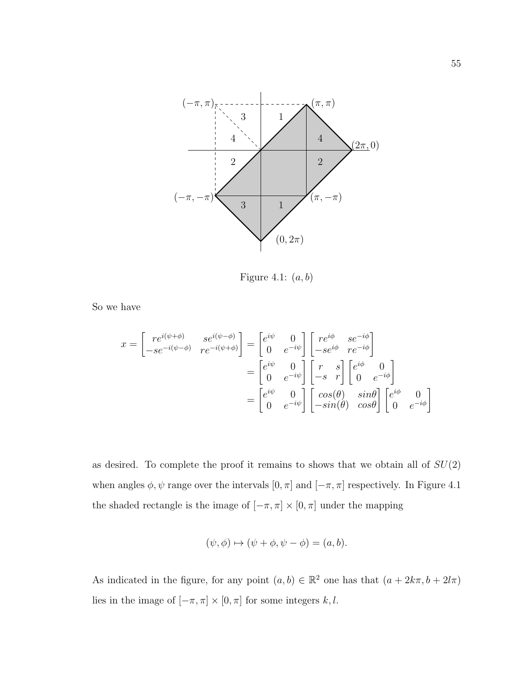

Figure 4.1:  $(a, b)$ 

So we have

$$
x = \begin{bmatrix} re^{i(\psi + \phi)} & se^{i(\psi - \phi)} \ -se^{-i(\psi - \phi)} & re^{-i(\psi + \phi)} \end{bmatrix} = \begin{bmatrix} e^{i\psi} & 0 \ 0 & e^{-i\psi} \end{bmatrix} \begin{bmatrix} re^{i\phi} & se^{-i\phi} \ -se^{i\phi} & re^{-i\phi} \end{bmatrix}
$$

$$
= \begin{bmatrix} e^{i\psi} & 0 \ 0 & e^{-i\psi} \end{bmatrix} \begin{bmatrix} r & s \ -s & r \end{bmatrix} \begin{bmatrix} e^{i\phi} & 0 \ 0 & e^{-i\phi} \end{bmatrix}
$$

$$
= \begin{bmatrix} e^{i\psi} & 0 \ 0 & e^{-i\psi} \end{bmatrix} \begin{bmatrix} \cos(\theta) & \sin\theta \ -\sin(\theta) & \cos\theta \end{bmatrix} \begin{bmatrix} e^{i\phi} & 0 \ 0 & e^{-i\phi} \end{bmatrix}
$$

as desired. To complete the proof it remains to shows that we obtain all of  $SU(2)$ when angles  $\phi, \psi$  range over the intervals  $[0, \pi]$  and  $[-\pi, \pi]$  respectively. In Figure 4.1 the shaded rectangle is the image of  $[-\pi,\pi]\times[0,\pi]$  under the mapping

$$
(\psi, \phi) \mapsto (\psi + \phi, \psi - \phi) = (a, b).
$$

As indicated in the figure, for any point  $(a, b) \in \mathbb{R}^2$  one has that  $(a + 2k\pi, b + 2l\pi)$ lies in the image of  $[-\pi, \pi] \times [0, \pi]$  for some integers  $k, l$ .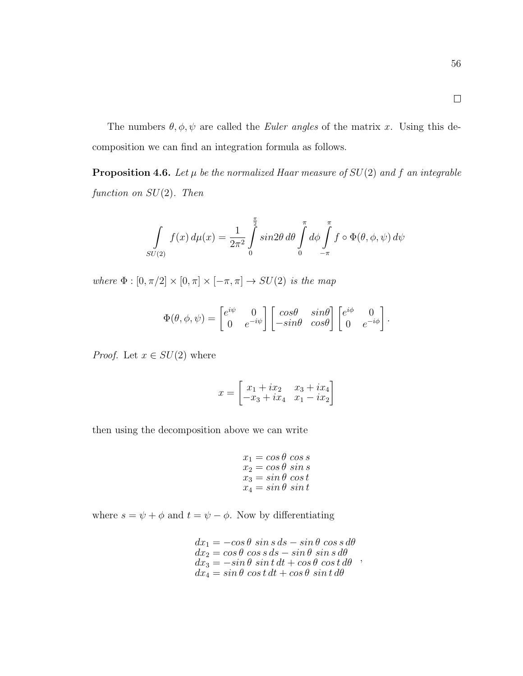The numbers  $\theta$ ,  $\phi$ ,  $\psi$  are called the *Euler angles* of the matrix x. Using this decomposition we can find an integration formula as follows.

**Proposition 4.6.** Let  $\mu$  be the normalized Haar measure of  $SU(2)$  and f an integrable function on  $SU(2)$ . Then

$$
\int_{SU(2)} f(x) d\mu(x) = \frac{1}{2\pi^2} \int_{0}^{\frac{\pi}{2}} \sin 2\theta \, d\theta \int_{0}^{\pi} d\phi \int_{-\pi}^{\pi} f \circ \Phi(\theta, \phi, \psi) d\psi
$$

where  $\Phi : [0, \pi/2] \times [0, \pi] \times [-\pi, \pi] \rightarrow SU(2)$  is the map

$$
\Phi(\theta,\phi,\psi) = \begin{bmatrix} e^{i\psi} & 0 \\ 0 & e^{-i\psi} \end{bmatrix} \begin{bmatrix} \cos\theta & \sin\theta \\ -\sin\theta & \cos\theta \end{bmatrix} \begin{bmatrix} e^{i\phi} & 0 \\ 0 & e^{-i\phi} \end{bmatrix}.
$$

*Proof.* Let  $x \in SU(2)$  where

$$
x = \begin{bmatrix} x_1 + ix_2 & x_3 + ix_4 \\ -x_3 + ix_4 & x_1 - ix_2 \end{bmatrix}
$$

then using the decomposition above we can write

$$
\begin{array}{l} x_1=\cos\theta\,\cos\,s\\ x_2=\cos\theta\,\sin\,s\\ x_3=\sin\theta\,\cos\,t\\ x_4=\sin\theta\,\sin\,t \end{array}
$$

where  $s = \psi + \phi$  and  $t = \psi - \phi$ . Now by differentiating

 $dx_1 = -\cos\theta \, \sin s \, ds - \sin\theta \, \cos s \, d\theta$  $dx_2 = \cos\theta \, \cos s \, ds - \sin\theta \, \sin s \, d\theta$  $dx_3 = -\sin\theta \, \sin t \, dt + \cos\theta \, \cos t \, d\theta$  $dx_4 = \sin \theta \, \cos t \, dt + \cos \theta \, \sin t \, d\theta$ ,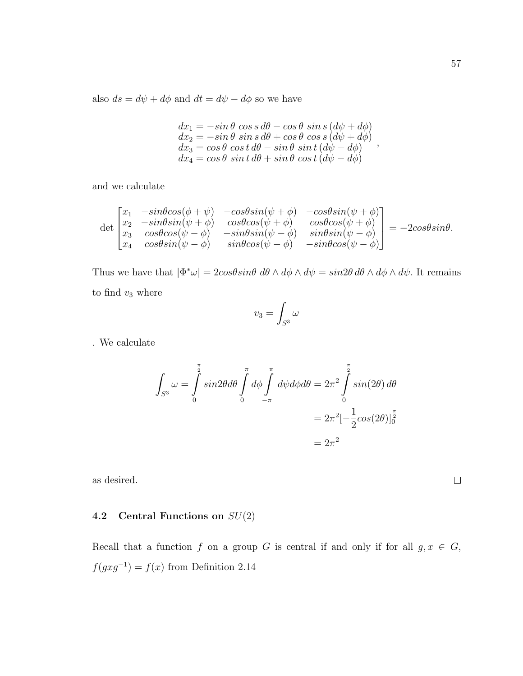also  $ds = d\psi + d\phi$  and  $dt = d\psi - d\phi$  so we have

$$
dx_1 = -\sin\theta \cos s \, d\theta - \cos\theta \, \sin s \, (d\psi + d\phi)
$$
  
\n
$$
dx_2 = -\sin\theta \, \sin s \, d\theta + \cos\theta \, \cos s \, (d\psi + d\phi)
$$
  
\n
$$
dx_3 = \cos\theta \, \cos t \, d\theta - \sin\theta \, \sin t \, (d\psi - d\phi)
$$
  
\n
$$
dx_4 = \cos\theta \, \sin t \, d\theta + \sin\theta \, \cos t \, (d\psi - d\phi)
$$

and we calculate

$$
\det \begin{bmatrix} x_1 & -\sin\theta\cos(\phi + \psi) & -\cos\theta\sin(\psi + \phi) & -\cos\theta\sin(\psi + \phi) \\ x_2 & -\sin\theta\sin(\psi + \phi) & \cos\theta\cos(\psi + \phi) & \cos\theta\cos(\psi + \phi) \\ x_3 & \cos\theta\cos(\psi - \phi) & -\sin\theta\sin(\psi - \phi) & \sin\theta\sin(\psi - \phi) \\ x_4 & \cos\theta\sin(\psi - \phi) & \sin\theta\cos(\psi - \phi) & -\sin\theta\cos(\psi - \phi) \end{bmatrix} = -2\cos\theta\sin\theta.
$$

Thus we have that  $|\Phi^*\omega| = 2\cos\theta \sin\theta \, d\theta \wedge d\phi \wedge d\psi = \sin 2\theta \, d\theta \wedge d\phi \wedge d\psi$ . It remains to find  $v_3$  where

$$
v_3=\int_{S^3}\omega
$$

. We calculate

$$
\int_{S^3} \omega = \int_0^{\frac{\pi}{2}} \sin 2\theta \, d\theta \int_0^{\pi} d\phi \int_{-\pi}^{\pi} d\psi d\phi \, d\theta = 2\pi^2 \int_0^{\frac{\pi}{2}} \sin(2\theta) \, d\theta
$$
\n
$$
= 2\pi^2 \left[ -\frac{1}{2} \cos(2\theta) \right]_0^{\frac{\pi}{2}}
$$
\n
$$
= 2\pi^2
$$

as desired.

# **4.2** Central Functions on  $SU(2)$

Recall that a function f on a group G is central if and only if for all  $g, x \in G$ ,  $f(gxg^{-1}) = f(x)$  from Definition 2.14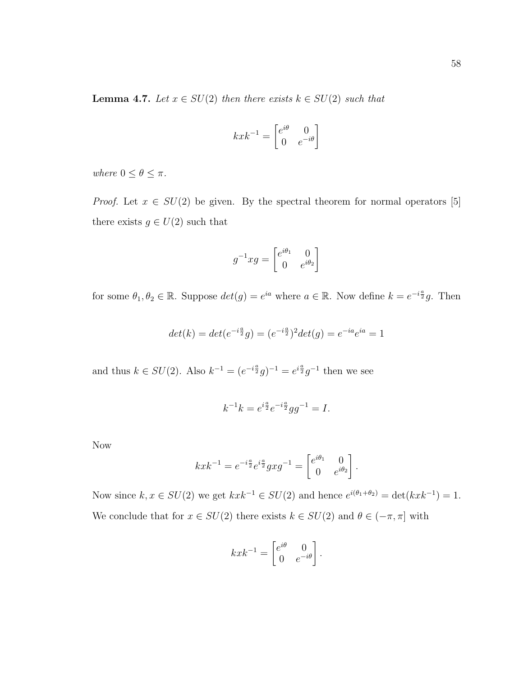$$
kxk^{-1} = \begin{bmatrix} e^{i\theta} & 0\\ 0 & e^{-i\theta} \end{bmatrix}
$$

where  $0 \le \theta \le \pi$ .

*Proof.* Let  $x \in SU(2)$  be given. By the spectral theorem for normal operators [5] there exists  $g \in U(2)$  such that

$$
g^{-1}xg = \begin{bmatrix} e^{i\theta_1} & 0 \\ 0 & e^{i\theta_2} \end{bmatrix}
$$

for some  $\theta_1, \theta_2 \in \mathbb{R}$ . Suppose  $det(g) = e^{ia}$  where  $a \in \mathbb{R}$ . Now define  $k = e^{-i\frac{a}{2}}g$ . Then

$$
det(k) = det(e^{-i\frac{a}{2}}g) = (e^{-i\frac{a}{2}})^2 det(g) = e^{-ia}e^{ia} = 1
$$

and thus  $k \in SU(2)$ . Also  $k^{-1} = (e^{-i\frac{a}{2}}g)^{-1} = e^{i\frac{a}{2}}g^{-1}$  then we see

$$
k^{-1}k = e^{i\frac{a}{2}}e^{-i\frac{a}{2}}gg^{-1} = I.
$$

Now

$$
kxk^{-1} = e^{-i\frac{a}{2}}e^{i\frac{a}{2}}gxg^{-1} = \begin{bmatrix} e^{i\theta_1} & 0\\ 0 & e^{i\theta_2} \end{bmatrix}.
$$

Now since  $k, x \in SU(2)$  we get  $kxk^{-1} \in SU(2)$  and hence  $e^{i(\theta_1 + \theta_2)} = \det(kxk^{-1}) = 1$ . We conclude that for  $x \in SU(2)$  there exists  $k \in SU(2)$  and  $\theta \in (-\pi, \pi]$  with

$$
kxk^{-1} = \begin{bmatrix} e^{i\theta} & 0\\ 0 & e^{-i\theta} \end{bmatrix}.
$$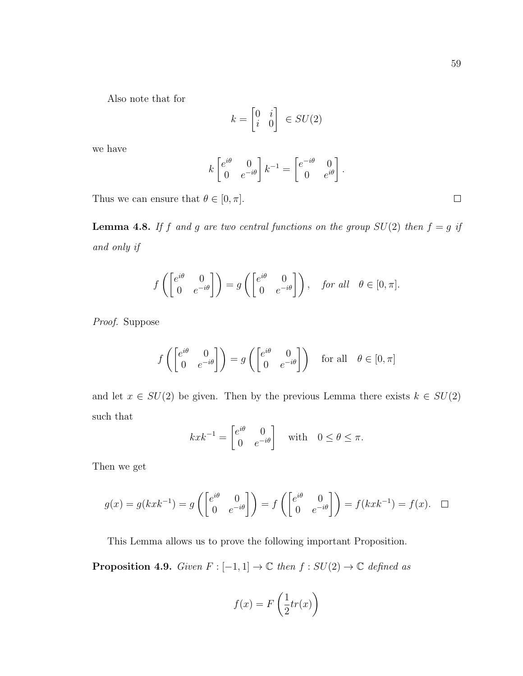Also note that for

$$
k = \begin{bmatrix} 0 & i \\ i & 0 \end{bmatrix} \in SU(2)
$$

we have

$$
k \begin{bmatrix} e^{i\theta} & 0 \\ 0 & e^{-i\theta} \end{bmatrix} k^{-1} = \begin{bmatrix} e^{-i\theta} & 0 \\ 0 & e^{i\theta} \end{bmatrix}.
$$

Thus we can ensure that  $\theta \in [0, \pi]$ .

**Lemma 4.8.** If f and g are two central functions on the group  $SU(2)$  then  $f = g$  if and only if

$$
f\left(\begin{bmatrix} e^{i\theta} & 0\\ 0 & e^{-i\theta} \end{bmatrix}\right) = g\left(\begin{bmatrix} e^{i\theta} & 0\\ 0 & e^{-i\theta} \end{bmatrix}\right), \quad \text{for all} \quad \theta \in [0, \pi].
$$

Proof. Suppose

$$
f\left(\begin{bmatrix} e^{i\theta} & 0\\ 0 & e^{-i\theta} \end{bmatrix}\right) = g\left(\begin{bmatrix} e^{i\theta} & 0\\ 0 & e^{-i\theta} \end{bmatrix}\right) \text{ for all } \theta \in [0, \pi]
$$

and let  $x \in SU(2)$  be given. Then by the previous Lemma there exists  $k \in SU(2)$ such that

$$
kxk^{-1} = \begin{bmatrix} e^{i\theta} & 0\\ 0 & e^{-i\theta} \end{bmatrix} \quad \text{with} \quad 0 \le \theta \le \pi.
$$

Then we get

$$
g(x) = g(kxk^{-1}) = g\left(\begin{bmatrix} e^{i\theta} & 0\\ 0 & e^{-i\theta} \end{bmatrix}\right) = f\left(\begin{bmatrix} e^{i\theta} & 0\\ 0 & e^{-i\theta} \end{bmatrix}\right) = f(kxk^{-1}) = f(x). \quad \Box
$$

This Lemma allows us to prove the following important Proposition.

**Proposition 4.9.** Given  $F : [-1, 1] \to \mathbb{C}$  then  $f : SU(2) \to \mathbb{C}$  defined as

$$
f(x) = F\left(\frac{1}{2}tr(x)\right)
$$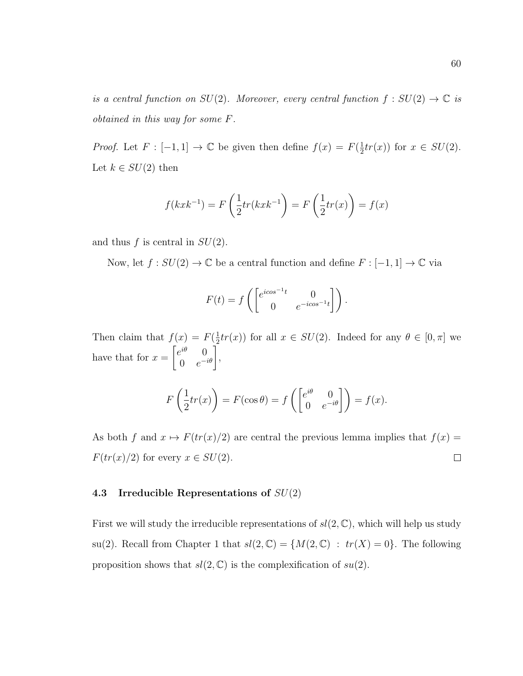is a central function on  $SU(2)$ . Moreover, every central function  $f: SU(2) \to \mathbb{C}$  is obtained in this way for some F.

*Proof.* Let  $F: [-1, 1] \to \mathbb{C}$  be given then define  $f(x) = F(\frac{1}{2})$  $\frac{1}{2}tr(x)$  for  $x \in SU(2)$ . Let  $k \in SU(2)$  then

$$
f(kxk^{-1}) = F\left(\frac{1}{2}tr(kxk^{-1})\right) = F\left(\frac{1}{2}tr(x)\right) = f(x)
$$

and thus  $f$  is central in  $SU(2)$ .

Now, let  $f : SU(2) \to \mathbb{C}$  be a central function and define  $F : [-1,1] \to \mathbb{C}$  via

$$
F(t) = f\left(\begin{bmatrix} e^{icos^{-1}t} & 0\\ 0 & e^{-icos^{-1}t} \end{bmatrix}\right).
$$

Then claim that  $f(x) = F(\frac{1}{2})$  $\frac{1}{2}tr(x)$  for all  $x \in SU(2)$ . Indeed for any  $\theta \in [0, \pi]$  we have that for  $x =$  $\int e^{i\theta} = 0$  $\left. \begin{matrix} e^{i\theta} & 0\ 0 & e^{-i\theta} \end{matrix} \right|,$ 

$$
F\left(\frac{1}{2}tr(x)\right) = F(\cos\theta) = f\left(\begin{bmatrix} e^{i\theta} & 0\\ 0 & e^{-i\theta} \end{bmatrix}\right) = f(x).
$$

As both f and  $x \mapsto F(tr(x)/2)$  are central the previous lemma implies that  $f(x) =$  $F(tr(x)/2)$  for every  $x \in SU(2)$ .  $\Box$ 

### 4.3 Irreducible Representations of  $SU(2)$

First we will study the irreducible representations of  $sl(2,\mathbb{C})$ , which will help us study su(2). Recall from Chapter 1 that  $sl(2, \mathbb{C}) = \{M(2, \mathbb{C}) : tr(X) = 0\}$ . The following proposition shows that  $sl(2,\mathbb{C})$  is the complexification of  $su(2)$ .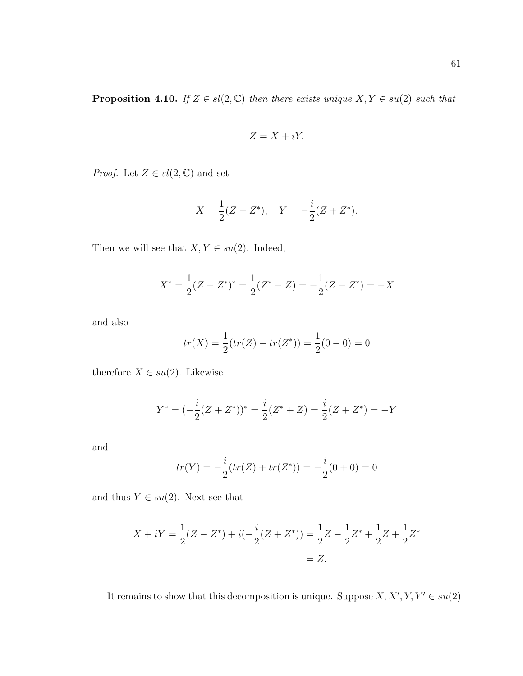**Proposition 4.10.** If  $Z \in sl(2, \mathbb{C})$  then there exists unique  $X, Y \in su(2)$  such that

$$
Z = X + iY.
$$

*Proof.* Let  $Z \in sl(2, \mathbb{C})$  and set

$$
X = \frac{1}{2}(Z - Z^*), \quad Y = -\frac{i}{2}(Z + Z^*).
$$

Then we will see that  $X, Y \in su(2)$ . Indeed,

$$
X^* = \frac{1}{2}(Z - Z^*)^* = \frac{1}{2}(Z^* - Z) = -\frac{1}{2}(Z - Z^*) = -X
$$

and also

$$
tr(X) = \frac{1}{2}(tr(Z) - tr(Z^*)) = \frac{1}{2}(0 - 0) = 0
$$

therefore  $X \in su(2)$ . Likewise

$$
Y^* = (-\frac{i}{2}(Z + Z^*))^* = \frac{i}{2}(Z^* + Z) = \frac{i}{2}(Z + Z^*) = -Y
$$

and

$$
tr(Y) = -\frac{i}{2}(tr(Z) + tr(Z^*)) = -\frac{i}{2}(0+0) = 0
$$

and thus  $Y \in su(2)$ . Next see that

$$
X + iY = \frac{1}{2}(Z - Z^*) + i(-\frac{i}{2}(Z + Z^*)) = \frac{1}{2}Z - \frac{1}{2}Z^* + \frac{1}{2}Z + \frac{1}{2}Z^*
$$
  
= Z.

It remains to show that this decomposition is unique. Suppose  $X, X', Y, Y' \in su(2)$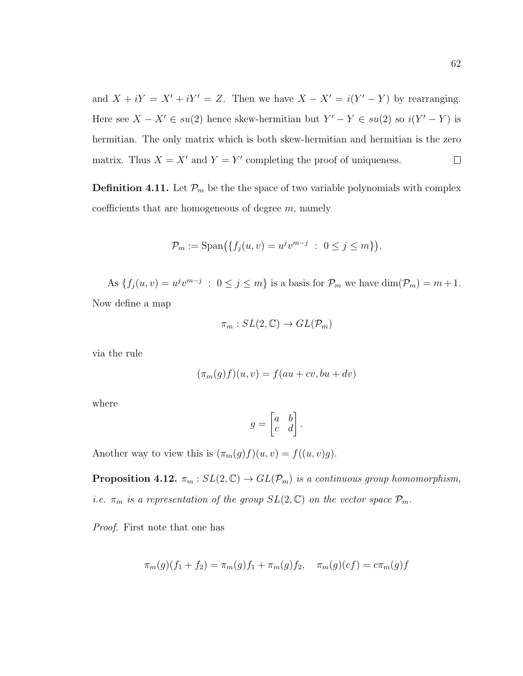and  $X + iY = X' + iY' = Z$ . Then we have  $X - X' = i(Y' - Y)$  by rearranging. Here see  $X - X' \in su(2)$  hence skew-hermitian but  $Y' - Y \in su(2)$  so  $i(Y' - Y)$  is hermitian. The only matrix which is both skew-hermitian and hermitian is the zero matrix. Thus  $X = X'$  and  $Y = Y'$  completing the proof of uniqueness.  $\Box$ 

**Definition 4.11.** Let  $\mathcal{P}_m$  be the the space of two variable polynomials with complex coefficients that are homogeneous of degree  $m$ , namely

$$
\mathcal{P}_m := \text{Span}\big(\{f_j(u, v) = u^j v^{m-j} \; : \; 0 \le j \le m\}\big).
$$

As  $\{f_j(u,v)=u^jv^{m-j} : 0 \le j \le m\}$  is a basis for  $\mathcal{P}_m$  we have  $\dim(\mathcal{P}_m)=m+1$ . Now define a map

$$
\pi_m: SL(2, \mathbb{C}) \to GL(\mathcal{P}_m)
$$

via the rule

$$
(\pi_m(g)f)(u,v) = f(au + cv, bu + dv)
$$

where

$$
g = \begin{bmatrix} a & b \\ c & d \end{bmatrix}.
$$

Another way to view this is  $(\pi_m(g)f)(u, v) = f((u, v)g)$ .

**Proposition 4.12.**  $\pi_m : SL(2, \mathbb{C}) \to GL(\mathcal{P}_m)$  is a continuous group homomorphism, i.e.  $\pi_m$  is a representation of the group  $SL(2,\mathbb{C})$  on the vector space  $\mathcal{P}_m$ .

Proof. First note that one has

$$
\pi_m(g)(f_1 + f_2) = \pi_m(g)f_1 + \pi_m(g)f_2, \quad \pi_m(g)(cf) = c\pi_m(g)f
$$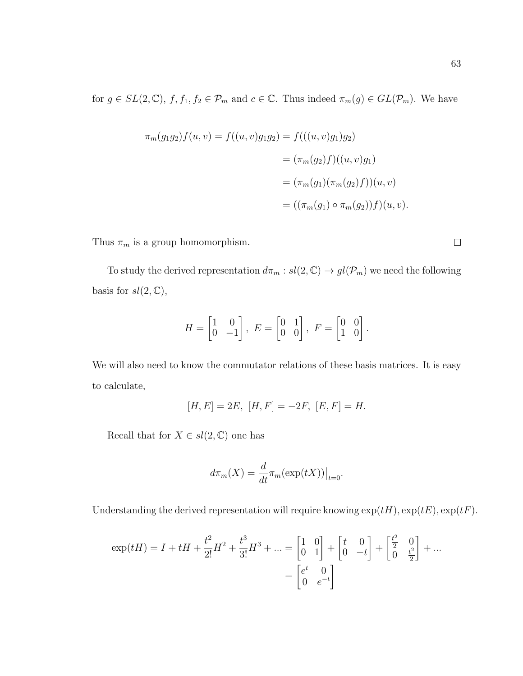63

for  $g \in SL(2, \mathbb{C})$ ,  $f, f_1, f_2 \in \mathcal{P}_m$  and  $c \in \mathbb{C}$ . Thus indeed  $\pi_m(g) \in GL(\mathcal{P}_m)$ . We have

$$
\pi_m(g_1g_2)f(u, v) = f((u, v)g_1g_2) = f(((u, v)g_1)g_2)
$$
  

$$
= (\pi_m(g_2)f)((u, v)g_1)
$$
  

$$
= (\pi_m(g_1)(\pi_m(g_2)f))(u, v)
$$
  

$$
= ((\pi_m(g_1) \circ \pi_m(g_2))f)(u, v).
$$

Thus  $\pi_m$  is a group homomorphism.

To study the derived representation  $d\pi_m : sl(2,\mathbb{C}) \to gl(\mathcal{P}_m)$  we need the following basis for  $sl(2,\mathbb{C}),$ 

$$
H = \begin{bmatrix} 1 & 0 \\ 0 & -1 \end{bmatrix}, \ E = \begin{bmatrix} 0 & 1 \\ 0 & 0 \end{bmatrix}, \ F = \begin{bmatrix} 0 & 0 \\ 1 & 0 \end{bmatrix}.
$$

We will also need to know the commutator relations of these basis matrices. It is easy to calculate,

$$
[H, E] = 2E, [H, F] = -2F, [E, F] = H.
$$

Recall that for  $X \in sl(2, \mathbb{C})$  one has

$$
d\pi_m(X) = \frac{d}{dt}\pi_m(\exp(tX))\big|_{t=0}.
$$

Understanding the derived representation will require knowing  $\exp(tH)$ ,  $\exp(tE)$ ,  $\exp(tF)$ .

$$
\exp(tH) = I + tH + \frac{t^2}{2!}H^2 + \frac{t^3}{3!}H^3 + \dots = \begin{bmatrix} 1 & 0 \\ 0 & 1 \end{bmatrix} + \begin{bmatrix} t & 0 \\ 0 & -t \end{bmatrix} + \begin{bmatrix} \frac{t^2}{2} & 0 \\ 0 & \frac{t^2}{2} \end{bmatrix} + \dots
$$

$$
= \begin{bmatrix} e^t & 0 \\ 0 & e^{-t} \end{bmatrix}
$$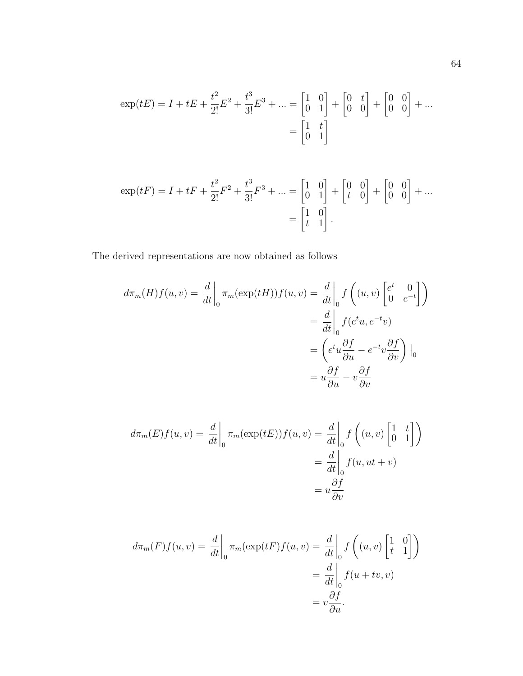$$
\exp(tE) = I + tE + \frac{t^2}{2!}E^2 + \frac{t^3}{3!}E^3 + \dots = \begin{bmatrix} 1 & 0 \\ 0 & 1 \end{bmatrix} + \begin{bmatrix} 0 & t \\ 0 & 0 \end{bmatrix} + \begin{bmatrix} 0 & 0 \\ 0 & 0 \end{bmatrix} + \dots
$$

$$
= \begin{bmatrix} 1 & t \\ 0 & 1 \end{bmatrix}
$$

$$
\exp(tF) = I + tF + \frac{t^2}{2!}F^2 + \frac{t^3}{3!}F^3 + \dots = \begin{bmatrix} 1 & 0 \\ 0 & 1 \end{bmatrix} + \begin{bmatrix} 0 & 0 \\ t & 0 \end{bmatrix} + \begin{bmatrix} 0 & 0 \\ 0 & 0 \end{bmatrix} + \dots
$$

$$
= \begin{bmatrix} 1 & 0 \\ t & 1 \end{bmatrix}.
$$

The derived representations are now obtained as follows

$$
d\pi_m(H)f(u,v) = \frac{d}{dt}\Big|_0 \pi_m(\exp(tH))f(u,v) = \frac{d}{dt}\Big|_0 f\left((u,v)\begin{bmatrix} e^t & 0\\ 0 & e^{-t} \end{bmatrix}\right)
$$

$$
= \frac{d}{dt}\Big|_0 f(e^t u, e^{-t}v)
$$

$$
= \left(e^t u \frac{\partial f}{\partial u} - e^{-t} v \frac{\partial f}{\partial v}\right)\Big|_0
$$

$$
= u \frac{\partial f}{\partial u} - v \frac{\partial f}{\partial v}
$$

$$
d\pi_m(E)f(u,v) = \frac{d}{dt}\bigg|_0 \pi_m(\exp(tE))f(u,v) = \frac{d}{dt}\bigg|_0 f\left((u,v)\begin{bmatrix} 1 & t \\ 0 & 1 \end{bmatrix}\right)
$$

$$
= \frac{d}{dt}\bigg|_0 f(u,ut+v)
$$

$$
= u\frac{\partial f}{\partial v}
$$

$$
d\pi_m(F)f(u,v) = \frac{d}{dt}\bigg|_0 \pi_m(\exp(tF)f(u,v)) = \frac{d}{dt}\bigg|_0 f\left((u,v)\begin{bmatrix} 1 & 0\\ t & 1 \end{bmatrix}\right)
$$

$$
= \frac{d}{dt}\bigg|_0 f(u+tv,v)
$$

$$
= v\frac{\partial f}{\partial u}.
$$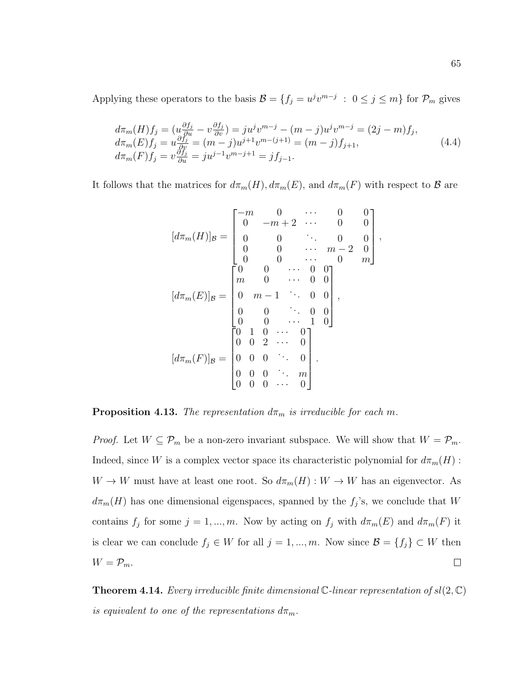Applying these operators to the basis  $\mathcal{B} = \{f_j = u^j v^{m-j} : 0 \le j \le m\}$  for  $\mathcal{P}_m$  gives

$$
d\pi_m(H)f_j = (u\frac{\partial f_j}{\partial u} - v\frac{\partial f_j}{\partial v}) = ju^j v^{m-j} - (m-j)u^j v^{m-j} = (2j - m)f_j, \n d\pi_m(E)f_j = u\frac{\partial f_j}{\partial v} = (m-j)u^{j+1}v^{m-(j+1)} = (m-j)f_{j+1}, \n d\pi_m(F)f_j = v\frac{\partial f_j}{\partial u} = ju^{j-1}v^{m-j+1} = jf_{j-1}.
$$
\n(4.4)

It follows that the matrices for  $d\pi_m(H)$ ,  $d\pi_m(E)$ , and  $d\pi_m(F)$  with respect to  $\mathcal B$  are

$$
[d\pi_m(H)]_B = \begin{bmatrix} -m & 0 & \cdots & 0 & 0 \\ 0 & -m+2 & \cdots & 0 & 0 \\ 0 & 0 & \ddots & 0 & 0 \\ 0 & 0 & \cdots & m-2 & 0 \\ 0 & 0 & \cdots & 0 & m \end{bmatrix},
$$

$$
[d\pi_m(E)]_B = \begin{bmatrix} 0 & 0 & \cdots & 0 & 0 \\ m & 0 & \cdots & 0 & 0 \\ 0 & m-1 & \ddots & 0 & 0 \\ 0 & 0 & \cdots & 0 & 0 \\ 0 & 0 & \cdots & 1 & 0 \end{bmatrix},
$$

$$
[d\pi_m(F)]_B = \begin{bmatrix} 0 & 1 & 0 & \cdots & 0 \\ 0 & 1 & 0 & \cdots & 0 \\ 0 & 0 & 2 & \cdots & 0 \\ 0 & 0 & 0 & \cdots & 0 \\ 0 & 0 & 0 & \cdots & m \\ 0 & 0 & 0 & \cdots & 0 \end{bmatrix}.
$$

**Proposition 4.13.** The representation  $d\pi_m$  is irreducible for each m.

*Proof.* Let  $W \subseteq \mathcal{P}_m$  be a non-zero invariant subspace. We will show that  $W = \mathcal{P}_m$ . Indeed, since W is a complex vector space its characteristic polynomial for  $d\pi_m(H)$ :  $W \to W$  must have at least one root. So  $d\pi_m(H) : W \to W$  has an eigenvector. As  $d\pi_m(H)$  has one dimensional eigenspaces, spanned by the  $f_j$ 's, we conclude that W contains  $f_j$  for some  $j = 1, ..., m$ . Now by acting on  $f_j$  with  $d\pi_m(E)$  and  $d\pi_m(F)$  it is clear we can conclude  $f_j \in W$  for all  $j = 1, ..., m$ . Now since  $\mathcal{B} = \{f_j\} \subset W$  then  $W = \mathcal{P}_m$ .  $\Box$ 

**Theorem 4.14.** Every irreducible finite dimensional  $\mathbb{C}$ -linear representation of  $sl(2,\mathbb{C})$ is equivalent to one of the representations  $d\pi_m$ .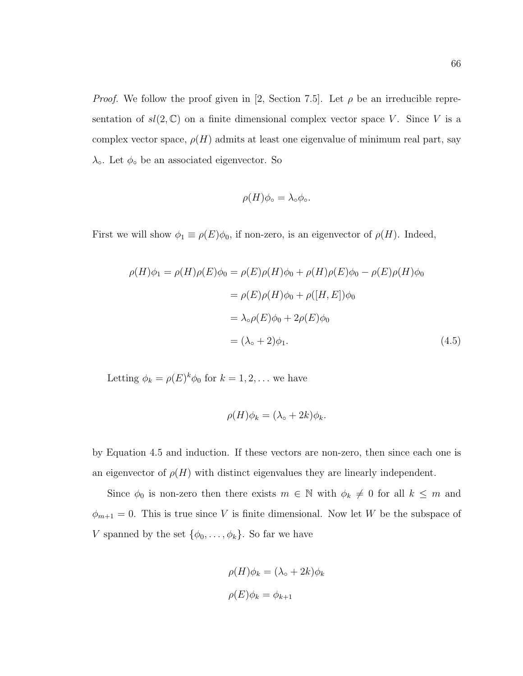*Proof.* We follow the proof given in [2, Section 7.5]. Let  $\rho$  be an irreducible representation of  $sl(2,\mathbb{C})$  on a finite dimensional complex vector space V. Since V is a complex vector space,  $\rho(H)$  admits at least one eigenvalue of minimum real part, say  $\lambda$ <sup>o</sup>. Let  $\phi$ <sup>o</sup> be an associated eigenvector. So

$$
\rho(H)\phi_{\circ} = \lambda_{\circ}\phi_{\circ}.
$$

First we will show  $\phi_1 \equiv \rho(E)\phi_0$ , if non-zero, is an eigenvector of  $\rho(H)$ . Indeed,

$$
\rho(H)\phi_1 = \rho(H)\rho(E)\phi_0 = \rho(E)\rho(H)\phi_0 + \rho(H)\rho(E)\phi_0 - \rho(E)\rho(H)\phi_0
$$
  

$$
= \rho(E)\rho(H)\phi_0 + \rho([H, E])\phi_0
$$
  

$$
= \lambda_{\circ}\rho(E)\phi_0 + 2\rho(E)\phi_0
$$
  

$$
= (\lambda_{\circ} + 2)\phi_1.
$$
 (4.5)

Letting  $\phi_k = \rho(E)^k \phi_0$  for  $k = 1, 2, ...$  we have

$$
\rho(H)\phi_k = (\lambda_\circ + 2k)\phi_k.
$$

by Equation 4.5 and induction. If these vectors are non-zero, then since each one is an eigenvector of  $\rho(H)$  with distinct eigenvalues they are linearly independent.

Since  $\phi_0$  is non-zero then there exists  $m \in \mathbb{N}$  with  $\phi_k \neq 0$  for all  $k \leq m$  and  $\phi_{m+1} = 0$ . This is true since V is finite dimensional. Now let W be the subspace of V spanned by the set  $\{\phi_0, \ldots, \phi_k\}$ . So far we have

$$
\rho(H)\phi_k = (\lambda_{\circ} + 2k)\phi_k
$$

$$
\rho(E)\phi_k = \phi_{k+1}
$$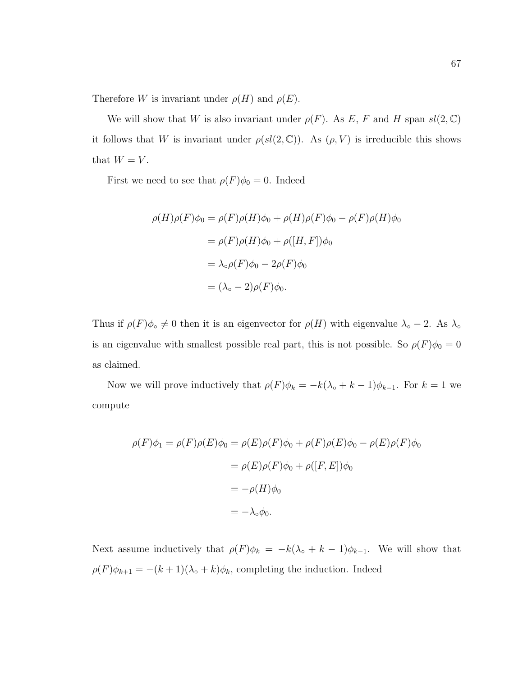Therefore W is invariant under  $\rho(H)$  and  $\rho(E)$ .

We will show that W is also invariant under  $\rho(F)$ . As E, F and H span  $sl(2,\mathbb{C})$ it follows that W is invariant under  $\rho(sl(2,\mathbb{C}))$ . As  $(\rho, V)$  is irreducible this shows that  $W = V$ .

First we need to see that  $\rho(F)\phi_0 = 0$ . Indeed

$$
\rho(H)\rho(F)\phi_0 = \rho(F)\rho(H)\phi_0 + \rho(H)\rho(F)\phi_0 - \rho(F)\rho(H)\phi_0
$$
  
= 
$$
\rho(F)\rho(H)\phi_0 + \rho([H, F])\phi_0
$$
  
= 
$$
\lambda \circ \rho(F)\phi_0 - 2\rho(F)\phi_0
$$
  
= 
$$
(\lambda \circ -2)\rho(F)\phi_0.
$$

Thus if  $\rho(F)\phi_{\circ} \neq 0$  then it is an eigenvector for  $\rho(H)$  with eigenvalue  $\lambda_{\circ} - 2$ . As  $\lambda_{\circ}$ is an eigenvalue with smallest possible real part, this is not possible. So  $\rho(F)\phi_0 = 0$ as claimed.

Now we will prove inductively that  $\rho(F)\phi_k = -k(\lambda_\circ + k - 1)\phi_{k-1}$ . For  $k = 1$  we compute

$$
\rho(F)\phi_1 = \rho(F)\rho(E)\phi_0 = \rho(E)\rho(F)\phi_0 + \rho(F)\rho(E)\phi_0 - \rho(E)\rho(F)\phi_0
$$

$$
= \rho(E)\rho(F)\phi_0 + \rho([F, E])\phi_0
$$

$$
= -\rho(H)\phi_0
$$

$$
= -\lambda_{\circ}\phi_0.
$$

Next assume inductively that  $\rho(F)\phi_k = -k(\lambda_{\circ} + k - 1)\phi_{k-1}$ . We will show that  $\rho(F)\phi_{k+1} = -(k+1)(\lambda_{\circ} + k)\phi_k$ , completing the induction. Indeed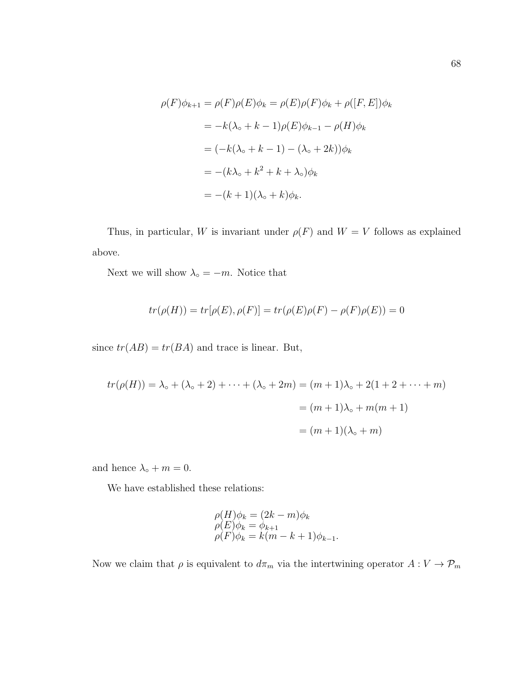$$
\rho(F)\phi_{k+1} = \rho(F)\rho(E)\phi_k = \rho(E)\rho(F)\phi_k + \rho([F, E])\phi_k
$$
  
=  $-k(\lambda_0 + k - 1)\rho(E)\phi_{k-1} - \rho(H)\phi_k$   
=  $(-k(\lambda_0 + k - 1) - (\lambda_0 + 2k))\phi_k$   
=  $-(k\lambda_0 + k^2 + k + \lambda_0)\phi_k$   
=  $-(k+1)(\lambda_0 + k)\phi_k$ .

Thus, in particular, W is invariant under  $\rho(F)$  and  $W = V$  follows as explained above.

Next we will show  $\lambda_{\circ} = -m$ . Notice that

$$
tr(\rho(H)) = tr[\rho(E), \rho(F)] = tr(\rho(E)\rho(F) - \rho(F)\rho(E)) = 0
$$

since  $tr(AB) = tr(BA)$  and trace is linear. But,

$$
tr(\rho(H)) = \lambda_{\circ} + (\lambda_{\circ} + 2) + \dots + (\lambda_{\circ} + 2m) = (m+1)\lambda_{\circ} + 2(1+2+\dots+m)
$$
  
=  $(m+1)\lambda_{\circ} + m(m+1)$   
=  $(m+1)(\lambda_{\circ} + m)$ 

and hence  $\lambda_{\circ} + m = 0$ .

We have established these relations:

$$
\rho(H)\phi_k = (2k - m)\phi_k
$$
  
\n
$$
\rho(E)\phi_k = \phi_{k+1}
$$
  
\n
$$
\rho(F)\phi_k = k(m - k + 1)\phi_{k-1}.
$$

Now we claim that  $\rho$  is equivalent to  $d\pi_m$  via the intertwining operator  $A: V \to \mathcal{P}_m$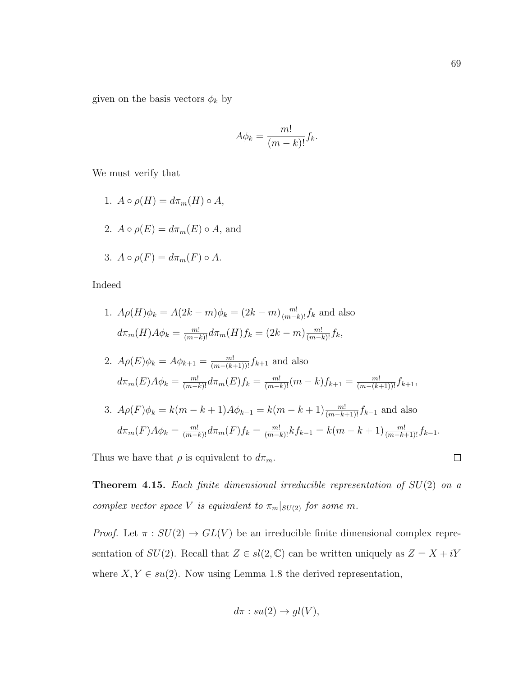given on the basis vectors  $\phi_k$  by

$$
A\phi_k = \frac{m!}{(m-k)!}f_k.
$$

We must verify that

- 1.  $A \circ \rho(H) = d\pi_m(H) \circ A$ ,
- 2.  $A \circ \rho(E) = d\pi_m(E) \circ A$ , and

3. 
$$
A \circ \rho(F) = d\pi_m(F) \circ A
$$
.

Indeed

1. 
$$
A\rho(H)\phi_k = A(2k - m)\phi_k = (2k - m)\frac{m!}{(m-k)!}f_k
$$
 and also  

$$
d\pi_m(H)A\phi_k = \frac{m!}{(m-k)!}d\pi_m(H)f_k = (2k - m)\frac{m!}{(m-k)!}f_k,
$$

2. 
$$
A\rho(E)\phi_k = A\phi_{k+1} = \frac{m!}{(m-(k+1))!} f_{k+1}
$$
 and also  

$$
d\pi_m(E)A\phi_k = \frac{m!}{(m-k)!}d\pi_m(E)f_k = \frac{m!}{(m-k)!}(m-k)f_{k+1} = \frac{m!}{(m-(k+1))!}f_{k+1},
$$

3.  $A\rho(F)\phi_k = k(m-k+1)A\phi_{k-1} = k(m-k+1)\frac{m!}{(m-k+1)!}f_{k-1}$  and also  $d\pi_m(F)A\phi_k = \frac{m!}{(m-k)!}d\pi_m(F)f_k = \frac{m!}{(m-k)!}kf_{k-1} = k(m-k+1)\frac{m!}{(m-k+1)!}f_{k-1}.$ 

Thus we have that  $\rho$  is equivalent to  $d\pi_m$ .

**Theorem 4.15.** Each finite dimensional irreducible representation of  $SU(2)$  on a complex vector space V is equivalent to  $\pi_m|_{SU(2)}$  for some m.

*Proof.* Let  $\pi : SU(2) \rightarrow GL(V)$  be an irreducible finite dimensional complex representation of  $SU(2)$ . Recall that  $Z \in sl(2, \mathbb{C})$  can be written uniquely as  $Z = X + iY$ where  $X, Y \in su(2)$ . Now using Lemma 1.8 the derived representation,

$$
d\pi : su(2) \to gl(V),
$$

 $\Box$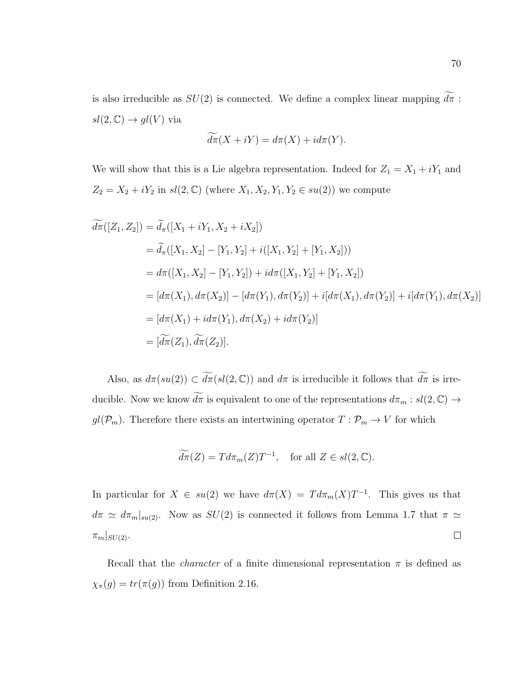is also irreducible as  $SU(2)$  is connected. We define a complex linear mapping  $\widetilde{d\pi}$  :  $sl(2,\mathbb{C})\rightarrow gl(V)$  via

$$
d\pi(X + iY) = d\pi(X) + id\pi(Y).
$$

We will show that this is a Lie algebra representation. Indeed for  $Z_1 = X_1 + iY_1$  and  $Z_2 = X_2 + iY_2$  in  $sl(2, \mathbb{C})$  (where  $X_1, X_2, Y_1, Y_2 \in su(2)$ ) we compute

$$
\widetilde{d\pi}([Z_1, Z_2]) = \widetilde{d}_{\pi}([X_1 + iY_1, X_2 + iX_2])
$$
\n
$$
= \widetilde{d}_{\pi}([X_1, X_2] - [Y_1, Y_2] + i([X_1, Y_2] + [Y_1, X_2]))
$$
\n
$$
= d\pi([X_1, X_2] - [Y_1, Y_2]) + id\pi([X_1, Y_2] + [Y_1, X_2])
$$
\n
$$
= [d\pi(X_1), d\pi(X_2)] - [d\pi(Y_1), d\pi(Y_2)] + i[d\pi(X_1), d\pi(Y_2)] + i[d\pi(Y_1), d\pi(X_2)]
$$
\n
$$
= [d\pi(X_1) + id\pi(Y_1), d\pi(X_2) + id\pi(Y_2)]
$$
\n
$$
= [\widetilde{d\pi}(Z_1), \widetilde{d\pi}(Z_2)].
$$

Also, as  $d\pi(su(2)) \subset \widetilde{d\pi}(sl(2,\mathbb{C}))$  and  $d\pi$  is irreducible it follows that  $\widetilde{d\pi}$  is irreducible. Now we know  $\widetilde{d\pi}$  is equivalent to one of the representations  $d\pi_m : sl(2, \mathbb{C}) \to$  $gl(\mathcal{P}_m)$ . Therefore there exists an intertwining operator  $T: \mathcal{P}_m \to V$  for which

$$
\widetilde{d\pi}(Z) = T d\pi_m(Z) T^{-1}, \quad \text{for all } Z \in sl(2, \mathbb{C}).
$$

In particular for  $X \in su(2)$  we have  $d\pi(X) = T d\pi_m(X) T^{-1}$ . This gives us that  $d\pi \simeq d\pi_m|_{su(2)}$ . Now as  $SU(2)$  is connected it follows from Lemma 1.7 that  $\pi \simeq$  $\Box$  $\pi_m|_{SU(2)}$ .

Recall that the *character* of a finite dimensional representation  $\pi$  is defined as  $\chi_{\pi}(g) = tr(\pi(g))$  from Definition 2.16.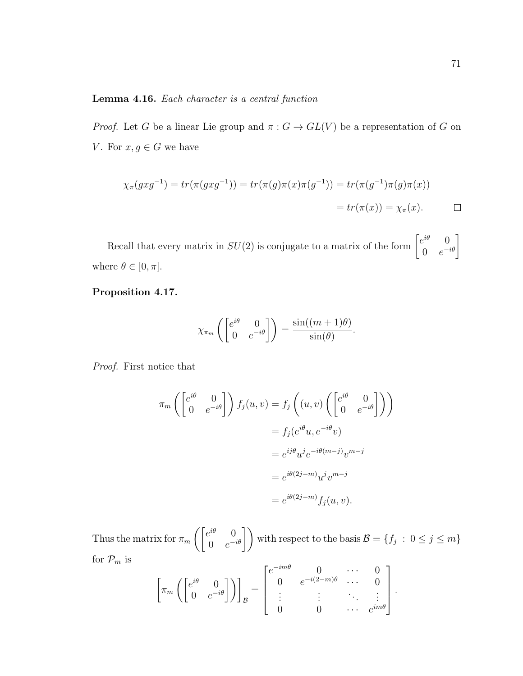### Lemma 4.16. Each character is a central function

*Proof.* Let G be a linear Lie group and  $\pi : G \to GL(V)$  be a representation of G on V. For  $x, g \in G$  we have

$$
\chi_{\pi}(gxg^{-1}) = tr(\pi(gxg^{-1})) = tr(\pi(g)\pi(x)\pi(g^{-1})) = tr(\pi(g^{-1})\pi(g)\pi(x))
$$
  
=  $tr(\pi(x)) = \chi_{\pi}(x)$ .

Recall that every matrix in  $SU(2)$  is conjugate to a matrix of the form  $\begin{bmatrix} e^{i\theta} & 0 \\ 0 & e^{-i\theta} \end{bmatrix}$  $\begin{bmatrix} e^{i\theta} & 0 \\ 0 & e^{-i\theta} \end{bmatrix}$ where  $\theta \in [0, \pi]$ .

## Proposition 4.17.

$$
\chi_{\pi_m}\left(\begin{bmatrix} e^{i\theta} & 0\\ 0 & e^{-i\theta} \end{bmatrix}\right) = \frac{\sin((m+1)\theta)}{\sin(\theta)}.
$$

Proof. First notice that

$$
\pi_m \left( \begin{bmatrix} e^{i\theta} & 0 \\ 0 & e^{-i\theta} \end{bmatrix} \right) f_j(u, v) = f_j \left( (u, v) \left( \begin{bmatrix} e^{i\theta} & 0 \\ 0 & e^{-i\theta} \end{bmatrix} \right) \right)
$$
  

$$
= f_j (e^{i\theta} u, e^{-i\theta} v)
$$
  

$$
= e^{i j \theta} u^j e^{-i\theta(m-j)} v^{m-j}
$$
  

$$
= e^{i \theta(2j-m)} u^j v^{m-j}
$$
  

$$
= e^{i \theta(2j-m)} f_j(u, v).
$$

Thus the matrix for  $\pi_m\left(\begin{bmatrix} e^{i\theta} & 0 \\ 0 & e^{-i\theta} \end{bmatrix}\right)$  $\begin{pmatrix} e^{i\theta} & 0 \\ 0 & e^{-i\theta} \end{pmatrix}$  with respect to the basis  $\mathcal{B} = \{f_j : 0 \le j \le m\}$ for  $\mathcal{P}_m$  is

$$
\left[\pi_m\left(\begin{bmatrix}e^{i\theta}&0\\0&e^{-i\theta}\end{bmatrix}\right)\right]_B=\begin{bmatrix}e^{-im\theta}&0&\cdots&0\\0&e^{-i(2-m)\theta}&\cdots&0\\ \vdots&\vdots&\ddots&\vdots\\0&0&\cdots&e^{im\theta}\end{bmatrix}.
$$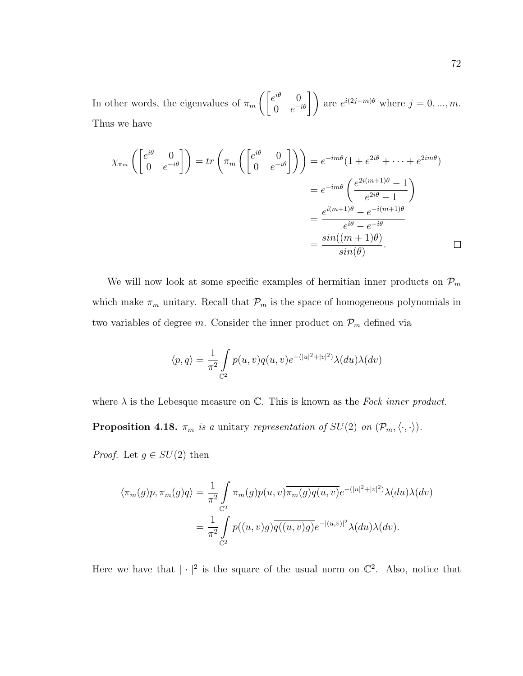In other words, the eigenvalues of  $\pi_m\left(\begin{bmatrix}e^{i\theta}&0\\0&e^{-i\theta}\end{bmatrix}\right)$  $\begin{pmatrix} e^{i\theta} & 0 \\ 0 & e^{-i\theta} \end{pmatrix}$  are  $e^{i(2j-m)\theta}$  where  $j = 0, ..., m$ . Thus we have

$$
\chi_{\pi_m}\left(\begin{bmatrix} e^{i\theta} & 0\\ 0 & e^{-i\theta} \end{bmatrix}\right) = tr\left(\pi_m\left(\begin{bmatrix} e^{i\theta} & 0\\ 0 & e^{-i\theta} \end{bmatrix}\right)\right) = e^{-im\theta}(1 + e^{2i\theta} + \dots + e^{2im\theta})
$$

$$
= e^{-im\theta}\left(\frac{e^{2i(m+1)\theta} - 1}{e^{2i\theta} - 1}\right)
$$

$$
= \frac{e^{i(m+1)\theta} - e^{-i(m+1)\theta}}{e^{i\theta} - e^{-i\theta}}
$$

$$
= \frac{\sin((m+1)\theta)}{\sin(\theta)}.
$$

We will now look at some specific examples of hermitian inner products on  $\mathcal{P}_m$ which make  $\pi_m$  unitary. Recall that  $\mathcal{P}_m$  is the space of homogeneous polynomials in two variables of degree m. Consider the inner product on  $\mathcal{P}_m$  defined via

$$
\langle p, q \rangle = \frac{1}{\pi^2} \int_{\mathbb{C}^2} p(u, v) \overline{q(u, v)} e^{-(|u|^2 + |v|^2)} \lambda(du) \lambda(dv)
$$

where  $\lambda$  is the Lebesque measure on  $\mathbb{C}$ . This is known as the Fock inner product. **Proposition 4.18.**  $\pi_m$  is a unitary representation of  $SU(2)$  on  $(\mathcal{P}_m,\langle\cdot,\cdot\rangle)$ .

*Proof.* Let  $g \in SU(2)$  then

$$
\langle \pi_m(g)p, \pi_m(g)q \rangle = \frac{1}{\pi^2} \int_{\mathbb{C}^2} \pi_m(g)p(u,v)\overline{\pi_m(g)q(u,v)}e^{-(|u|^2+|v|^2)}\lambda(du)\lambda(dv)
$$

$$
= \frac{1}{\pi^2} \int_{\mathbb{C}^2} p((u,v)g)\overline{q((u,v)g)}e^{-|(u,v)|^2}\lambda(du)\lambda(dv).
$$

Here we have that  $|\cdot|^2$  is the square of the usual norm on  $\mathbb{C}^2$ . Also, notice that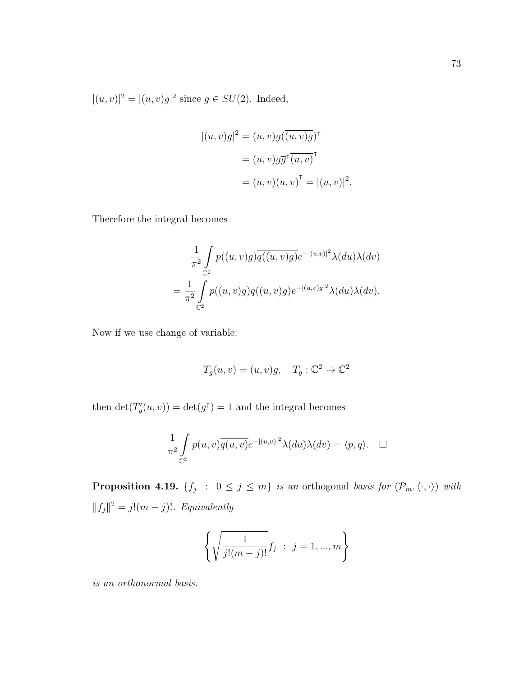$|(u, v)|^2 = |(u, v)g|^2$  since  $g \in SU(2)$ . Indeed,

$$
|(u, v)g|^2 = (u, v)g(\overline{(u, v)g})^{\mathsf{T}}
$$

$$
= (u, v)g\overline{g}^{\mathsf{T}}(u, v)^{\mathsf{T}}
$$

$$
= (u, v)(\overline{u, v})^{\mathsf{T}} = |(u, v)|^2.
$$

Therefore the integral becomes

$$
\frac{1}{\pi^2} \int_{\mathbb{C}^2} p((u,v)g) \overline{q((u,v)g)} e^{-|(u,v)|^2} \lambda(du) \lambda(dv)
$$

$$
= \frac{1}{\pi^2} \int_{\mathbb{C}^2} p((u,v)g) \overline{q((u,v)g)} e^{-|(u,v)g|^2} \lambda(du) \lambda(dv).
$$

Now if we use change of variable:

$$
T_g(u, v) = (u, v)g, \quad T_g: \mathbb{C}^2 \to \mathbb{C}^2
$$

then  $\det(T'_g(u, v)) = \det(g^{\dagger}) = 1$  and the integral becomes

$$
\frac{1}{\pi^2} \int_{\mathbb{C}^2} p(u,v) \overline{q(u,v)} e^{-|(u,v)|^2} \lambda(du) \lambda(dv) = \langle p, q \rangle. \quad \Box
$$

**Proposition 4.19.**  $\{f_j : 0 \le j \le m\}$  is an orthogonal basis for  $(\mathcal{P}_m,\langle\cdot,\cdot\rangle)$  with  $||f_j||^2 = j!(m-j)!$ . Equivalently

$$
\left\{\sqrt{\frac{1}{j!(m-j)!}}f_j \; : \; j=1,...,m\right\}
$$

is an orthonormal basis.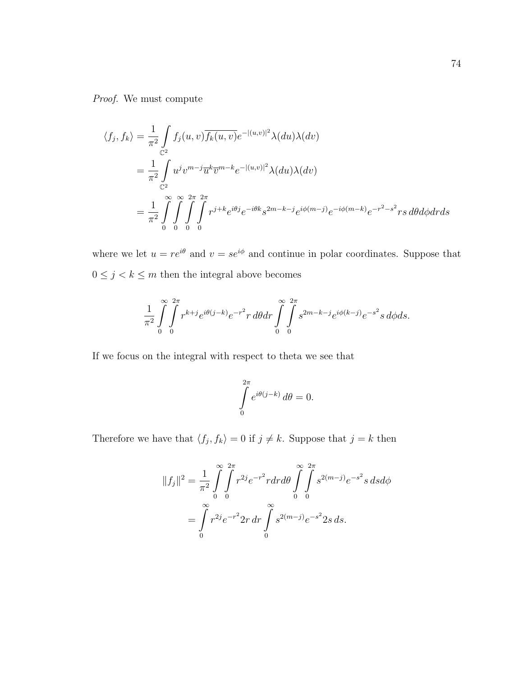Proof. We must compute

$$
\langle f_j, f_k \rangle = \frac{1}{\pi^2} \int_{\mathbb{C}^2} f_j(u, v) \overline{f_k(u, v)} e^{-|(u, v)|^2} \lambda(du) \lambda(dv)
$$
  
\n
$$
= \frac{1}{\pi^2} \int_{\mathbb{C}^2} u^j v^{m-j} \overline{u}^k \overline{v}^{m-k} e^{-|(u, v)|^2} \lambda(du) \lambda(dv)
$$
  
\n
$$
= \frac{1}{\pi^2} \int_{0}^{\infty} \int_{0}^{\infty} \int_{0}^{2\pi} \int_{0}^{2\pi} r^{j+k} e^{i\theta j} e^{-i\theta k} s^{2m-k-j} e^{i\phi(m-j)} e^{-i\phi(m-k)} e^{-r^2 - s^2} r s \, d\theta d\phi dr ds
$$

where we let  $u = re^{i\theta}$  and  $v = se^{i\phi}$  and continue in polar coordinates. Suppose that  $0\leq j < k \leq m$  then the integral above becomes

$$
\frac{1}{\pi^2} \int_{0}^{\infty} \int_{0}^{2\pi} r^{k+j} e^{i\theta(j-k)} e^{-r^2} r \, d\theta dr \int_{0}^{\infty} \int_{0}^{2\pi} s^{2m-k-j} e^{i\phi(k-j)} e^{-s^2} s \, d\phi ds.
$$

If we focus on the integral with respect to theta we see that

$$
\int_{0}^{2\pi} e^{i\theta(j-k)} d\theta = 0.
$$

Therefore we have that  $\langle f_j, f_k \rangle = 0$  if  $j \neq k$ . Suppose that  $j = k$  then

$$
||f_j||^2 = \frac{1}{\pi^2} \int_{0}^{\infty} \int_{0}^{2\pi} r^{2j} e^{-r^2} r dr d\theta \int_{0}^{\infty} \int_{0}^{2\pi} s^{2(m-j)} e^{-s^2} s ds d\phi
$$
  
= 
$$
\int_{0}^{\infty} r^{2j} e^{-r^2} 2r dr \int_{0}^{\infty} s^{2(m-j)} e^{-s^2} 2s ds.
$$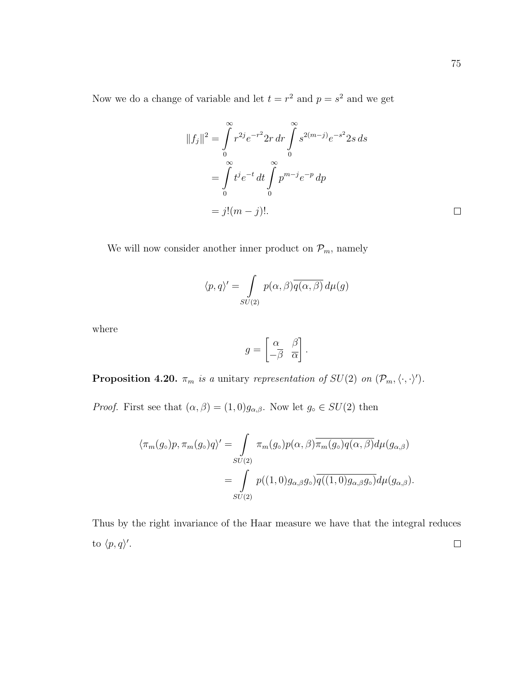Now we do a change of variable and let  $t = r^2$  and  $p = s^2$  and we get

$$
||f_j||^2 = \int_0^\infty r^{2j} e^{-r^2} 2r \, dr \int_0^\infty s^{2(m-j)} e^{-s^2} 2s \, ds
$$
  
= 
$$
\int_0^\infty t^j e^{-t} \, dt \int_0^\infty p^{m-j} e^{-p} \, dp
$$
  
= 
$$
j!(m-j)!
$$

We will now consider another inner product on  $\mathcal{P}_m$ , namely

$$
\langle p, q \rangle' = \int_{SU(2)} p(\alpha, \beta) \overline{q(\alpha, \beta)} d\mu(g)
$$

where

$$
g = \begin{bmatrix} \alpha & \beta \\ -\overline{\beta} & \overline{\alpha} \end{bmatrix}.
$$

**Proposition 4.20.**  $\pi_m$  is a unitary representation of  $SU(2)$  on  $(\mathcal{P}_m,\langle\cdot,\cdot\rangle')$ .

*Proof.* First see that  $(\alpha, \beta) = (1, 0)g_{\alpha, \beta}$ . Now let  $g_{\circ} \in SU(2)$  then

$$
\langle \pi_m(g_\circ)p, \pi_m(g_\circ)q \rangle' = \int_{SU(2)} \pi_m(g_\circ)p(\alpha, \beta) \overline{\pi_m(g_\circ)q(\alpha, \beta)} d\mu(g_{\alpha, \beta})
$$

$$
= \int_{SU(2)} p((1, 0)g_{\alpha, \beta}g_\circ) \overline{q((1, 0)g_{\alpha, \beta}g_\circ)} d\mu(g_{\alpha, \beta}).
$$

Thus by the right invariance of the Haar measure we have that the integral reduces to  $\langle p, q \rangle'$ .  $\Box$ 

 $\Box$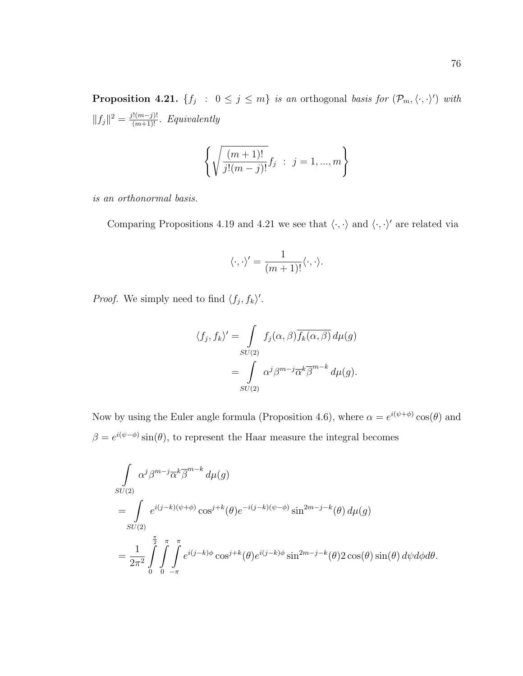**Proposition 4.21.**  $\{f_j : 0 \le j \le m\}$  is an orthogonal basis for  $(\mathcal{P}_m, \langle \cdot, \cdot \rangle)$  with  $||f_j||^2 = \frac{j!(m-j)!}{(m+1)!}$ . Equivalently

$$
\left\{ \sqrt{\frac{(m+1)!}{j!(m-j)!}} f_j \; : \; j = 1, ..., m \right\}
$$

is an orthonormal basis.

Comparing Propositions 4.19 and 4.21 we see that  $\langle\cdot,\cdot\rangle$  and  $\langle\cdot,\cdot\rangle'$  are related via

$$
\langle \cdot, \cdot \rangle' = \frac{1}{(m+1)!} \langle \cdot, \cdot \rangle.
$$

*Proof.* We simply need to find  $\langle f_j, f_k \rangle'$ .

$$
\langle f_j, f_k \rangle' = \int_{SU(2)} f_j(\alpha, \beta) \overline{f_k(\alpha, \beta)} d\mu(g)
$$

$$
= \int_{SU(2)} \alpha^j \beta^{m-j} \overline{\alpha}^k \overline{\beta}^{m-k} d\mu(g).
$$

Now by using the Euler angle formula (Proposition 4.6), where  $\alpha = e^{i(\psi + \phi)} \cos(\theta)$  and  $\beta = e^{i(\psi - \phi)} \sin(\theta)$ , to represent the Haar measure the integral becomes

$$
\int_{SU(2)} \alpha^{j} \beta^{m-j} \overline{\alpha}^{k} \overline{\beta}^{m-k} d\mu(g)
$$
\n
$$
= \int_{SU(2)} e^{i(j-k)(\psi+\phi)} \cos^{j+k}(\theta) e^{-i(j-k)(\psi-\phi)} \sin^{2m-j-k}(\theta) d\mu(g)
$$
\n
$$
= \frac{1}{2\pi^{2}} \int_{0}^{\frac{\pi}{2}} \int_{0}^{\pi} \int_{-\pi}^{\pi} e^{i(j-k)\phi} \cos^{j+k}(\theta) e^{i(j-k)\phi} \sin^{2m-j-k}(\theta) 2 \cos(\theta) \sin(\theta) d\psi d\phi d\theta.
$$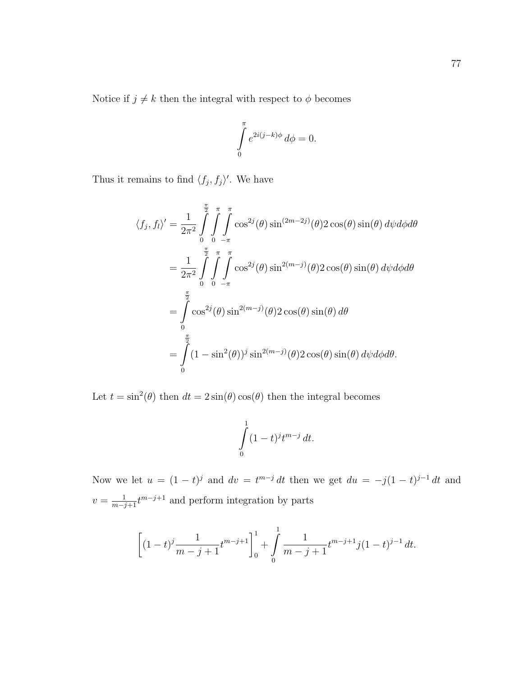Notice if  $j\neq k$  then the integral with respect to  $\phi$  becomes

$$
\int_{0}^{\pi} e^{2i(j-k)\phi} d\phi = 0.
$$

Thus it remains to find  $\langle f_j, f_j \rangle'$ . We have

$$
\langle f_j, f_l \rangle' = \frac{1}{2\pi^2} \int_0^{\frac{\pi}{2}} \int_0^{\pi} \int_0^{\pi} \cos^{2j}(\theta) \sin^{(2m-2j)}(\theta) 2 \cos(\theta) \sin(\theta) d\psi d\phi d\theta
$$
  
\n
$$
= \frac{1}{2\pi^2} \int_0^{\frac{\pi}{2}} \int_0^{\pi} \int_0^{\pi} \cos^{2j}(\theta) \sin^{2(m-j)}(\theta) 2 \cos(\theta) \sin(\theta) d\psi d\phi d\theta
$$
  
\n
$$
= \int_0^{\frac{\pi}{2}} \cos^{2j}(\theta) \sin^{2(m-j)}(\theta) 2 \cos(\theta) \sin(\theta) d\theta
$$
  
\n
$$
= \int_0^{\frac{\pi}{2}} (1 - \sin^2(\theta))^j \sin^{2(m-j)}(\theta) 2 \cos(\theta) \sin(\theta) d\psi d\phi d\theta.
$$

Let  $t = \sin^2(\theta)$  then  $dt = 2\sin(\theta)\cos(\theta)$  then the integral becomes

$$
\int\limits_0^1 (1-t)^j t^{m-j} dt.
$$

Now we let  $u = (1 - t)^j$  and  $dv = t^{m-j} dt$  then we get  $du = -j(1 - t)^{j-1} dt$  and  $v = \frac{1}{m-j+1} t^{m-j+1}$  and perform integration by parts

$$
\left[ (1-t)^j \frac{1}{m-j+1} t^{m-j+1} \right]_0^1 + \int_0^1 \frac{1}{m-j+1} t^{m-j+1} j(1-t)^{j-1} dt.
$$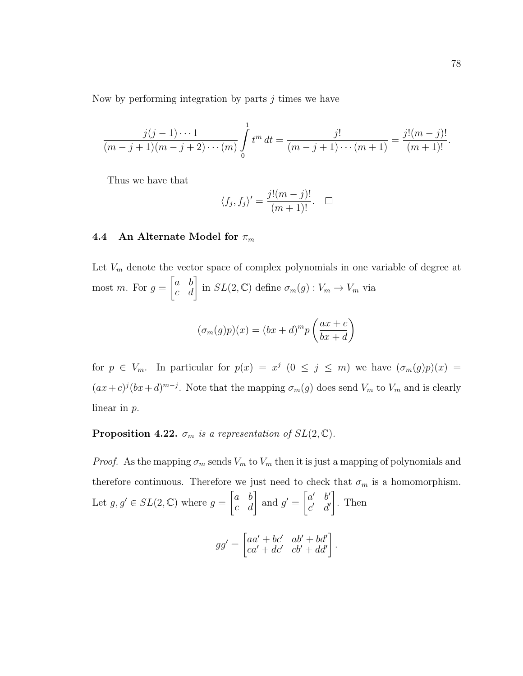Now by performing integration by parts  $j$  times we have

$$
\frac{j(j-1)\cdots 1}{(m-j+1)(m-j+2)\cdots (m)}\int_{0}^{1}t^{m} dt = \frac{j!}{(m-j+1)\cdots (m+1)} = \frac{j!(m-j)!}{(m+1)!}.
$$

Thus we have that

$$
\langle f_j, f_j \rangle' = \frac{j!(m-j)!}{(m+1)!}.\quad \Box
$$

### 4.4 An Alternate Model for  $\pi_m$

Let  $V_m$  denote the vector space of complex polynomials in one variable of degree at most m. For  $g =$  $\begin{bmatrix} a & b \\ c & d \end{bmatrix}$  in  $SL(2, \mathbb{C})$  define  $\sigma_m(g) : V_m \to V_m$  via

$$
(\sigma_m(g)p)(x) = (bx+d)^m p\left(\frac{ax+c}{bx+d}\right)
$$

for  $p \in V_m$ . In particular for  $p(x) = x^j$   $(0 \le j \le m)$  we have  $(\sigma_m(g)p)(x) =$  $(ax + c)^{j}(bx + d)^{m-j}$ . Note that the mapping  $\sigma_m(g)$  does send  $V_m$  to  $V_m$  and is clearly linear in p.

**Proposition 4.22.**  $\sigma_m$  is a representation of  $SL(2,\mathbb{C})$ .

*Proof.* As the mapping  $\sigma_m$  sends  $V_m$  to  $V_m$  then it is just a mapping of polynomials and therefore continuous. Therefore we just need to check that  $\sigma_m$  is a homomorphism. Let  $g, g' \in SL(2, \mathbb{C})$  where  $g = \begin{bmatrix} a & b \\ c & d \end{bmatrix}$  and  $g' = \begin{bmatrix} a' & b' \\ c' & d' \end{bmatrix}$  $c'$  d' 1 . Then

$$
gg' = \begin{bmatrix} aa' + bc' & ab' + bd' \\ ca' + dc' & cb' + dd' \end{bmatrix}.
$$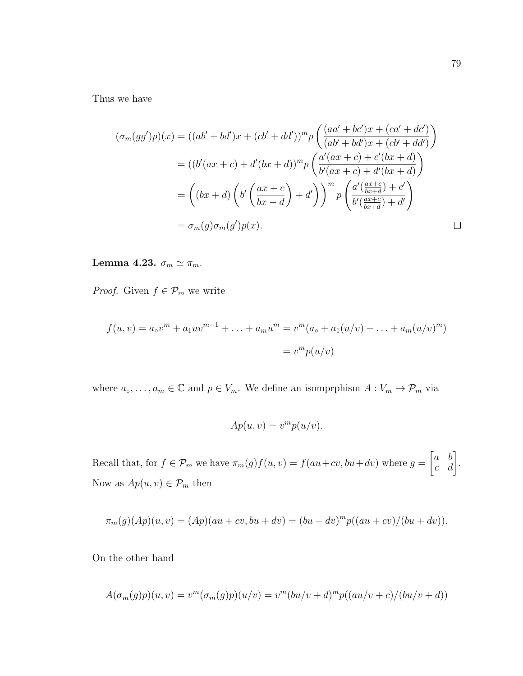Thus we have

$$
(\sigma_m(gg')p)(x) = ((ab' + bd')x + (cb' + dd'))^m p \left( \frac{(aa' + bc')x + (ca' + dc')}{(ab' + bd')x + (cb' + dd')}\right)
$$
  

$$
= ((b'(ax + c) + d'(bx + d))^m p \left( \frac{a'(ax + c) + c'(bx + d)}{b'(ax + c) + d'(bx + d)} \right)
$$
  

$$
= ((bx + d) \left( b' \left( \frac{ax + c}{bx + d} \right) + d' \right) \right)^m p \left( \frac{a' \left( \frac{ax + c}{bx + d} \right) + c'}{b' \left( \frac{ax + c}{bx + d} \right) + d'} \right)
$$
  

$$
= \sigma_m(g)\sigma_m(g')p(x).
$$

Lemma 4.23.  $\sigma_m \simeq \pi_m$ .

*Proof.* Given  $f \in \mathcal{P}_m$  we write

$$
f(u, v) = a_0 v^m + a_1 u v^{m-1} + \dots + a_m u^m = v^m (a_0 + a_1 (u/v) + \dots + a_m (u/v)^m)
$$
  
= 
$$
v^m p(u/v)
$$

where  $a_0, \ldots, a_m \in \mathbb{C}$  and  $p \in V_m$ . We define an isomprohism  $A: V_m \to \mathcal{P}_m$  via

$$
Ap(u, v) = vm p(u/v).
$$

Recall that, for  $f \in \mathcal{P}_m$  we have  $\pi_m(g)f(u, v) = f(au+cv, bu+dv)$  where  $g =$  $\begin{bmatrix} a & b \\ c & d \end{bmatrix}$ . Now as  $Ap(u, v) \in \mathcal{P}_m$  then

$$
\pi_m(g)(Ap)(u, v) = (Ap)(au + cv, bu + dv) = (bu + dv)^m p((au + cv)/(bu + dv)).
$$

On the other hand

$$
A(\sigma_m(g)p)(u,v) = v^m(\sigma_m(g)p)(u/v) = v^m(bu/v+d)^m p((au/v+c)/(bu/v+d))
$$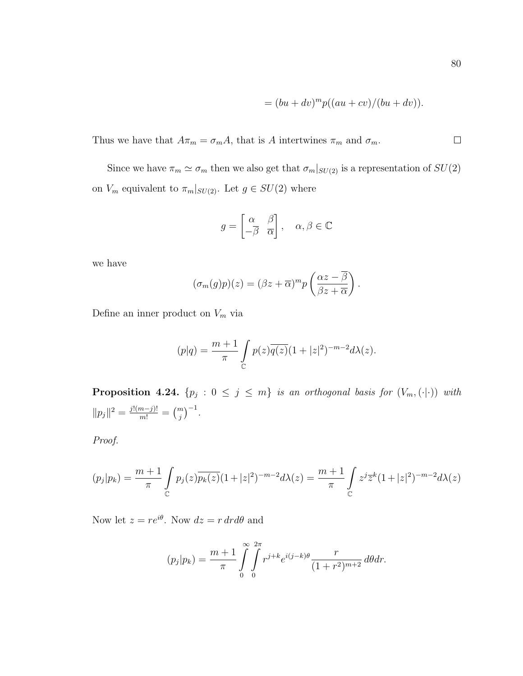$$
= (bu + dv)^m p((au + cv)/(bu + dv)).
$$

Thus we have that  $A\pi_m = \sigma_m A$ , that is A intertwines  $\pi_m$  and  $\sigma_m$ .

Since we have  $\pi_m \simeq \sigma_m$  then we also get that  $\sigma_m|_{SU(2)}$  is a representation of  $SU(2)$ on  $V_m$  equivalent to  $\pi_m|_{SU(2)}$ . Let  $g \in SU(2)$  where

$$
g = \begin{bmatrix} \alpha & \beta \\ -\overline{\beta} & \overline{\alpha} \end{bmatrix}, \quad \alpha, \beta \in \mathbb{C}
$$

we have

$$
(\sigma_m(g)p)(z) = (\beta z + \overline{\alpha})^m p\left(\frac{\alpha z - \overline{\beta}}{\beta z + \overline{\alpha}}\right).
$$

Define an inner product on  ${\mathcal V}_m$  via

$$
(p|q) = \frac{m+1}{\pi} \int_{\mathbb{C}} p(z) \overline{q(z)} (1+|z|^2)^{-m-2} d\lambda(z).
$$

**Proposition 4.24.**  $\{p_j : 0 \le j \le m\}$  is an orthogonal basis for  $(V_m, (\cdot | \cdot))$  with  $||p_j||^2 = \frac{j!(m-j)!}{m!} = {m \choose j}^{-1}.$ 

Proof.

$$
(p_j|p_k) = \frac{m+1}{\pi} \int_{\mathbb{C}} p_j(z) \overline{p_k(z)} (1+|z|^2)^{-m-2} d\lambda(z) = \frac{m+1}{\pi} \int_{\mathbb{C}} z^j \overline{z}^k (1+|z|^2)^{-m-2} d\lambda(z)
$$

Now let  $z = re^{i\theta}$ . Now  $dz = r dr d\theta$  and

$$
(p_j|p_k) = \frac{m+1}{\pi} \int_{0}^{\infty} \int_{0}^{2\pi} r^{j+k} e^{i(j-k)\theta} \frac{r}{(1+r^2)^{m+2}} d\theta dr.
$$

 $\Box$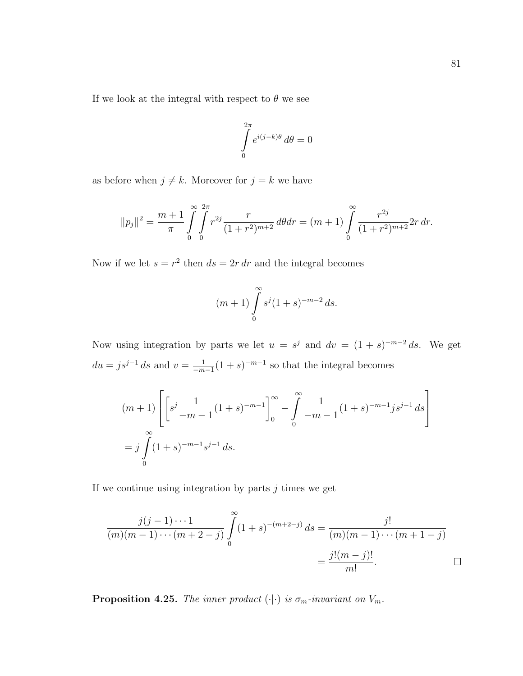If we look at the integral with respect to  $\theta$  we see

$$
\int_{0}^{2\pi} e^{i(j-k)\theta} d\theta = 0
$$

as before when  $j \neq k$ . Moreover for  $j = k$  we have

$$
||p_j||^2 = \frac{m+1}{\pi} \int_{0}^{\infty} \int_{0}^{2\pi} r^{2j} \frac{r}{(1+r^2)^{m+2}} d\theta dr = (m+1) \int_{0}^{\infty} \frac{r^{2j}}{(1+r^2)^{m+2}} 2r dr.
$$

Now if we let  $s = r^2$  then  $ds = 2r dr$  and the integral becomes

$$
(m+1)\int_{0}^{\infty} s^{j}(1+s)^{-m-2} ds.
$$

Now using integration by parts we let  $u = s^j$  and  $dv = (1 + s)^{-m-2} ds$ . We get  $du = js^{j-1} ds$  and  $v = \frac{1}{-m}$  $\frac{1}{-m-1}(1+s)^{-m-1}$  so that the integral becomes

$$
(m+1)\left[\left[s^j \frac{1}{-m-1} (1+s)^{-m-1}\right]_0^\infty - \int_0^\infty \frac{1}{-m-1} (1+s)^{-m-1} j s^{j-1} ds\right]
$$
  
=  $j \int_0^\infty (1+s)^{-m-1} s^{j-1} ds.$ 

If we continue using integration by parts  $j$  times we get

$$
\frac{j(j-1)\cdots 1}{(m)(m-1)\cdots (m+2-j)}\int_{0}^{\infty} (1+s)^{-(m+2-j)} ds = \frac{j!}{(m)(m-1)\cdots (m+1-j)} = \frac{j!(m-j)!}{m!}.
$$

**Proposition 4.25.** The inner product  $(\cdot|\cdot)$  is  $\sigma_m$ -invariant on  $V_m$ .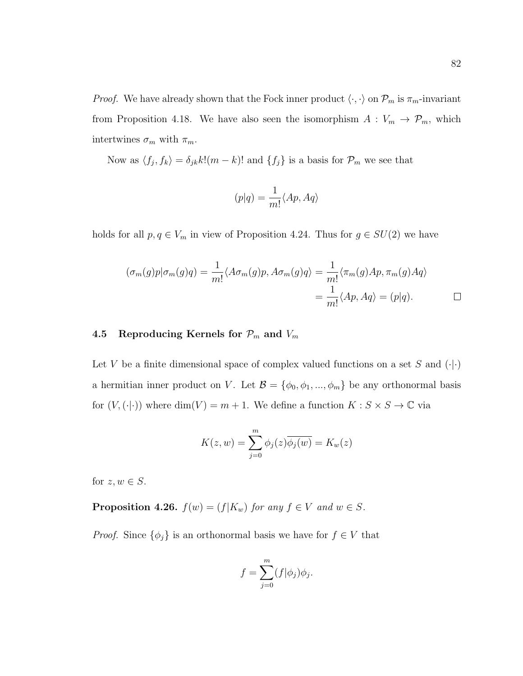*Proof.* We have already shown that the Fock inner product  $\langle \cdot, \cdot \rangle$  on  $\mathcal{P}_m$  is  $\pi_m$ -invariant from Proposition 4.18. We have also seen the isomorphism  $A: V_m \to \mathcal{P}_m$ , which intertwines  $\sigma_m$  with  $\pi_m$ .

Now as  $\langle f_j, f_k \rangle = \delta_{jk} k! (m - k)!$  and  $\{f_j\}$  is a basis for  $\mathcal{P}_m$  we see that

$$
(p|q) = \frac{1}{m!} \langle Ap, Aq \rangle
$$

holds for all  $p, q \in V_m$  in view of Proposition 4.24. Thus for  $g \in SU(2)$  we have

$$
(\sigma_m(g)p|\sigma_m(g)q) = \frac{1}{m!} \langle A\sigma_m(g)p, A\sigma_m(g)q \rangle = \frac{1}{m!} \langle \pi_m(g)Ap, \pi_m(g)Aq \rangle
$$
  
= 
$$
\frac{1}{m!} \langle Ap, Aq \rangle = (p|q).
$$

# 4.5 Reproducing Kernels for  $\mathcal{P}_m$  and  $V_m$

Let V be a finite dimensional space of complex valued functions on a set S and  $(\cdot | \cdot)$ a hermitian inner product on V. Let  $\mathcal{B} = \{\phi_0, \phi_1, ..., \phi_m\}$  be any orthonormal basis for  $(V, (\cdot | \cdot))$  where  $\dim(V) = m + 1$ . We define a function  $K : S \times S \to \mathbb{C}$  via

$$
K(z, w) = \sum_{j=0}^{m} \phi_j(z) \overline{\phi_j(w)} = K_w(z)
$$

for  $z, w \in S$ .

**Proposition 4.26.**  $f(w) = (f|K_w)$  for any  $f \in V$  and  $w \in S$ .

*Proof.* Since  $\{\phi_j\}$  is an orthonormal basis we have for  $f \in V$  that

$$
f = \sum_{j=0}^{m} (f|\phi_j)\phi_j.
$$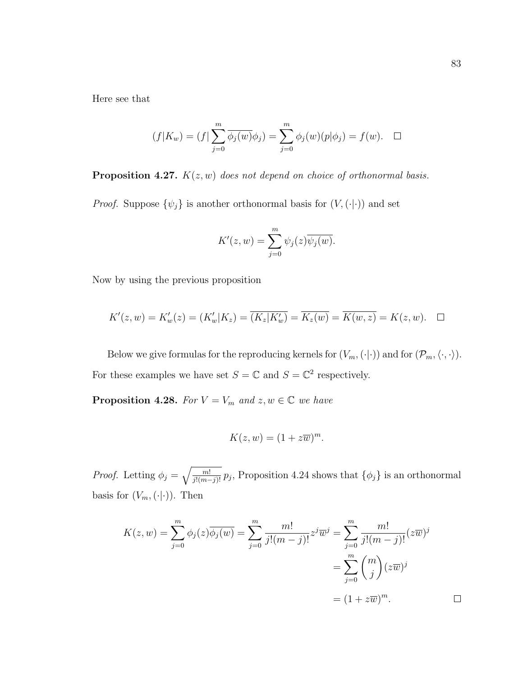Here see that

$$
(f|K_w) = (f|\sum_{j=0}^m \overline{\phi_j(w)}\phi_j) = \sum_{j=0}^m \phi_j(w)(p|\phi_j) = f(w). \quad \Box
$$

**Proposition 4.27.**  $K(z, w)$  does not depend on choice of orthonormal basis.

*Proof.* Suppose  $\{\psi_j\}$  is another orthonormal basis for  $(V, (\cdot | \cdot))$  and set

$$
K'(z, w) = \sum_{j=0}^{m} \psi_j(z) \overline{\psi_j(w)}.
$$

Now by using the previous proposition

$$
K'(z, w) = K'_w(z) = (K'_w | K_z) = \overline{(K_z | K'_w)} = \overline{K_z(w)} = \overline{K(w, z)} = K(z, w). \quad \Box
$$

Below we give formulas for the reproducing kernels for  $(V_m, (\cdot | \cdot))$  and for  $(\mathcal{P}_m, \langle \cdot, \cdot \rangle)$ . For these examples we have set  $S = \mathbb{C}$  and  $S = \mathbb{C}^2$  respectively.

**Proposition 4.28.** For  $V = V_m$  and  $z, w \in \mathbb{C}$  we have

$$
K(z, w) = (1 + z\overline{w})^m.
$$

*Proof.* Letting  $\phi_j = \sqrt{\frac{m!}{j!(m-j)!}} p_j$ , Proposition 4.24 shows that  $\{\phi_j\}$  is an orthonormal basis for  $(V_m, (\cdot | \cdot))$ . Then

$$
K(z, w) = \sum_{j=0}^{m} \phi_j(z) \overline{\phi_j(w)} = \sum_{j=0}^{m} \frac{m!}{j!(m-j)!} z^j \overline{w}^j = \sum_{j=0}^{m} \frac{m!}{j!(m-j)!} (z\overline{w})^j
$$
  
= 
$$
\sum_{j=0}^{m} {m \choose j} (z\overline{w})^j
$$
  
= 
$$
(1 + z\overline{w})^m.
$$

 $\Box$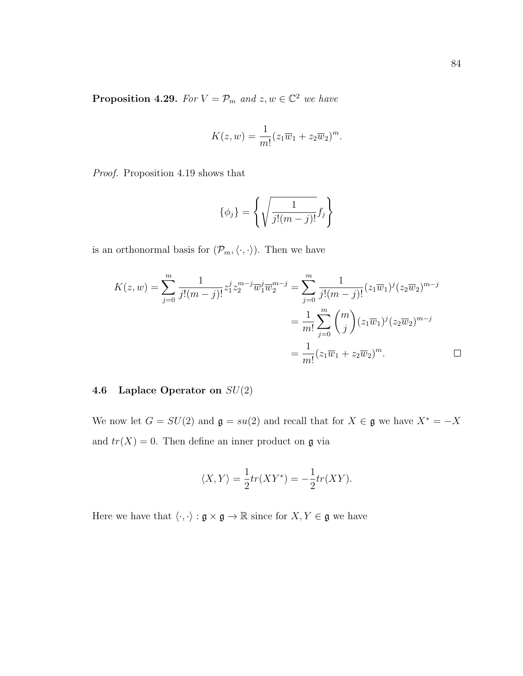**Proposition 4.29.** For  $V = \mathcal{P}_m$  and  $z, w \in \mathbb{C}^2$  we have

$$
K(z, w) = \frac{1}{m!} (z_1 \overline{w}_1 + z_2 \overline{w}_2)^m.
$$

Proof. Proposition 4.19 shows that

$$
\{\phi_j\} = \left\{ \sqrt{\frac{1}{j!(m-j)!}} f_j \right\}
$$

is an orthonormal basis for  $(\mathcal{P}_m, \langle \cdot, \cdot \rangle)$ . Then we have

$$
K(z, w) = \sum_{j=0}^{m} \frac{1}{j!(m-j)!} z_1^j z_2^{m-j} \overline{w}_1^j \overline{w}_2^{m-j} = \sum_{j=0}^{m} \frac{1}{j!(m-j)!} (z_1 \overline{w}_1)^j (z_2 \overline{w}_2)^{m-j}
$$
  

$$
= \frac{1}{m!} \sum_{j=0}^{m} {m \choose j} (z_1 \overline{w}_1)^j (z_2 \overline{w}_2)^{m-j}
$$
  

$$
= \frac{1}{m!} (z_1 \overline{w}_1 + z_2 \overline{w}_2)^m.
$$

# 4.6 Laplace Operator on  $SU(2)$

We now let  $G = SU(2)$  and  $\mathfrak{g} = su(2)$  and recall that for  $X \in \mathfrak{g}$  we have  $X^* = -X$ and  $tr(X) = 0$ . Then define an inner product on  $\mathfrak g$  via

$$
\langle X, Y \rangle = \frac{1}{2} tr(XY^*) = -\frac{1}{2} tr(XY).
$$

Here we have that  $\langle\cdot,\cdot\rangle:\mathfrak{g}\times\mathfrak{g}\to\mathbb{R}$  since for  $X,Y\in\mathfrak{g}$  we have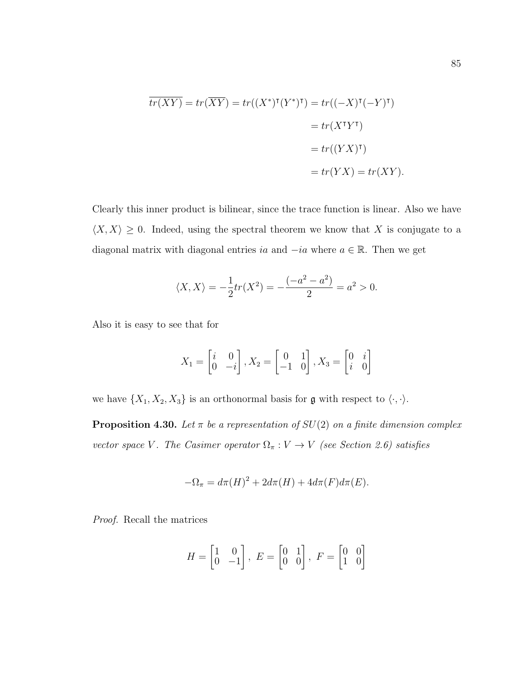$$
\overline{tr(XY)} = tr(\overline{XY}) = tr((X^*)^{\mathsf{T}}(Y^*)^{\mathsf{T}}) = tr((-X)^{\mathsf{T}}(-Y)^{\mathsf{T}})
$$

$$
= tr(X^{\mathsf{T}}Y^{\mathsf{T}})
$$

$$
= tr((YX)^{\mathsf{T}})
$$

$$
= tr(YX) = tr(XY).
$$

Clearly this inner product is bilinear, since the trace function is linear. Also we have  $\langle X, X \rangle \geq 0$ . Indeed, using the spectral theorem we know that X is conjugate to a diagonal matrix with diagonal entries ia and  $-i\alpha$  where  $a \in \mathbb{R}$ . Then we get

$$
\langle X, X \rangle = -\frac{1}{2}tr(X^2) = -\frac{(-a^2 - a^2)}{2} = a^2 > 0.
$$

Also it is easy to see that for

$$
X_1 = \begin{bmatrix} i & 0 \\ 0 & -i \end{bmatrix}, X_2 = \begin{bmatrix} 0 & 1 \\ -1 & 0 \end{bmatrix}, X_3 = \begin{bmatrix} 0 & i \\ i & 0 \end{bmatrix}
$$

we have  $\{X_1, X_2, X_3\}$  is an orthonormal basis for **g** with respect to  $\langle \cdot, \cdot \rangle$ .

**Proposition 4.30.** Let  $\pi$  be a representation of  $SU(2)$  on a finite dimension complex vector space V. The Casimer operator  $\Omega_{\pi}: V \to V$  (see Section 2.6) satisfies

$$
-\Omega_{\pi} = d\pi (H)^{2} + 2d\pi (H) + 4d\pi (F)d\pi (E).
$$

Proof. Recall the matrices

$$
H = \begin{bmatrix} 1 & 0 \\ 0 & -1 \end{bmatrix}, \ E = \begin{bmatrix} 0 & 1 \\ 0 & 0 \end{bmatrix}, \ F = \begin{bmatrix} 0 & 0 \\ 1 & 0 \end{bmatrix}
$$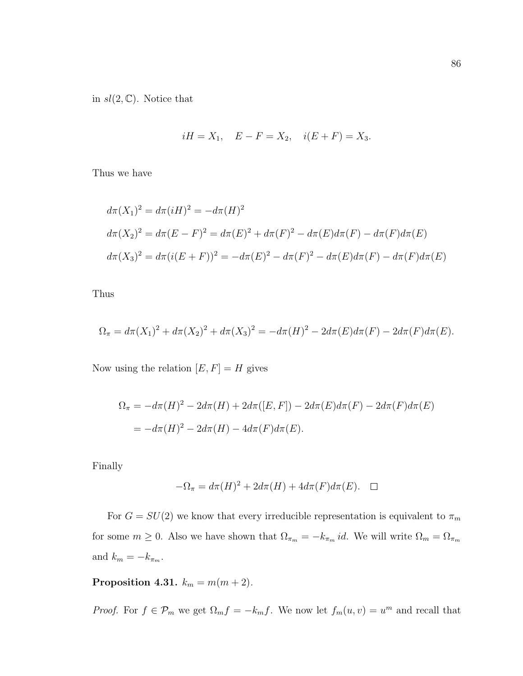in  $sl(2,\mathbb{C})$ . Notice that

$$
iH = X_1
$$
,  $E - F = X_2$ ,  $i(E + F) = X_3$ .

Thus we have

$$
d\pi(X_1)^2 = d\pi(iH)^2 = -d\pi(H)^2
$$
  
\n
$$
d\pi(X_2)^2 = d\pi(E - F)^2 = d\pi(E)^2 + d\pi(F)^2 - d\pi(E)d\pi(F) - d\pi(F)d\pi(E)
$$
  
\n
$$
d\pi(X_3)^2 = d\pi(i(E + F))^2 = -d\pi(E)^2 - d\pi(F)^2 - d\pi(E)d\pi(F) - d\pi(F)d\pi(E)
$$

Thus

$$
\Omega_{\pi} = d\pi (X_1)^2 + d\pi (X_2)^2 + d\pi (X_3)^2 = -d\pi (H)^2 - 2d\pi (E)d\pi (F) - 2d\pi (F)d\pi (E).
$$

Now using the relation  $[E, F] = H$  gives

$$
\Omega_{\pi} = -d\pi(H)^{2} - 2d\pi(H) + 2d\pi([E, F]) - 2d\pi(E)d\pi(F) - 2d\pi(F)d\pi(E)
$$
  
= 
$$
-d\pi(H)^{2} - 2d\pi(H) - 4d\pi(F)d\pi(E).
$$

Finally

$$
-\Omega_{\pi} = d\pi(H)^{2} + 2d\pi(H) + 4d\pi(F)d\pi(E). \quad \Box
$$

For  $G=SU(2)$  we know that every irreducible representation is equivalent to  $\pi_m$ for some  $m \ge 0$ . Also we have shown that  $\Omega_{\pi_m} = -k_{\pi_m} id$ . We will write  $\Omega_m = \Omega_{\pi_m}$ and  $k_m = -k_{\pi_m}$ .

Proposition 4.31.  $k_m = m(m+2)$ .

*Proof.* For  $f \in \mathcal{P}_m$  we get  $\Omega_m f = -k_m f$ . We now let  $f_m(u, v) = u^m$  and recall that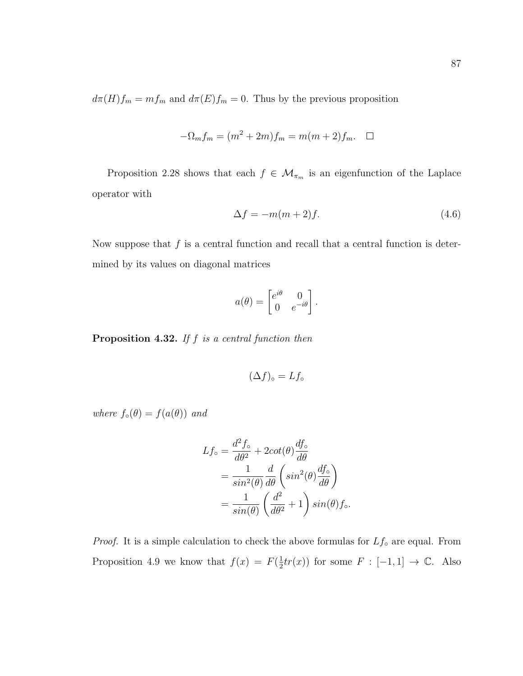$d\pi(H)f_m = mf_m$  and  $d\pi(E)f_m = 0$ . Thus by the previous proposition

$$
-\Omega_m f_m = (m^2 + 2m)f_m = m(m+2)f_m. \quad \Box
$$

Proposition 2.28 shows that each  $f \in \mathcal{M}_{\pi_m}$  is an eigenfunction of the Laplace operator with

$$
\Delta f = -m(m+2)f.
$$
\n(4.6)

Now suppose that  $f$  is a central function and recall that a central function is determined by its values on diagonal matrices

$$
a(\theta) = \begin{bmatrix} e^{i\theta} & 0 \\ 0 & e^{-i\theta} \end{bmatrix}.
$$

**Proposition 4.32.** If  $f$  is a central function then

$$
(\Delta f)_{\circ} = Lf_{\circ}
$$

where  $f_{\circ}(\theta) = f(a(\theta))$  and

$$
Lf_{\circ} = \frac{d^2 f_{\circ}}{d\theta^2} + 2\cot(\theta) \frac{df_{\circ}}{d\theta}
$$
  
= 
$$
\frac{1}{\sin^2(\theta)} \frac{d}{d\theta} \left( \sin^2(\theta) \frac{df_{\circ}}{d\theta} \right)
$$
  
= 
$$
\frac{1}{\sin(\theta)} \left( \frac{d^2}{d\theta^2} + 1 \right) \sin(\theta) f_{\circ}.
$$

*Proof.* It is a simple calculation to check the above formulas for  $Lf_0$  are equal. From Proposition 4.9 we know that  $f(x) = F(\frac{1}{2})$  $\frac{1}{2}tr(x)$  for some  $F : [-1,1] \rightarrow \mathbb{C}$ . Also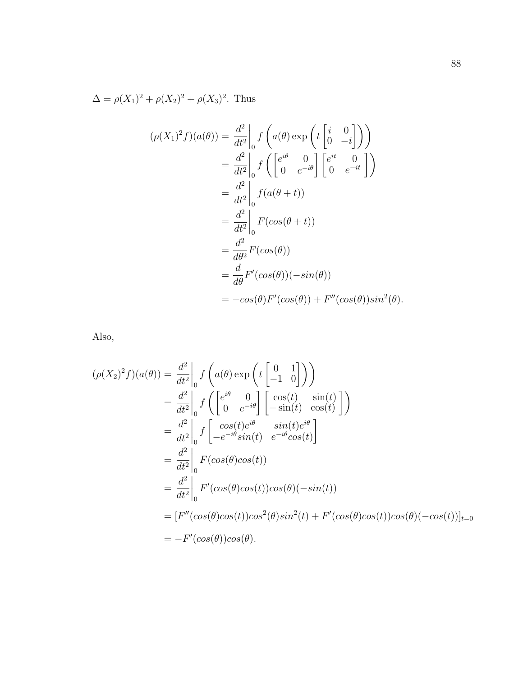$\Delta = \rho(X_1)^2 + \rho(X_2)^2 + \rho(X_3)^2$ . Thus

$$
(\rho(X_1)^2 f)(a(\theta)) = \frac{d^2}{dt^2}\Big|_0 f\left(a(\theta) \exp\left(t\begin{bmatrix} i & 0\\ 0 & -i \end{bmatrix}\right)\right)
$$
  
\n
$$
= \frac{d^2}{dt^2}\Big|_0 f\left(\begin{bmatrix} e^{i\theta} & 0\\ 0 & e^{-i\theta} \end{bmatrix} \begin{bmatrix} e^{it} & 0\\ 0 & e^{-it} \end{bmatrix}\right)
$$
  
\n
$$
= \frac{d^2}{dt^2}\Big|_0 f(a(\theta + t))
$$
  
\n
$$
= \frac{d^2}{dt^2}\Big|_0 F(cos(\theta + t))
$$
  
\n
$$
= \frac{d^2}{d\theta^2}F(cos(\theta))
$$
  
\n
$$
= \frac{d}{d\theta}F'(cos(\theta))(-sin(\theta))
$$
  
\n
$$
= -cos(\theta)F'(cos(\theta)) + F''(cos(\theta))sin^2(\theta).
$$

Also,

$$
(\rho(X_2)^2 f)(a(\theta)) = \frac{d^2}{dt^2}\Big|_0 f\left(a(\theta) \exp\left(t\begin{bmatrix} 0 & 1\\ -1 & 0 \end{bmatrix}\right)\right)
$$
  
\n
$$
= \frac{d^2}{dt^2}\Big|_0 f\left(\begin{bmatrix} e^{i\theta} & 0\\ 0 & e^{-i\theta} \end{bmatrix} \begin{bmatrix} \cos(t) & \sin(t)\\ -\sin(t) & \cos(t) \end{bmatrix}\right)\right)
$$
  
\n
$$
= \frac{d^2}{dt^2}\Big|_0 f\begin{bmatrix} \cos(t)e^{i\theta} & \sin(t)e^{i\theta}\\ -e^{-i\theta}\sin(t) & e^{-i\theta}\cos(t) \end{bmatrix}
$$
  
\n
$$
= \frac{d^2}{dt^2}\Big|_0 F(\cos(\theta)\cos(t))
$$
  
\n
$$
= \frac{d^2}{dt^2}\Big|_0 F'(\cos(\theta)\cos(t))\cos(\theta)(-\sin(t))
$$
  
\n
$$
= [F''(\cos(\theta)\cos(t))\cos^2(\theta)\sin^2(t) + F'(\cos(\theta)\cos(t))\cos(\theta)(-\cos(t))]_{t=0}
$$
  
\n
$$
= -F'(\cos(\theta))\cos(\theta).
$$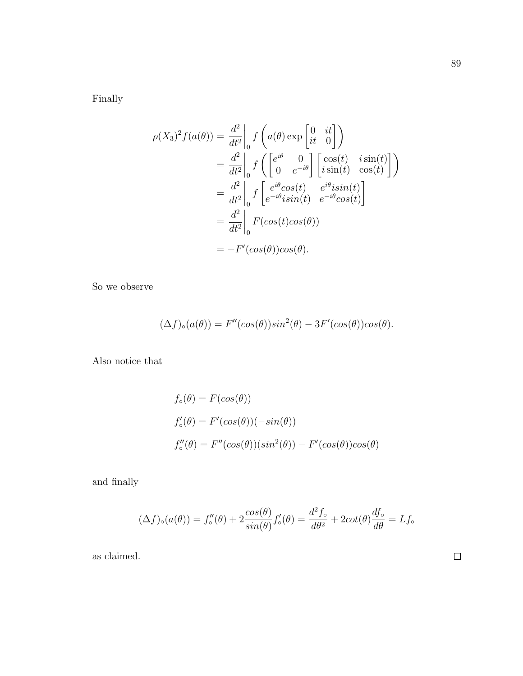Finally

$$
\rho(X_3)^2 f(a(\theta)) = \frac{d^2}{dt^2} \Big|_0 f\left(a(\theta) \exp\left[\begin{array}{cc} 0 & it \\ it & 0 \end{array}\right]\right)
$$
  
\n
$$
= \frac{d^2}{dt^2} \Big|_0 f\left(\begin{bmatrix} e^{i\theta} & 0 \\ 0 & e^{-i\theta} \end{bmatrix} \begin{bmatrix} \cos(t) & i\sin(t) \\ i\sin(t) & \cos(t) \end{bmatrix}\right)
$$
  
\n
$$
= \frac{d^2}{dt^2} \Big|_0 f\left[\begin{array}{cc} e^{i\theta} \cos(t) & e^{i\theta} i\sin(t) \\ e^{-i\theta} i\sin(t) & e^{-i\theta} \cos(t) \end{array}\right]
$$
  
\n
$$
= \frac{d^2}{dt^2} \Big|_0 F(\cos(t)\cos(\theta))
$$
  
\n
$$
= -F'(\cos(\theta))\cos(\theta).
$$

So we observe

$$
(\Delta f)_{\circ}(a(\theta)) = F''(cos(\theta))sin^{2}(\theta) - 3F'(cos(\theta))cos(\theta).
$$

Also notice that

$$
f_{\circ}(\theta) = F(cos(\theta))
$$
  
\n
$$
f'_{\circ}(\theta) = F'(cos(\theta))(-sin(\theta))
$$
  
\n
$$
f''_{\circ}(\theta) = F''(cos(\theta))(sin^{2}(\theta)) - F'(cos(\theta))cos(\theta)
$$

and finally

$$
(\Delta f)_{\circ}(a(\theta)) = f_{\circ}''(\theta) + 2\frac{\cos(\theta)}{\sin(\theta)}f_{\circ}'(\theta) = \frac{d^2f_{\circ}}{d\theta^2} + 2\cot(\theta)\frac{df_{\circ}}{d\theta} = Lf_{\circ}
$$

as claimed.

 $\Box$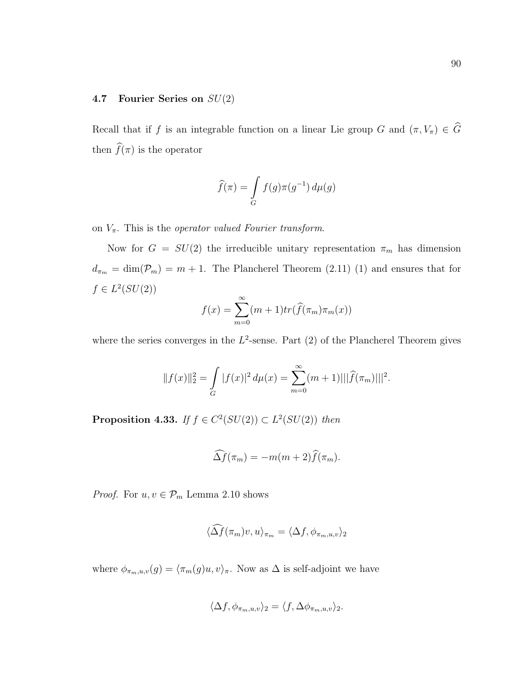## 4.7 Fourier Series on SU(2)

Recall that if f is an integrable function on a linear Lie group G and  $(\pi, V_{\pi}) \in \widehat{G}$ then  $\widehat{f}(\pi)$  is the operator

$$
\widehat{f}(\pi) = \int\limits_G f(g)\pi(g^{-1})\,d\mu(g)
$$

on  $V_{\pi}$ . This is the *operator valued Fourier transform*.

Now for  $G = SU(2)$  the irreducible unitary representation  $\pi_m$  has dimension  $d_{\pi_m} = \dim(\mathcal{P}_m) = m + 1$ . The Plancherel Theorem (2.11) (1) and ensures that for  $f \in L^2(SU(2))$ 

$$
f(x) = \sum_{m=0}^{\infty} (m+1) tr(\widehat{f}(\pi_m) \pi_m(x))
$$

where the series converges in the  $L^2$ -sense. Part (2) of the Plancherel Theorem gives

$$
||f(x)||_2^2 = \int_G |f(x)|^2 d\mu(x) = \sum_{m=0}^{\infty} (m+1) |||\widehat{f}(\pi_m)|||^2.
$$

**Proposition 4.33.** If  $f \in C^2(SU(2)) \subset L^2(SU(2))$  then

$$
\widehat{\Delta f}(\pi_m) = -m(m+2)\widehat{f}(\pi_m).
$$

*Proof.* For  $u, v \in \mathcal{P}_m$  Lemma 2.10 shows

$$
\langle \widehat{\Delta f}(\pi_m)v, u \rangle_{\pi_m} = \langle \Delta f, \phi_{\pi_m, u, v} \rangle_2
$$

where  $\phi_{\pi_m, u, v}(g) = \langle \pi_m(g)u, v \rangle_{\pi}$ . Now as  $\Delta$  is self-adjoint we have

$$
\langle \Delta f, \phi_{\pi_m, u, v} \rangle_2 = \langle f, \Delta \phi_{\pi_m, u, v} \rangle_2.
$$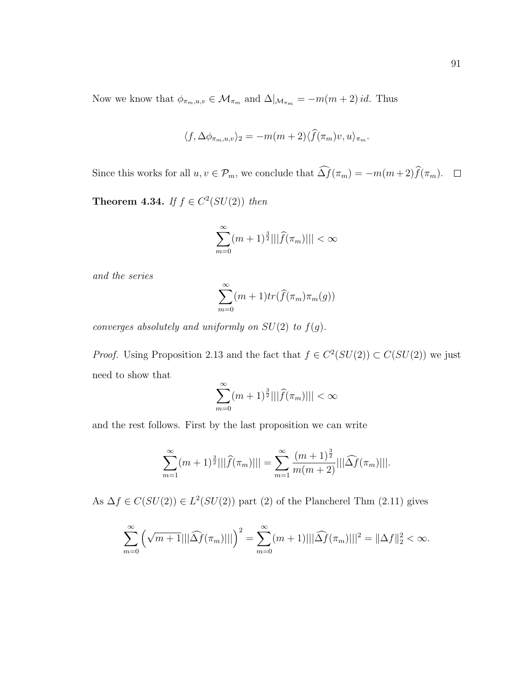Now we know that  $\phi_{\pi_m,u,v} \in \mathcal{M}_{\pi_m}$  and  $\Delta|_{\mathcal{M}_{\pi_m}} = -m(m+2)id$ . Thus

$$
\langle f, \Delta \phi_{\pi_m, u, v} \rangle_2 = -m(m+2) \langle \widehat{f}(\pi_m) v, u \rangle_{\pi_m}.
$$

Since this works for all  $u, v \in \mathcal{P}_m$ , we conclude that  $\widehat{\Delta f}(\pi_m) = -m(m+2)\widehat{f}(\pi_m)$ .  $\Box$ 

**Theorem 4.34.** If  $f \in C^2(SU(2))$  then

$$
\sum_{m=0}^{\infty} (m+1)^{\frac{3}{2}}|||\widehat{f}(\pi_m)||| < \infty
$$

and the series

$$
\sum_{m=0}^{\infty} (m+1) tr(\widehat{f}(\pi_m) \pi_m(g))
$$

converges absolutely and uniformly on  $SU(2)$  to  $f(g)$ .

*Proof.* Using Proposition 2.13 and the fact that  $f \in C^2(SU(2)) \subset C(SU(2))$  we just need to show that

$$
\sum_{m=0}^{\infty} (m+1)^{\frac{3}{2}}|||\widehat{f}(\pi_m)||| < \infty
$$

and the rest follows. First by the last proposition we can write

$$
\sum_{m=1}^{\infty} (m+1)^{\frac{3}{2}}|||\widehat{f}(\pi_m)||| = \sum_{m=1}^{\infty} \frac{(m+1)^{\frac{3}{2}}}{m(m+2)}|||\widehat{\Delta f}(\pi_m)|||.
$$

As  $\Delta f \in C(SU(2)) \in L^2(SU(2))$  part (2) of the Plancherel Thm (2.11) gives

$$
\sum_{m=0}^{\infty} \left( \sqrt{m+1} |||\widehat{\Delta f}(\pi_m)||| \right)^2 = \sum_{m=0}^{\infty} (m+1) |||\widehat{\Delta f}(\pi_m)|||^2 = ||\Delta f||_2^2 < \infty.
$$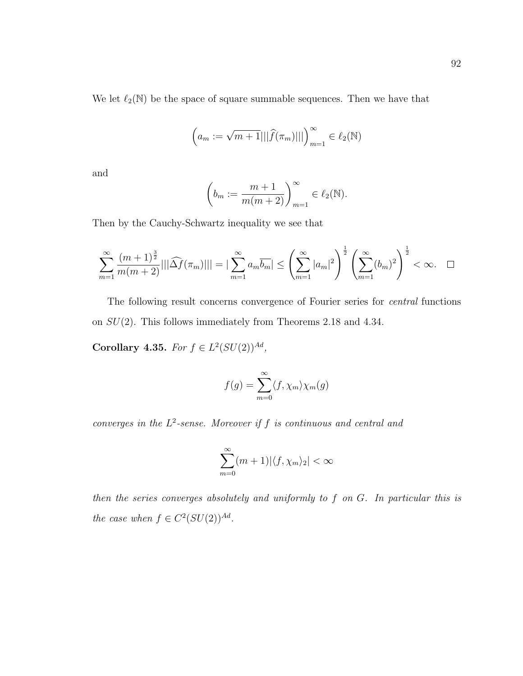We let  $\ell_2(\mathbb{N})$  be the space of square summable sequences. Then we have that

$$
(a_m := \sqrt{m+1}|||\widehat{f}(\pi_m)|||)_{m=1}^{\infty} \in \ell_2(\mathbb{N})
$$

and

$$
\left(b_m := \frac{m+1}{m(m+2)}\right)_{m=1}^{\infty} \in \ell_2(\mathbb{N}).
$$

Then by the Cauchy-Schwartz inequality we see that

$$
\sum_{m=1}^{\infty} \frac{(m+1)^{\frac{3}{2}}}{m(m+2)} |||\widehat{\Delta f}(\pi_m)||| = |\sum_{m=1}^{\infty} a_m \overline{b_m}| \le \left(\sum_{m=1}^{\infty} |a_m|^2\right)^{\frac{1}{2}} \left(\sum_{m=1}^{\infty} (b_m)^2\right)^{\frac{1}{2}} < \infty. \quad \Box
$$

The following result concerns convergence of Fourier series for central functions on  $SU(2)$ . This follows immediately from Theorems 2.18 and 4.34.

Corollary 4.35. For  $f \in L^2(SU(2))^{Ad}$ ,

$$
f(g) = \sum_{m=0}^{\infty} \langle f, \chi_m \rangle \chi_m(g)
$$

converges in the  $L^2$ -sense. Moreover if f is continuous and central and

$$
\sum_{m=0}^{\infty} (m+1)|\langle f, \chi_m \rangle_2| < \infty
$$

then the series converges absolutely and uniformly to f on G. In particular this is the case when  $f \in C^2(SU(2))^{Ad}$ .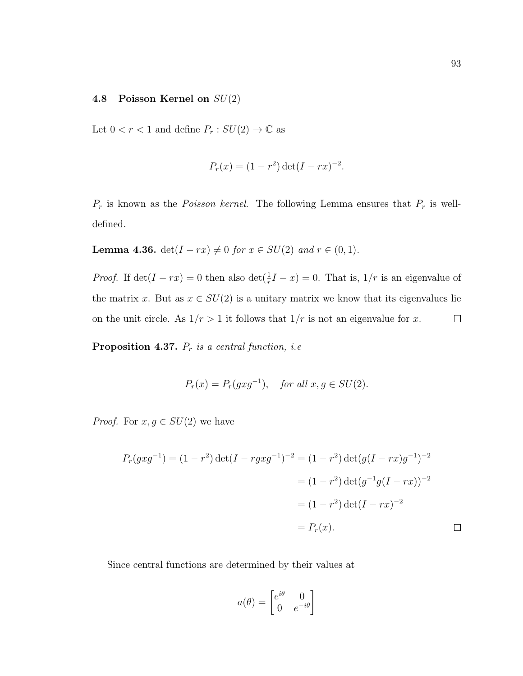### 4.8 Poisson Kernel on  $SU(2)$

Let  $0 < r < 1$  and define  $P_r : SU(2) \rightarrow \mathbb{C}$  as

$$
P_r(x) = (1 - r^2) \det(I - rx)^{-2}.
$$

 $P_r$  is known as the *Poisson kernel*. The following Lemma ensures that  $P_r$  is welldefined.

**Lemma 4.36.** det( $I - rx$ )  $\neq 0$  for  $x \in SU(2)$  and  $r \in (0, 1)$ .

*Proof.* If  $\det(I - rx) = 0$  then also  $\det(\frac{1}{r}I - x) = 0$ . That is,  $1/r$  is an eigenvalue of the matrix x. But as  $x \in SU(2)$  is a unitary matrix we know that its eigenvalues lie on the unit circle. As  $1/r > 1$  it follows that  $1/r$  is not an eigenvalue for x.  $\Box$ 

**Proposition 4.37.**  $P_r$  is a central function, i.e.

$$
P_r(x) = P_r(gxg^{-1}), \quad \text{for all } x, g \in SU(2).
$$

*Proof.* For  $x, g \in SU(2)$  we have

$$
P_r(gxg^{-1}) = (1 - r^2) \det(I - rgxg^{-1})^{-2} = (1 - r^2) \det(g(I - rx)g^{-1})^{-2}
$$

$$
= (1 - r^2) \det(g^{-1}g(I - rx))^{-2}
$$

$$
= (1 - r^2) \det(I - rx)^{-2}
$$

$$
= P_r(x).
$$

Since central functions are determined by their values at

$$
a(\theta) = \begin{bmatrix} e^{i\theta} & 0\\ 0 & e^{-i\theta} \end{bmatrix}
$$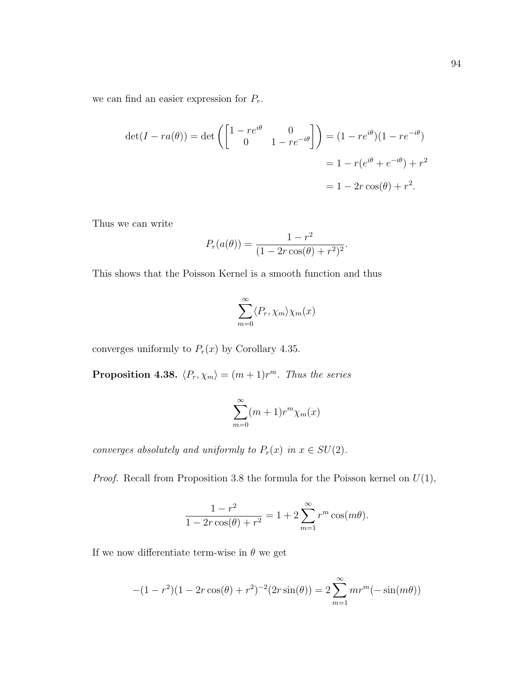we can find an easier expression for  $P_r$ .

$$
\det(I - ra(\theta)) = \det\left(\begin{bmatrix} 1 - re^{i\theta} & 0\\ 0 & 1 - re^{-i\theta} \end{bmatrix}\right) = (1 - re^{i\theta})(1 - re^{-i\theta})
$$

$$
= 1 - r(e^{i\theta} + e^{-i\theta}) + r^2
$$

$$
= 1 - 2r\cos(\theta) + r^2.
$$

Thus we can write

$$
P_r(a(\theta)) = \frac{1 - r^2}{(1 - 2r\cos(\theta) + r^2)^2}.
$$

This shows that the Poisson Kernel is a smooth function and thus

$$
\sum_{m=0}^{\infty} \langle P_r, \chi_m \rangle \chi_m(x)
$$

converges uniformly to  $P_r(x)$  by Corollary 4.35.

**Proposition 4.38.**  $\langle P_r, \chi_m \rangle = (m + 1)r^m$ . Thus the series

$$
\sum_{m=0}^{\infty} (m+1)r^m \chi_m(x)
$$

converges absolutely and uniformly to  $P_r(x)$  in  $x \in SU(2)$ .

*Proof.* Recall from Proposition 3.8 the formula for the Poisson kernel on  $U(1)$ ,

$$
\frac{1 - r^2}{1 - 2r\cos(\theta) + r^2} = 1 + 2\sum_{m=1}^{\infty} r^m \cos(m\theta).
$$

If we now differentiate term-wise in  $\theta$  we get

$$
-(1 - r2)(1 - 2r\cos(\theta) + r2)-2(2r\sin(\theta)) = 2\sum_{m=1}^{\infty} mrm(-\sin(m\theta))
$$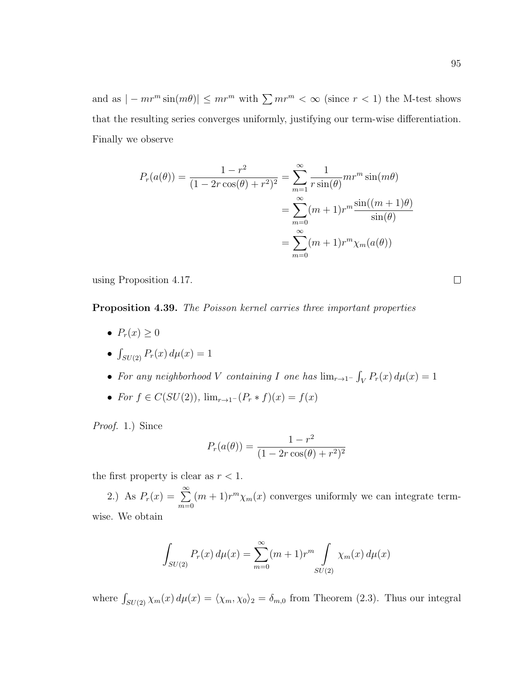and as  $|-mr^m\sin(m\theta)| \leq mr^m$  with  $\sum mr^m < \infty$  (since  $r < 1$ ) the M-test shows that the resulting series converges uniformly, justifying our term-wise differentiation. Finally we observe

$$
P_r(a(\theta)) = \frac{1 - r^2}{(1 - 2r\cos(\theta) + r^2)^2} = \sum_{m=1}^{\infty} \frac{1}{r\sin(\theta)} mr^m \sin(m\theta)
$$
  
= 
$$
\sum_{m=0}^{\infty} (m+1)r^m \frac{\sin((m+1)\theta)}{\sin(\theta)}
$$
  
= 
$$
\sum_{m=0}^{\infty} (m+1)r^m \chi_m(a(\theta))
$$

using Proposition 4.17.

#### Proposition 4.39. The Poisson kernel carries three important properties

- $P_r(x) \geq 0$
- $\int_{SU(2)} P_r(x) d\mu(x) = 1$
- For any neighborhood V containing I one has  $\lim_{r\to 1^-} \int_V P_r(x) d\mu(x) = 1$
- For  $f \in C(SU(2))$ ,  $\lim_{r \to 1^-} (P_r * f)(x) = f(x)$

Proof. 1.) Since

$$
P_r(a(\theta)) = \frac{1 - r^2}{(1 - 2r\cos(\theta) + r^2)^2}
$$

the first property is clear as  $r < 1$ .

2.) As  $P_r(x) = \sum_{n=0}^{\infty}$  $m=0$  $(m+1)r^{m}\chi_{m}(x)$  converges uniformly we can integrate termwise. We obtain

$$
\int_{SU(2)} P_r(x) d\mu(x) = \sum_{m=0}^{\infty} (m+1)r^m \int_{SU(2)} \chi_m(x) d\mu(x)
$$

where  $\int_{SU(2)} \chi_m(x) d\mu(x) = \langle \chi_m, \chi_0 \rangle_2 = \delta_{m,0}$  from Theorem (2.3). Thus our integral

 $\Box$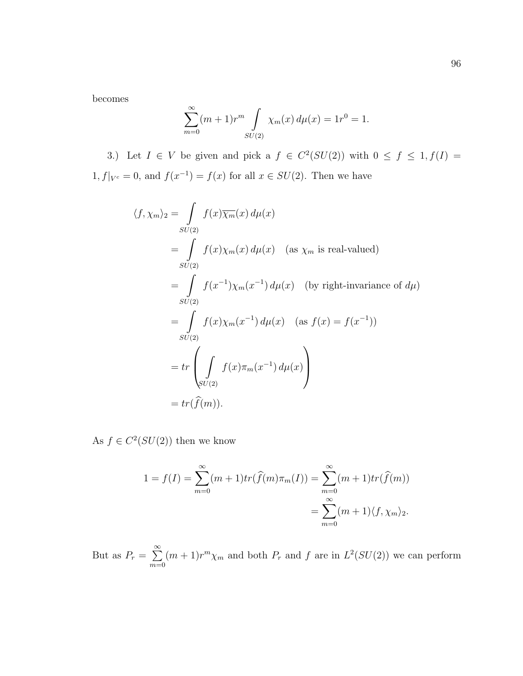becomes

$$
\sum_{m=0}^{\infty} (m+1)r^m \int_{SU(2)} \chi_m(x) d\mu(x) = 1r^0 = 1.
$$

3.) Let  $I \in V$  be given and pick a  $f \in C^2(SU(2))$  with  $0 \le f \le 1, f(I) =$  $1, f|_{V^c} = 0$ , and  $f(x^{-1}) = f(x)$  for all  $x \in SU(2)$ . Then we have

$$
\langle f, \chi_m \rangle_2 = \int_{SU(2)} f(x) \overline{\chi_m}(x) d\mu(x)
$$
  
\n
$$
= \int_{SU(2)} f(x) \chi_m(x) d\mu(x) \quad \text{(as } \chi_m \text{ is real-valued)}
$$
  
\n
$$
= \int_{SU(2)} f(x^{-1}) \chi_m(x^{-1}) d\mu(x) \quad \text{(by right-invariance of } d\mu)
$$
  
\n
$$
= \int_{SU(2)} f(x) \chi_m(x^{-1}) d\mu(x) \quad \text{(as } f(x) = f(x^{-1}))
$$
  
\n
$$
= tr \left( \int_{SU(2)} f(x) \pi_m(x^{-1}) d\mu(x) \right)
$$
  
\n
$$
= tr(\widehat{f}(m)).
$$

As  $f \in C^2(SU(2))$  then we know

$$
1 = f(I) = \sum_{m=0}^{\infty} (m+1)tr(\widehat{f}(m)\pi_m(I)) = \sum_{m=0}^{\infty} (m+1)tr(\widehat{f}(m))
$$
  
= 
$$
\sum_{m=0}^{\infty} (m+1)\langle f, \chi_m \rangle_2.
$$

But as  $P_r = \sum_{r=1}^{\infty}$  $m=0$  $(m+1)r^{m}\chi_{m}$  and both  $P_{r}$  and f are in  $L^{2}(SU(2))$  we can perform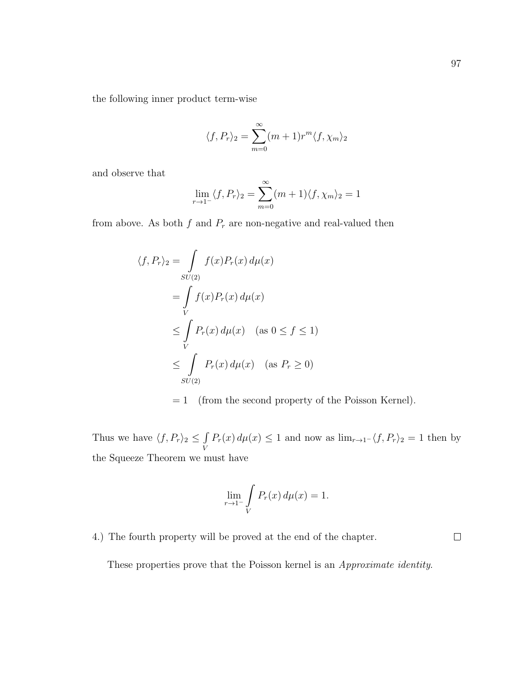the following inner product term-wise

$$
\langle f, P_r \rangle_2 = \sum_{m=0}^{\infty} (m+1)r^m \langle f, \chi_m \rangle_2
$$

and observe that

$$
\lim_{r \to 1^-} \langle f, P_r \rangle_2 = \sum_{m=0}^{\infty} (m+1) \langle f, \chi_m \rangle_2 = 1
$$

from above. As both  $f$  and  $P_r$  are non-negative and real-valued then

$$
\langle f, P_r \rangle_2 = \int_{SU(2)} f(x) P_r(x) d\mu(x)
$$
  
= 
$$
\int_{V} f(x) P_r(x) d\mu(x)
$$
  

$$
\leq \int_{V} P_r(x) d\mu(x) \quad (\text{as } 0 \leq f \leq 1)
$$
  

$$
\leq \int_{SU(2)} P_r(x) d\mu(x) \quad (\text{as } P_r \geq 0)
$$

 $= 1$  (from the second property of the Poisson Kernel).

Thus we have  $\langle f, P_r \rangle_2 \leq \int$ V  $P_r(x) d\mu(x) \leq 1$  and now as  $\lim_{r\to 1^-} \langle f, P_r \rangle_2 = 1$  then by the Squeeze Theorem we must have

$$
\lim_{r \to 1^-} \int\limits_V P_r(x) \, d\mu(x) = 1.
$$

4.) The fourth property will be proved at the end of the chapter.

 $\Box$ 

These properties prove that the Poisson kernel is an Approximate identity.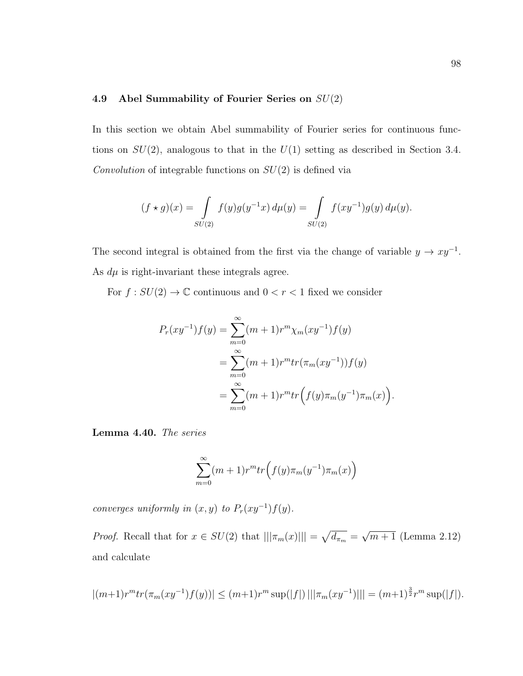### 4.9 Abel Summability of Fourier Series on  $SU(2)$

In this section we obtain Abel summability of Fourier series for continuous functions on  $SU(2)$ , analogous to that in the  $U(1)$  setting as described in Section 3.4. Convolution of integrable functions on  $SU(2)$  is defined via

$$
(f \star g)(x) = \int_{SU(2)} f(y)g(y^{-1}x) d\mu(y) = \int_{SU(2)} f(xy^{-1})g(y) d\mu(y).
$$

The second integral is obtained from the first via the change of variable  $y \to xy^{-1}$ . As  $d\mu$  is right-invariant these integrals agree.

For  $f:SU(2)\to \mathbb{C}$  continuous and  $0 < r < 1$  fixed we consider

$$
P_r(xy^{-1})f(y) = \sum_{m=0}^{\infty} (m+1)r^m \chi_m(xy^{-1})f(y)
$$
  
= 
$$
\sum_{m=0}^{\infty} (m+1)r^m tr(\pi_m(xy^{-1}))f(y)
$$
  
= 
$$
\sum_{m=0}^{\infty} (m+1)r^m tr(f(y)\pi_m(y^{-1})\pi_m(x))
$$

.

Lemma 4.40. The series

$$
\sum_{m=0}^{\infty} (m+1)r^m tr\Big(f(y)\pi_m(y^{-1})\pi_m(x)\Big)
$$

converges uniformly in  $(x, y)$  to  $P_r(xy^{-1})f(y)$ .

*Proof.* Recall that for  $x \in SU(2)$  that  $|||\pi_m(x)||| = \sqrt{d_{\pi_m}} =$ √  $\overline{m+1}$  (Lemma 2.12) and calculate

$$
|(m+1)r^m tr(\pi_m (xy^{-1})f(y))| \le (m+1)r^m \sup(|f|) |||\pi_m (xy^{-1})||| = (m+1)^{\frac{3}{2}}r^m \sup(|f|).
$$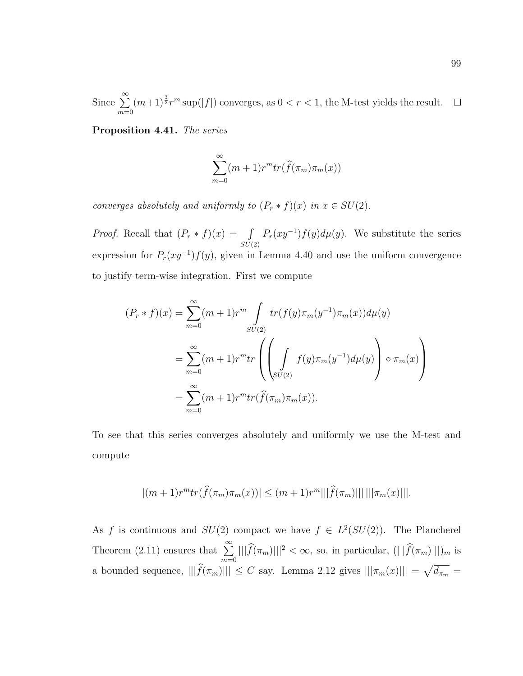Since  $\sum_{n=1}^{\infty}$  $(m+1)^{\frac{3}{2}}r^m \sup(|f|)$  converges, as  $0 < r < 1$ , the M-test yields the result.  $\Box$  $m=0$ 

Proposition 4.41. The series

$$
\sum_{m=0}^{\infty} (m+1)r^m tr(\widehat{f}(\pi_m)\pi_m(x))
$$

converges absolutely and uniformly to  $(P_r * f)(x)$  in  $x \in SU(2)$ .

*Proof.* Recall that  $(P_r * f)(x) = \int$  $SU(2)$  $P_r(xy^{-1})f(y)d\mu(y)$ . We substitute the series expression for  $P_r(xy^{-1})f(y)$ , given in Lemma 4.40 and use the uniform convergence to justify term-wise integration. First we compute

$$
(P_r * f)(x) = \sum_{m=0}^{\infty} (m+1)r^m \int_{SU(2)} tr(f(y)\pi_m(y^{-1})\pi_m(x))d\mu(y)
$$
  
= 
$$
\sum_{m=0}^{\infty} (m+1)r^m tr\left(\left(\int_{SU(2)} f(y)\pi_m(y^{-1})d\mu(y)\right) \circ \pi_m(x)\right)
$$
  
= 
$$
\sum_{m=0}^{\infty} (m+1)r^m tr(\hat{f}(\pi_m)\pi_m(x)).
$$

To see that this series converges absolutely and uniformly we use the M-test and compute

$$
|(m+1)r^{m}tr(\widehat{f}(\pi_{m})\pi_{m}(x))| \leq (m+1)r^{m}|||\widehat{f}(\pi_{m})||| |||\pi_{m}(x)|||.
$$

As f is continuous and  $SU(2)$  compact we have  $f \in L^2(SU(2))$ . The Plancherel Theorem (2.11) ensures that  $\sum_{n=1}^{\infty}$  $\sum_{m=0} \|\widehat{f}(\pi_m)\|\|^2 < \infty$ , so, in particular,  $(\|\widehat{f}(\pi_m)\|\|)_{m}$  is a bounded sequence,  $|||\widehat{f}(\pi_m)||| \leq C$  say. Lemma 2.12 gives  $|||\pi_m(x)||| = \sqrt{d_{\pi_m}} =$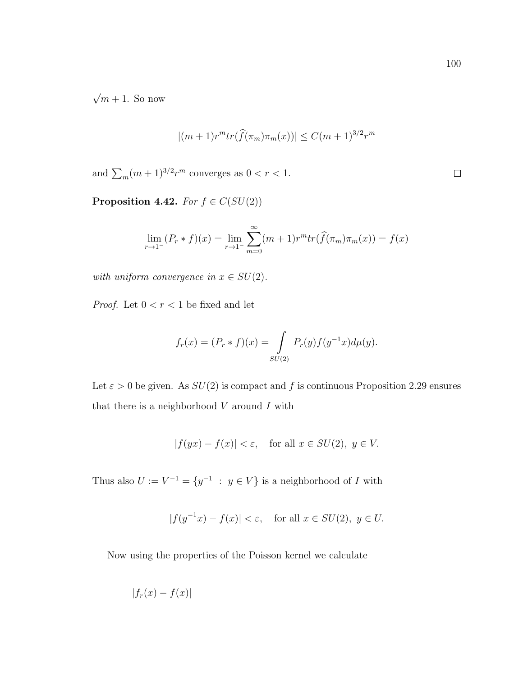√  $\overline{m+1}$ . So now

$$
|(m+1)r^{m}tr(\hat{f}(\pi_{m})\pi_{m}(x))| \leq C(m+1)^{3/2}r^{m}
$$

and  $\sum_{m}(m+1)^{3/2}r^{m}$  converges as  $0 < r < 1$ .

Proposition 4.42. For  $f \in C(SU(2))$ 

$$
\lim_{r \to 1^{-}} (P_r * f)(x) = \lim_{r \to 1^{-}} \sum_{m=0}^{\infty} (m+1)r^m tr(\widehat{f}(\pi_m)\pi_m(x)) = f(x)
$$

with uniform convergence in  $x \in SU(2)$ .

*Proof.* Let  $0 < r < 1$  be fixed and let

$$
f_r(x) = (P_r * f)(x) = \int_{SU(2)} P_r(y) f(y^{-1}x) d\mu(y).
$$

Let  $\varepsilon > 0$  be given. As  $SU(2)$  is compact and f is continuous Proposition 2.29 ensures that there is a neighborhood  $V$  around  $I$  with

$$
|f(yx) - f(x)| < \varepsilon, \quad \text{for all } x \in SU(2), \ y \in V.
$$

Thus also  $U := V^{-1} = \{y^{-1} : y \in V\}$  is a neighborhood of I with

$$
|f(y^{-1}x) - f(x)| < \varepsilon, \quad \text{for all } x \in SU(2), \ y \in U.
$$

Now using the properties of the Poisson kernel we calculate

$$
|f_r(x) - f(x)|
$$

 $\Box$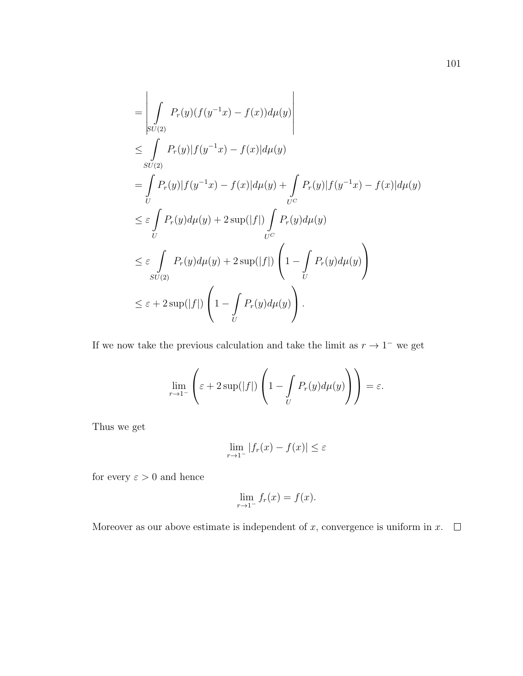$$
\begin{split}\n&= \left| \int_{SU(2)} P_r(y)(f(y^{-1}x) - f(x))d\mu(y) \right| \\
&\leq \int_{SU(2)} P_r(y)|f(y^{-1}x) - f(x)|d\mu(y) \\
&= \int_U P_r(y)|f(y^{-1}x) - f(x)|d\mu(y) + \int_{U^C} P_r(y)|f(y^{-1}x) - f(x)|d\mu(y) \\
&\leq \varepsilon \int_U P_r(y)d\mu(y) + 2\sup(|f|) \int_{U^C} P_r(y)d\mu(y) \\
&\leq \varepsilon \int_{SU(2)} P_r(y)d\mu(y) + 2\sup(|f|) \left(1 - \int_{U} P_r(y)d\mu(y)\right) \\
&\leq \varepsilon + 2\sup(|f|) \left(1 - \int_{U} P_r(y)d\mu(y)\right).\n\end{split}
$$

If we now take the previous calculation and take the limit as  $r \to 1^-$  we get

$$
\lim_{r \to 1^-} \left( \varepsilon + 2 \sup(|f|) \left( 1 - \int_U P_r(y) d\mu(y) \right) \right) = \varepsilon.
$$

Thus we get

$$
\lim_{r \to 1^-} |f_r(x) - f(x)| \le \varepsilon
$$

for every  $\varepsilon>0$  and hence

$$
\lim_{r \to 1^-} f_r(x) = f(x).
$$

Moreover as our above estimate is independent of x, convergence is uniform in  $x$ .  $\Box$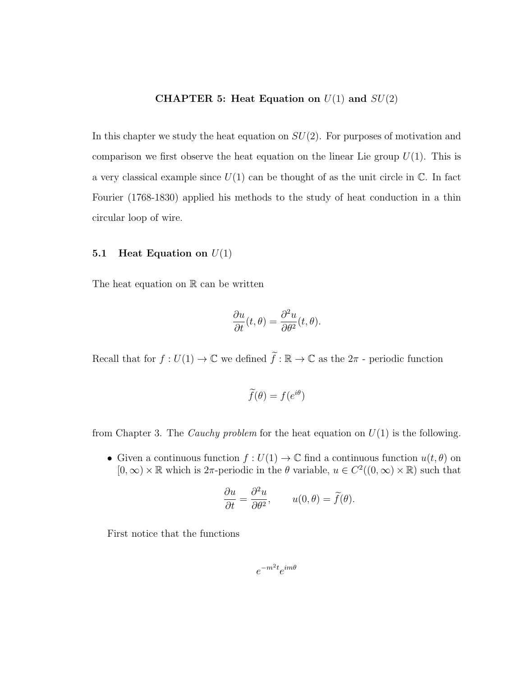## CHAPTER 5: Heat Equation on  $U(1)$  and  $SU(2)$

In this chapter we study the heat equation on  $SU(2)$ . For purposes of motivation and comparison we first observe the heat equation on the linear Lie group  $U(1)$ . This is a very classical example since  $U(1)$  can be thought of as the unit circle in  $\mathbb{C}$ . In fact Fourier (1768-1830) applied his methods to the study of heat conduction in a thin circular loop of wire.

## 5.1 Heat Equation on  $U(1)$

The heat equation on  $\mathbb R$  can be written

$$
\frac{\partial u}{\partial t}(t,\theta) = \frac{\partial^2 u}{\partial \theta^2}(t,\theta).
$$

Recall that for  $f: U(1) \to \mathbb{C}$  we defined  $\tilde{f}: \mathbb{R} \to \mathbb{C}$  as the  $2\pi$  - periodic function

$$
\widetilde{f}(\theta) = f(e^{i\theta})
$$

from Chapter 3. The *Cauchy problem* for the heat equation on  $U(1)$  is the following.

• Given a continuous function  $f: U(1) \to \mathbb{C}$  find a continuous function  $u(t, \theta)$  on  $[0, \infty) \times \mathbb{R}$  which is 2 $\pi$ -periodic in the  $\theta$  variable,  $u \in C^2((0, \infty) \times \mathbb{R})$  such that

$$
\frac{\partial u}{\partial t} = \frac{\partial^2 u}{\partial \theta^2}, \qquad u(0, \theta) = \tilde{f}(\theta).
$$

First notice that the functions

$$
e^{-m^2t}e^{im\theta}
$$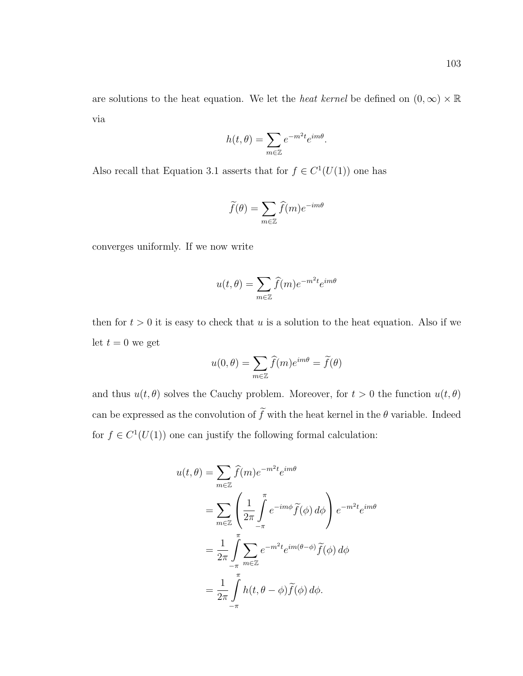are solutions to the heat equation. We let the *heat kernel* be defined on  $(0, \infty) \times \mathbb{R}$ via

$$
h(t,\theta) = \sum_{m \in \mathbb{Z}} e^{-m^2 t} e^{im\theta}
$$

.

Also recall that Equation 3.1 asserts that for  $f \in C^1(U(1))$  one has

$$
\widetilde{f}(\theta) = \sum_{m \in \mathbb{Z}} \widehat{f}(m) e^{-im\theta}
$$

converges uniformly. If we now write

$$
u(t,\theta) = \sum_{m \in \mathbb{Z}} \hat{f}(m) e^{-m^2 t} e^{im\theta}
$$

then for  $t > 0$  it is easy to check that u is a solution to the heat equation. Also if we let  $t = 0$  we get

$$
u(0,\theta) = \sum_{m\in\mathbb{Z}} \widehat{f}(m) e^{im\theta} = \widetilde{f}(\theta)
$$

and thus  $u(t, \theta)$  solves the Cauchy problem. Moreover, for  $t > 0$  the function  $u(t, \theta)$ can be expressed as the convolution of  $\widetilde{f}$  with the heat kernel in the  $\theta$  variable. Indeed for  $f \in C^1(U(1))$  one can justify the following formal calculation:

$$
u(t,\theta) = \sum_{m\in\mathbb{Z}} \hat{f}(m)e^{-m^2t}e^{im\theta}
$$
  
= 
$$
\sum_{m\in\mathbb{Z}} \left(\frac{1}{2\pi}\int_{-\pi}^{\pi} e^{-im\phi}\tilde{f}(\phi) d\phi\right) e^{-m^2t}e^{im\theta}
$$
  
= 
$$
\frac{1}{2\pi}\int_{-\pi}^{\pi} \sum_{m\in\mathbb{Z}} e^{-m^2t}e^{im(\theta-\phi)}\tilde{f}(\phi) d\phi
$$
  
= 
$$
\frac{1}{2\pi}\int_{-\pi}^{\pi} h(t,\theta-\phi)\tilde{f}(\phi) d\phi.
$$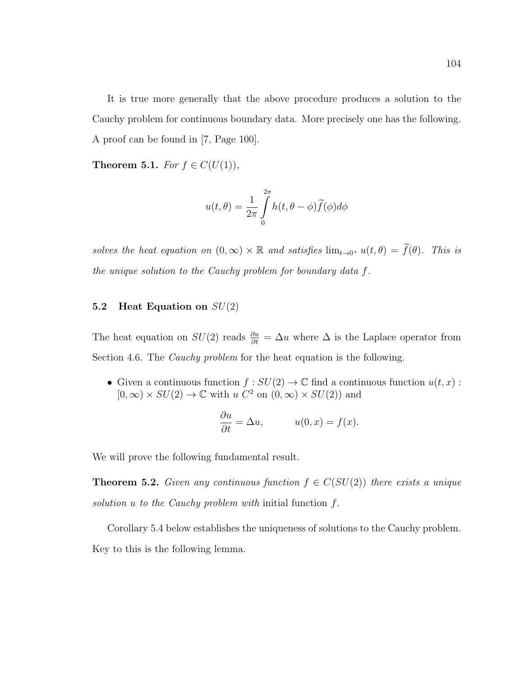It is true more generally that the above procedure produces a solution to the Cauchy problem for continuous boundary data. More precisely one has the following. A proof can be found in [7, Page 100].

Theorem 5.1. For  $f \in C(U(1)),$ 

$$
u(t,\theta) = \frac{1}{2\pi} \int_{0}^{2\pi} h(t,\theta - \phi) \tilde{f}(\phi) d\phi
$$

solves the heat equation on  $(0, \infty) \times \mathbb{R}$  and satisfies  $\lim_{t\to 0^+} u(t, \theta) = \tilde{f}(\theta)$ . This is the unique solution to the Cauchy problem for boundary data f.

## 5.2 Heat Equation on  $SU(2)$

The heat equation on  $SU(2)$  reads  $\frac{\partial u}{\partial t} = \Delta u$  where  $\Delta$  is the Laplace operator from Section 4.6. The Cauchy problem for the heat equation is the following.

• Given a continuous function  $f : SU(2) \to \mathbb{C}$  find a continuous function  $u(t, x)$ :  $[0,\infty) \times SU(2) \rightarrow \mathbb{C}$  with  $u \overline{C^2}$  on  $(0,\infty) \times SU(2)$  and

$$
\frac{\partial u}{\partial t} = \Delta u, \qquad u(0, x) = f(x).
$$

We will prove the following fundamental result.

**Theorem 5.2.** Given any continuous function  $f \in C(SU(2))$  there exists a unique solution u to the Cauchy problem with initial function  $f$ .

Corollary 5.4 below establishes the uniqueness of solutions to the Cauchy problem. Key to this is the following lemma.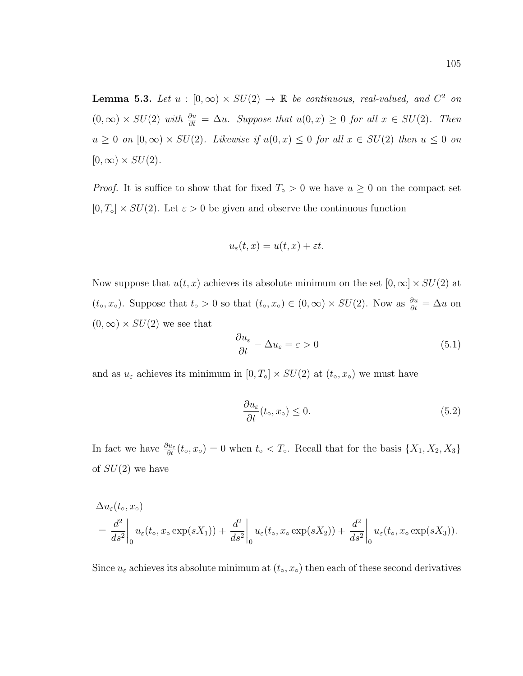**Lemma 5.3.** Let  $u : [0, \infty) \times SU(2) \rightarrow \mathbb{R}$  be continuous, real-valued, and  $C^2$  on  $(0, \infty) \times SU(2)$  with  $\frac{\partial u}{\partial t} = \Delta u$ . Suppose that  $u(0, x) \geq 0$  for all  $x \in SU(2)$ . Then  $u \geq 0$  on  $[0,\infty) \times SU(2)$ . Likewise if  $u(0,x) \leq 0$  for all  $x \in SU(2)$  then  $u \leq 0$  on  $[0,\infty) \times SU(2)$ .

*Proof.* It is suffice to show that for fixed  $T \circ > 0$  we have  $u \geq 0$  on the compact set  $[0, T<sub>o</sub>] \times SU(2)$ . Let  $\varepsilon > 0$  be given and observe the continuous function

$$
u_{\varepsilon}(t,x) = u(t,x) + \varepsilon t.
$$

Now suppose that  $u(t, x)$  achieves its absolute minimum on the set  $[0, \infty] \times SU(2)$  at  $(t_0, x_0)$ . Suppose that  $t_0 > 0$  so that  $(t_0, x_0) \in (0, \infty) \times SU(2)$ . Now as  $\frac{\partial u}{\partial t} = \Delta u$  on  $(0,\infty) \times SU(2)$  we see that

$$
\frac{\partial u_{\varepsilon}}{\partial t} - \Delta u_{\varepsilon} = \varepsilon > 0 \tag{5.1}
$$

and as  $u_{\varepsilon}$  achieves its minimum in  $[0, T<sub>o</sub>] \times SU(2)$  at  $(t<sub>o</sub>, x<sub>o</sub>)$  we must have

$$
\frac{\partial u_{\varepsilon}}{\partial t}(t_{\circ}, x_{\circ}) \le 0. \tag{5.2}
$$

In fact we have  $\frac{\partial u_{\varepsilon}}{\partial t}(t_0, x_0) = 0$  when  $t_0 < T_0$ . Recall that for the basis  $\{X_1, X_2, X_3\}$ of  $SU(2)$  we have

$$
\Delta u_{\varepsilon}(t_{\circ}, x_{\circ})
$$
\n
$$
= \frac{d^2}{ds^2} \bigg|_0 u_{\varepsilon}(t_{\circ}, x_{\circ} \exp(sX_1)) + \frac{d^2}{ds^2} \bigg|_0 u_{\varepsilon}(t_{\circ}, x_{\circ} \exp(sX_2)) + \frac{d^2}{ds^2} \bigg|_0 u_{\varepsilon}(t_{\circ}, x_{\circ} \exp(sX_3)).
$$

Since  $u_{\varepsilon}$  achieves its absolute minimum at  $(t_0, x_0)$  then each of these second derivatives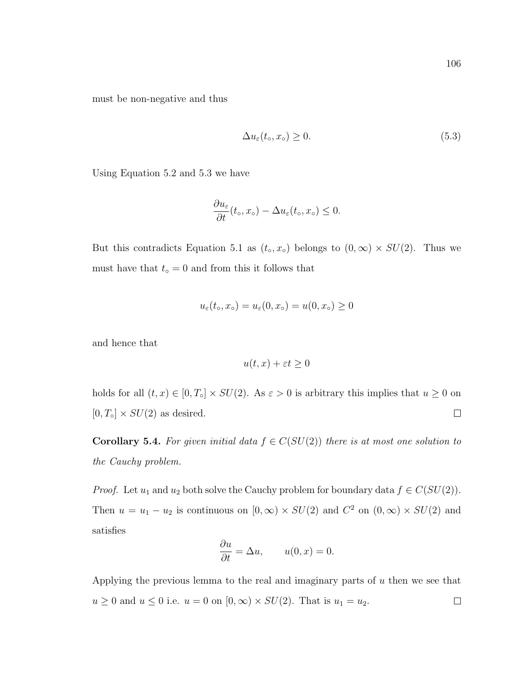must be non-negative and thus

$$
\Delta u_{\varepsilon}(t_{\circ}, x_{\circ}) \ge 0. \tag{5.3}
$$

Using Equation 5.2 and 5.3 we have

$$
\frac{\partial u_{\varepsilon}}{\partial t}(t_0, x_{\circ}) - \Delta u_{\varepsilon}(t_0, x_{\circ}) \leq 0.
$$

But this contradicts Equation 5.1 as  $(t_0, x_0)$  belongs to  $(0, \infty) \times SU(2)$ . Thus we must have that  $t<sub>∘</sub> = 0$  and from this it follows that

$$
u_{\varepsilon}(t_0, x_{\circ}) = u_{\varepsilon}(0, x_{\circ}) = u(0, x_{\circ}) \ge 0
$$

and hence that

$$
u(t, x) + \varepsilon t \ge 0
$$

holds for all  $(t, x) \in [0, T<sub>o</sub>] \times SU(2)$ . As  $\varepsilon > 0$  is arbitrary this implies that  $u \ge 0$  on  $[0, T<sub>o</sub>] \times SU(2)$  as desired.  $\Box$ 

**Corollary 5.4.** For given initial data  $f \in C(SU(2))$  there is at most one solution to the Cauchy problem.

*Proof.* Let  $u_1$  and  $u_2$  both solve the Cauchy problem for boundary data  $f \in C(SU(2))$ . Then  $u = u_1 - u_2$  is continuous on  $[0, \infty) \times SU(2)$  and  $C^2$  on  $(0, \infty) \times SU(2)$  and satisfies

$$
\frac{\partial u}{\partial t} = \Delta u, \qquad u(0, x) = 0.
$$

Applying the previous lemma to the real and imaginary parts of u then we see that  $u \geq 0$  and  $u \leq 0$  i.e.  $u = 0$  on  $[0, \infty) \times SU(2)$ . That is  $u_1 = u_2$ .  $\Box$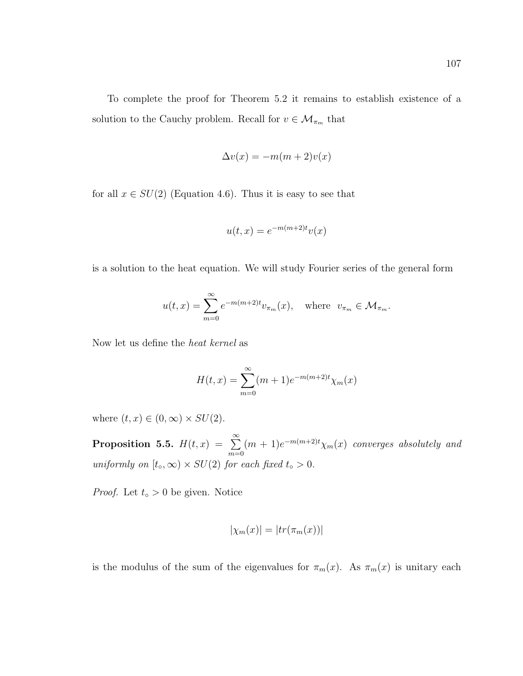To complete the proof for Theorem 5.2 it remains to establish existence of a solution to the Cauchy problem. Recall for  $v\in\mathcal{M}_{\pi_m}$  that

$$
\Delta v(x) = -m(m+2)v(x)
$$

for all  $x \in SU(2)$  (Equation 4.6). Thus it is easy to see that

$$
u(t,x) = e^{-m(m+2)t}v(x)
$$

is a solution to the heat equation. We will study Fourier series of the general form

$$
u(t,x) = \sum_{m=0}^{\infty} e^{-m(m+2)t} v_{\pi_m}(x), \text{ where } v_{\pi_m} \in \mathcal{M}_{\pi_m}.
$$

Now let us define the heat kernel as

$$
H(t,x) = \sum_{m=0}^{\infty} (m+1)e^{-m(m+2)t} \chi_m(x)
$$

where  $(t, x) \in (0, \infty) \times SU(2)$ .

**Proposition 5.5.**  $H(t, x) = \sum_{n=0}^{\infty}$  $m=0$  $(m+1)e^{-m(m+2)t}\chi_m(x)$  converges absolutely and uniformly on  $[t_0, \infty) \times SU(2)$  for each fixed  $t_0 > 0$ .

*Proof.* Let  $t_0 > 0$  be given. Notice

$$
|\chi_m(x)| = |tr(\pi_m(x))|
$$

is the modulus of the sum of the eigenvalues for  $\pi_m(x)$ . As  $\pi_m(x)$  is unitary each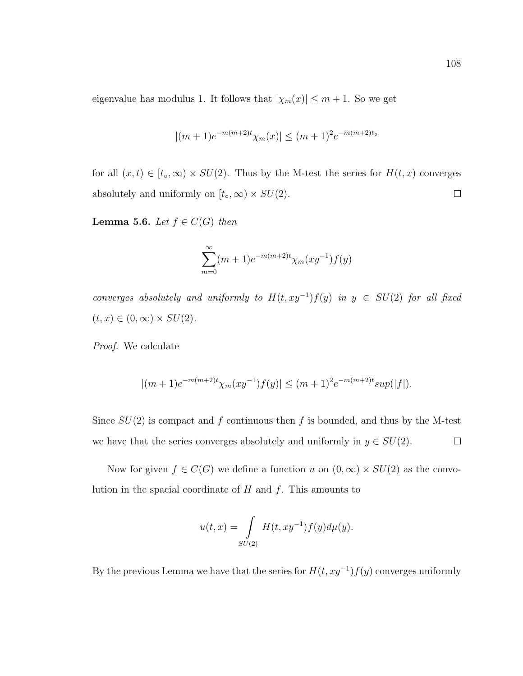eigenvalue has modulus 1. It follows that  $|\chi_m(x)| \leq m + 1$ . So we get

$$
|(m+1)e^{-m(m+2)t}\chi_m(x)| \leq (m+1)^2e^{-m(m+2)t_0}
$$

for all  $(x, t) \in [t_0, \infty) \times SU(2)$ . Thus by the M-test the series for  $H(t, x)$  converges absolutely and uniformly on  $[t_0, \infty) \times SU(2)$ .  $\Box$ 

Lemma 5.6. Let  $f \in C(G)$  then

$$
\sum_{m=0}^{\infty} (m+1)e^{-m(m+2)t} \chi_m(xy^{-1})f(y)
$$

converges absolutely and uniformly to  $H(t, xy^{-1})f(y)$  in  $y \in SU(2)$  for all fixed  $(t, x) \in (0, \infty) \times SU(2).$ 

Proof. We calculate

$$
|(m+1)e^{-m(m+2)t}\chi_m(xy^{-1})f(y)| \leq (m+1)^2e^{-m(m+2)t}\sup(|f|).
$$

Since  $SU(2)$  is compact and f continuous then f is bounded, and thus by the M-test we have that the series converges absolutely and uniformly in  $y \in SU(2)$ .  $\Box$ 

Now for given  $f \in C(G)$  we define a function u on  $(0, \infty) \times SU(2)$  as the convolution in the spacial coordinate of  $H$  and  $f$ . This amounts to

$$
u(t,x) = \int_{SU(2)} H(t, xy^{-1}) f(y) d\mu(y).
$$

By the previous Lemma we have that the series for  $H(t, xy^{-1})f(y)$  converges uniformly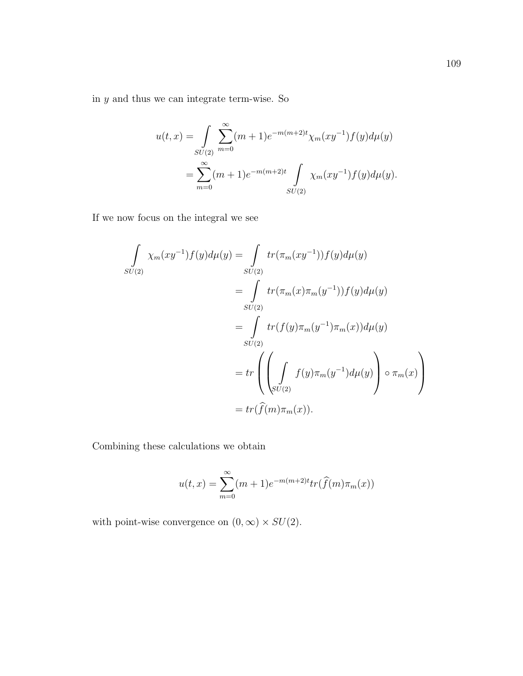in  $y$  and thus we can integrate term-wise. So

$$
u(t,x) = \int_{SU(2)} \sum_{m=0}^{\infty} (m+1)e^{-m(m+2)t} \chi_m(xy^{-1})f(y)d\mu(y)
$$
  
= 
$$
\sum_{m=0}^{\infty} (m+1)e^{-m(m+2)t} \int_{SU(2)} \chi_m(xy^{-1})f(y)d\mu(y).
$$

If we now focus on the integral we see

$$
\int_{SU(2)} \chi_m(xy^{-1}) f(y) d\mu(y) = \int_{SU(2)} tr(\pi_m(xy^{-1})) f(y) d\mu(y)
$$
  
\n
$$
= \int_{SU(2)} tr(\pi_m(x) \pi_m(y^{-1})) f(y) d\mu(y)
$$
  
\n
$$
= \int_{SU(2)} tr(f(y) \pi_m(y^{-1}) \pi_m(x)) d\mu(y)
$$
  
\n
$$
= tr\left(\left(\int_{SU(2)} f(y) \pi_m(y^{-1}) d\mu(y)\right) \circ \pi_m(x)\right)
$$
  
\n
$$
= tr(\hat{f}(m) \pi_m(x)).
$$

Combining these calculations we obtain

$$
u(t,x) = \sum_{m=0}^{\infty} (m+1)e^{-m(m+2)t}tr(\hat{f}(m)\pi_m(x))
$$

with point-wise convergence on  $(0, \infty) \times SU(2)$ .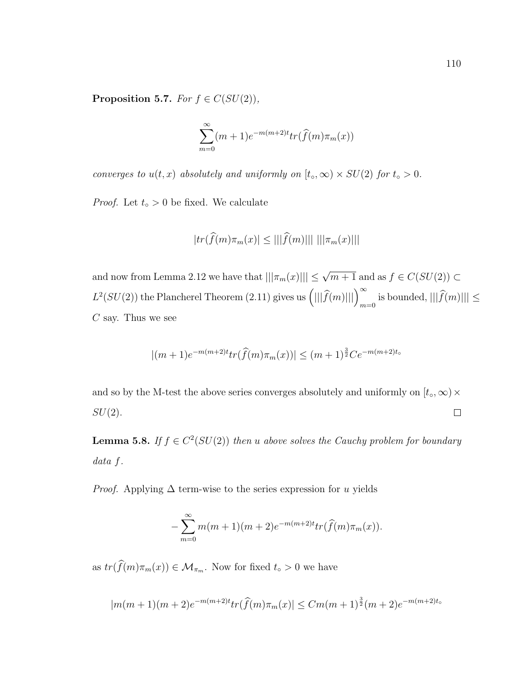Proposition 5.7. For  $f \in C(SU(2)),$ 

$$
\sum_{m=0}^{\infty} (m+1)e^{-m(m+2)t}tr(\widehat{f}(m)\pi_m(x))
$$

converges to  $u(t, x)$  absolutely and uniformly on  $[t_0, \infty) \times SU(2)$  for  $t_0 > 0$ .

*Proof.* Let  $t_0 > 0$  be fixed. We calculate

$$
|tr(\hat{f}(m)\pi_m(x)| \le |||\hat{f}(m)||| \, |||\pi_m(x)|||
$$

and now from Lemma 2.12 we have that  $|||\pi_m(x)||| \leq \sqrt{m+1}$  and as  $f \in C(SU(2)) \subset$  $L^2(SU(2))$  the Plancherel Theorem (2.11) gives us  $\left(|||\hat{f}(m)|||\right)_{m=0}^{\infty}$  is bounded,  $|||\hat{f}(m)||| \le$  $C$  say. Thus we see

$$
|(m+1)e^{-m(m+2)t}tr(\hat{f}(m)\pi_m(x))| \le (m+1)^{\frac{3}{2}}Ce^{-m(m+2)t_0}
$$

and so by the M-test the above series converges absolutely and uniformly on  $[t_0, \infty) \times$  $SU(2)$ .  $\Box$ 

**Lemma 5.8.** If  $f \in C^2(SU(2))$  then u above solves the Cauchy problem for boundary data f.

*Proof.* Applying  $\Delta$  term-wise to the series expression for u yields

$$
-\sum_{m=0}^{\infty} m(m+1)(m+2)e^{-m(m+2)t}tr(\widehat{f}(m)\pi_m(x)).
$$

as  $tr(\widehat{f}(m)\pi_m(x)) \in \mathcal{M}_{\pi_m}$ . Now for fixed  $t_0 > 0$  we have

$$
|m(m+1)(m+2)e^{-m(m+2)t}tr(\hat{f}(m)\pi_m(x)| \leq Cm(m+1)^{\frac{3}{2}}(m+2)e^{-m(m+2)t_0}
$$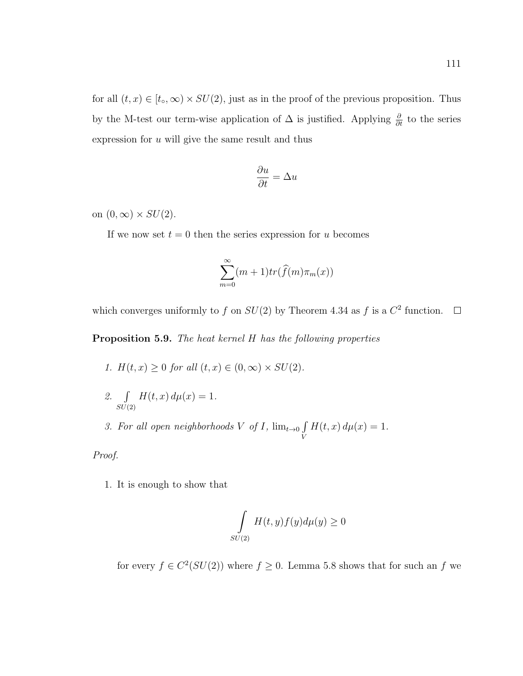for all  $(t, x) \in [t_0, \infty) \times SU(2)$ , just as in the proof of the previous proposition. Thus by the M-test our term-wise application of  $\Delta$  is justified. Applying  $\frac{\partial}{\partial t}$  to the series expression for  $u$  will give the same result and thus

$$
\frac{\partial u}{\partial t} = \Delta u
$$

on  $(0, \infty) \times SU(2)$ .

If we now set  $t = 0$  then the series expression for u becomes

$$
\sum_{m=0}^{\infty} (m+1) tr(\widehat{f}(m)\pi_m(x))
$$

which converges uniformly to f on  $SU(2)$  by Theorem 4.34 as f is a  $C^2$  function.

Proposition 5.9. The heat kernel H has the following properties

- 1.  $H(t, x) \ge 0$  for all  $(t, x) \in (0, \infty) \times SU(2)$ .
- 2.  $\int$  $SU(2)$  $H(t, x) d\mu(x) = 1.$
- 3. For all open neighborhoods V of I,  $\lim_{t\to 0}$   $\int$ V  $H(t, x) d\mu(x) = 1.$

Proof.

1. It is enough to show that

$$
\int_{SU(2)} H(t,y)f(y)d\mu(y) \ge 0
$$

for every  $f \in C^2(SU(2))$  where  $f \geq 0$ . Lemma 5.8 shows that for such an f we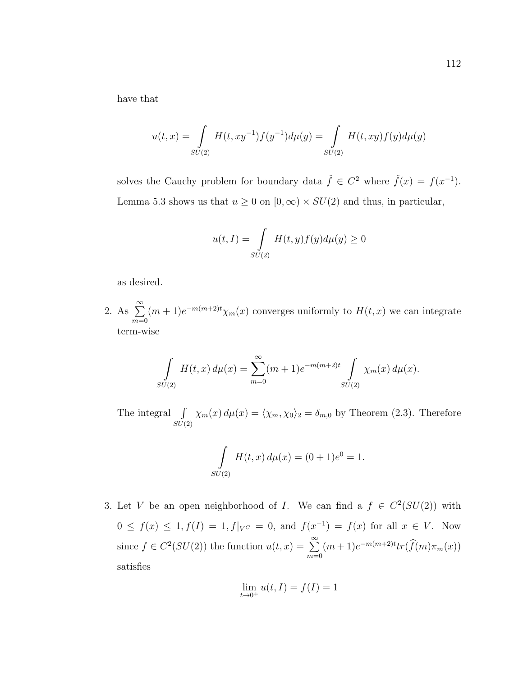have that

$$
u(t,x) = \int_{SU(2)} H(t,xy^{-1})f(y^{-1})d\mu(y) = \int_{SU(2)} H(t,xy)f(y)d\mu(y)
$$

solves the Cauchy problem for boundary data  $\check{f} \in C^2$  where  $\check{f}(x) = f(x^{-1})$ . Lemma 5.3 shows us that  $u \ge 0$  on  $[0, \infty) \times SU(2)$  and thus, in particular,

$$
u(t,I) = \int_{SU(2)} H(t,y)f(y)d\mu(y) \ge 0
$$

as desired.

2. As  $\sum_{n=1}^{\infty}$  $m=0$  $(m+1)e^{-m(m+2)t}\chi_m(x)$  converges uniformly to  $H(t,x)$  we can integrate term-wise

$$
\int_{SU(2)} H(t,x) d\mu(x) = \sum_{m=0}^{\infty} (m+1)e^{-m(m+2)t} \int_{SU(2)} \chi_m(x) d\mu(x).
$$

The integral  $\int$  $SU(2)$  $\chi_m(x) d\mu(x) = \langle \chi_m, \chi_0 \rangle_2 = \delta_{m,0}$  by Theorem (2.3). Therefore

$$
\int_{SU(2)} H(t, x) d\mu(x) = (0 + 1)e^{0} = 1.
$$

3. Let V be an open neighborhood of I. We can find a  $f \in C^2(SU(2))$  with  $0 \le f(x) \le 1, f(I) = 1, f|_{V^C} = 0$ , and  $f(x^{-1}) = f(x)$  for all  $x \in V$ . Now since  $f \in C^2(SU(2))$  the function  $u(t,x) = \sum_{n=0}^{\infty}$  $m=0$  $(m+1)e^{-m(m+2)t}tr(\hat{f}(m)\pi_m(x))$ satisfies

$$
\lim_{t \to 0^+} u(t, I) = f(I) = 1
$$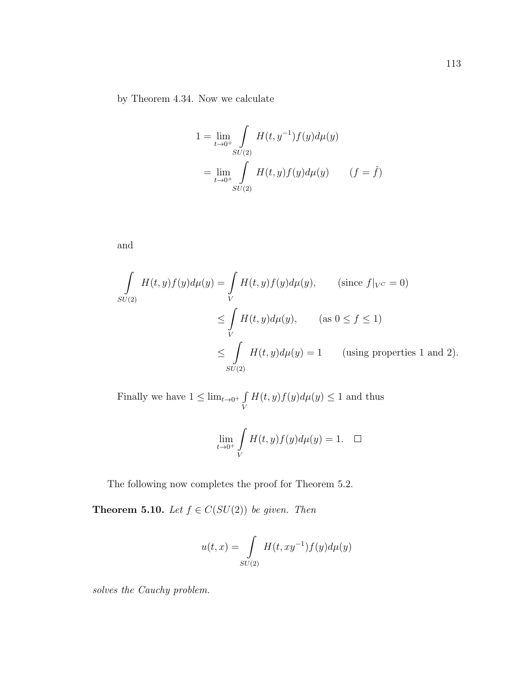by Theorem 4.34. Now we calculate

$$
1 = \lim_{t \to 0^+} \int_{SU(2)} H(t, y^{-1}) f(y) d\mu(y)
$$
  
= 
$$
\lim_{t \to 0^+} \int_{SU(2)} H(t, y) f(y) d\mu(y) \qquad (f = \check{f})
$$

and

$$
\int_{SU(2)} H(t, y) f(y) d\mu(y) = \int_{V} H(t, y) f(y) d\mu(y), \qquad \text{(since } f|_{V^C} = 0)
$$
\n
$$
\leq \int_{V} H(t, y) d\mu(y), \qquad \text{(as } 0 \leq f \leq 1)
$$
\n
$$
\leq \int_{SU(2)} H(t, y) d\mu(y) = 1 \qquad \text{(using properties 1 and 2)}.
$$

Finally we have  $1 \leq \lim_{t \to 0^+} \int$ V  $H(t, y)f(y)d\mu(y) \leq 1$  and thus

$$
\lim_{t \to 0^+} \int\limits_V H(t, y) f(y) d\mu(y) = 1. \quad \Box
$$

The following now completes the proof for Theorem 5.2.

**Theorem 5.10.** Let  $f \in C(SU(2))$  be given. Then

$$
u(t,x) = \int\limits_{SU(2)} H(t,xy^{-1})f(y)d\mu(y)
$$

solves the Cauchy problem.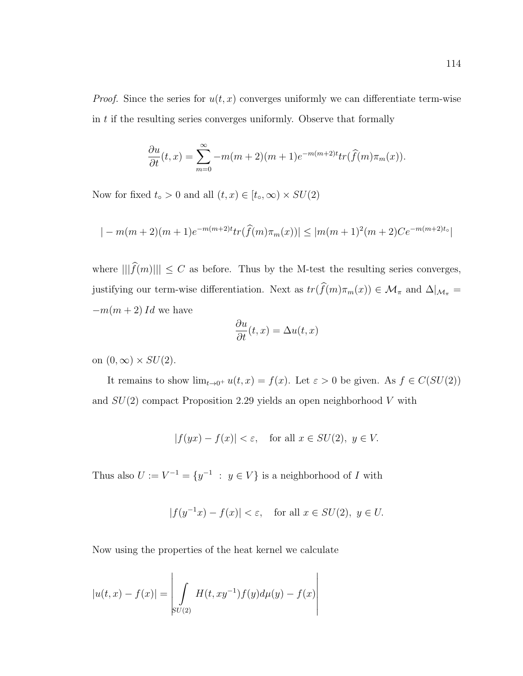*Proof.* Since the series for  $u(t, x)$  converges uniformly we can differentiate term-wise in  $t$  if the resulting series converges uniformly. Observe that formally

$$
\frac{\partial u}{\partial t}(t,x) = \sum_{m=0}^{\infty} -m(m+2)(m+1)e^{-m(m+2)t}tr(\widehat{f}(m)\pi_m(x)).
$$

Now for fixed  $t<sub>∘</sub> > 0$  and all  $(t, x) \in [t<sub>∘</sub>, \infty) \times SU(2)$ 

$$
|-m(m+2)(m+1)e^{-m(m+2)t}tr(\hat{f}(m)\pi_m(x))| \le |m(m+1)^2(m+2)Ce^{-m(m+2)t_0}|
$$

where  $|||\widehat{f}(m)||| \leq C$  as before. Thus by the M-test the resulting series converges, justifying our term-wise differentiation. Next as  $tr(\widehat{f}(m)\pi_m(x)) \in \mathcal{M}_\pi$  and  $\Delta|_{\mathcal{M}_\pi}$  =  $-m(m+2)$  Id we have

$$
\frac{\partial u}{\partial t}(t,x) = \Delta u(t,x)
$$

on  $(0, \infty) \times SU(2)$ .

It remains to show  $\lim_{t\to 0^+} u(t,x) = f(x)$ . Let  $\varepsilon > 0$  be given. As  $f \in C(SU(2))$ and  $SU(2)$  compact Proposition 2.29 yields an open neighborhood V with

$$
|f(yx) - f(x)| < \varepsilon, \quad \text{for all } x \in SU(2), \ y \in V.
$$

Thus also  $U := V^{-1} = \{y^{-1} : y \in V\}$  is a neighborhood of I with

$$
|f(y^{-1}x) - f(x)| < \varepsilon, \quad \text{for all } x \in SU(2), \ y \in U.
$$

Now using the properties of the heat kernel we calculate

$$
|u(t,x) - f(x)| = \left| \int_{SU(2)} H(t, xy^{-1}) f(y) d\mu(y) - f(x) \right|
$$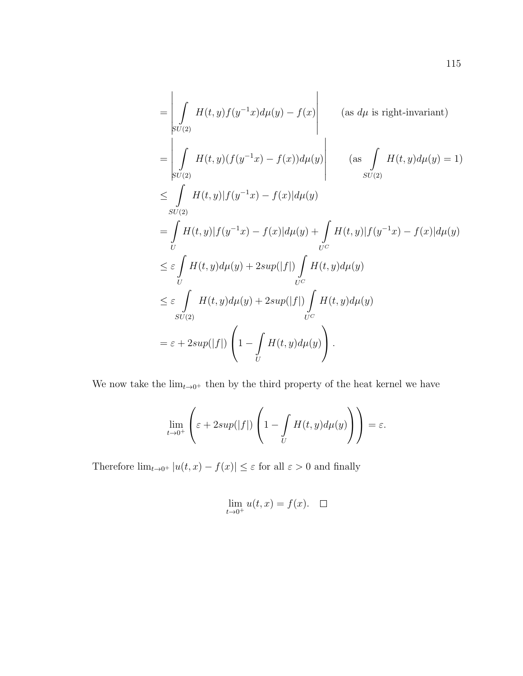$$
\begin{aligned}\n&= \left| \int_{SU(2)} H(t, y) f(y^{-1}x) d\mu(y) - f(x) \right| \qquad \text{(as } d\mu \text{ is right-invariant)} \\
&= \left| \int_{SU(2)} H(t, y) (f(y^{-1}x) - f(x)) d\mu(y) \right| \qquad \text{(as } \int_{SU(2)} H(t, y) d\mu(y) = 1) \\
&\leq \int_{SU(2)} H(t, y) |f(y^{-1}x) - f(x)| d\mu(y) \\
&= \int_{U} H(t, y) |f(y^{-1}x) - f(x)| d\mu(y) + \int_{U^C} H(t, y) |f(y^{-1}x) - f(x)| d\mu(y) \\
&\leq \varepsilon \int_{U} H(t, y) d\mu(y) + 2sup(|f|) \int_{U^C} H(t, y) d\mu(y) \\
&\leq \varepsilon \int_{SU(2)} H(t, y) d\mu(y) + 2sup(|f|) \int_{U^C} H(t, y) d\mu(y) \\
&= \varepsilon + 2sup(|f|) \left( 1 - \int_{U} H(t, y) d\mu(y) \right).\n\end{aligned}
$$

We now take the  $\lim_{t\to 0^+}$  then by the third property of the heat kernel we have

$$
\lim_{t \to 0^+} \left( \varepsilon + 2sup(|f|) \left( 1 - \int_U H(t, y) d\mu(y) \right) \right) = \varepsilon.
$$

Therefore  $\lim_{t\to 0^+}|u(t,x)-f(x)|\leq \varepsilon$  for all  $\varepsilon>0$  and finally

$$
\lim_{t \to 0^+} u(t, x) = f(x). \quad \Box
$$